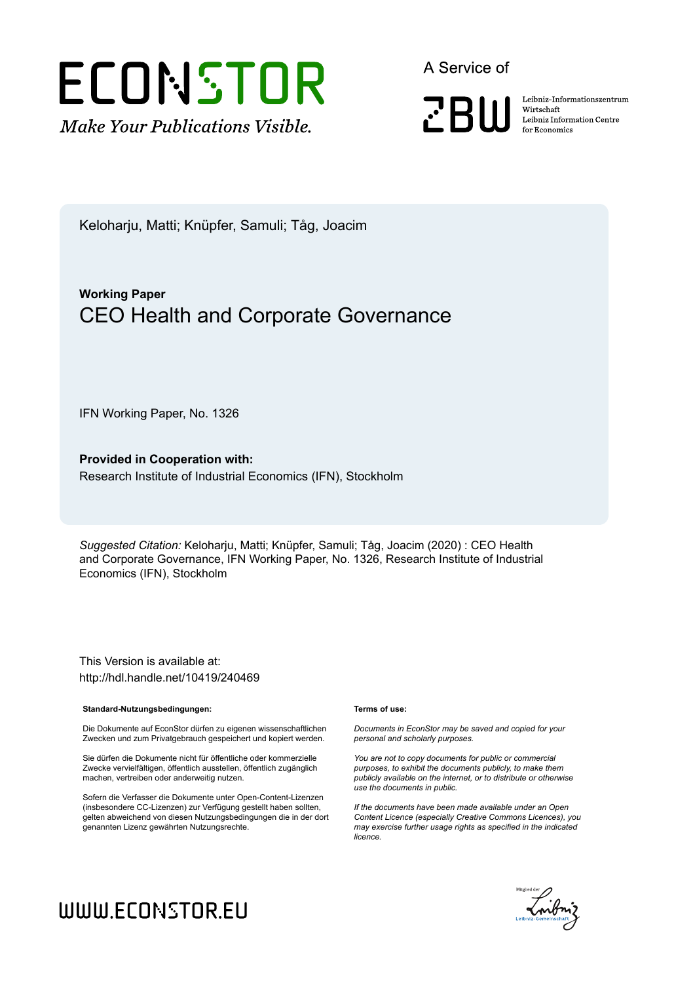

A Service of

**PRIII** 

Leibniz Informationszentrum Wirtschaft Leibniz Information Centre for Economics

Keloharju, Matti; Knüpfer, Samuli; Tåg, Joacim

## **Working Paper** CEO Health and Corporate Governance

IFN Working Paper, No. 1326

**Provided in Cooperation with:** Research Institute of Industrial Economics (IFN), Stockholm

*Suggested Citation:* Keloharju, Matti; Knüpfer, Samuli; Tåg, Joacim (2020) : CEO Health and Corporate Governance, IFN Working Paper, No. 1326, Research Institute of Industrial Economics (IFN), Stockholm

This Version is available at: http://hdl.handle.net/10419/240469

#### **Standard-Nutzungsbedingungen:**

Die Dokumente auf EconStor dürfen zu eigenen wissenschaftlichen Zwecken und zum Privatgebrauch gespeichert und kopiert werden.

Sie dürfen die Dokumente nicht für öffentliche oder kommerzielle Zwecke vervielfältigen, öffentlich ausstellen, öffentlich zugänglich machen, vertreiben oder anderweitig nutzen.

Sofern die Verfasser die Dokumente unter Open-Content-Lizenzen (insbesondere CC-Lizenzen) zur Verfügung gestellt haben sollten, gelten abweichend von diesen Nutzungsbedingungen die in der dort genannten Lizenz gewährten Nutzungsrechte.

#### **Terms of use:**

*Documents in EconStor may be saved and copied for your personal and scholarly purposes.*

*You are not to copy documents for public or commercial purposes, to exhibit the documents publicly, to make them publicly available on the internet, or to distribute or otherwise use the documents in public.*

*If the documents have been made available under an Open Content Licence (especially Creative Commons Licences), you may exercise further usage rights as specified in the indicated licence.*



# WWW.ECONSTOR.EU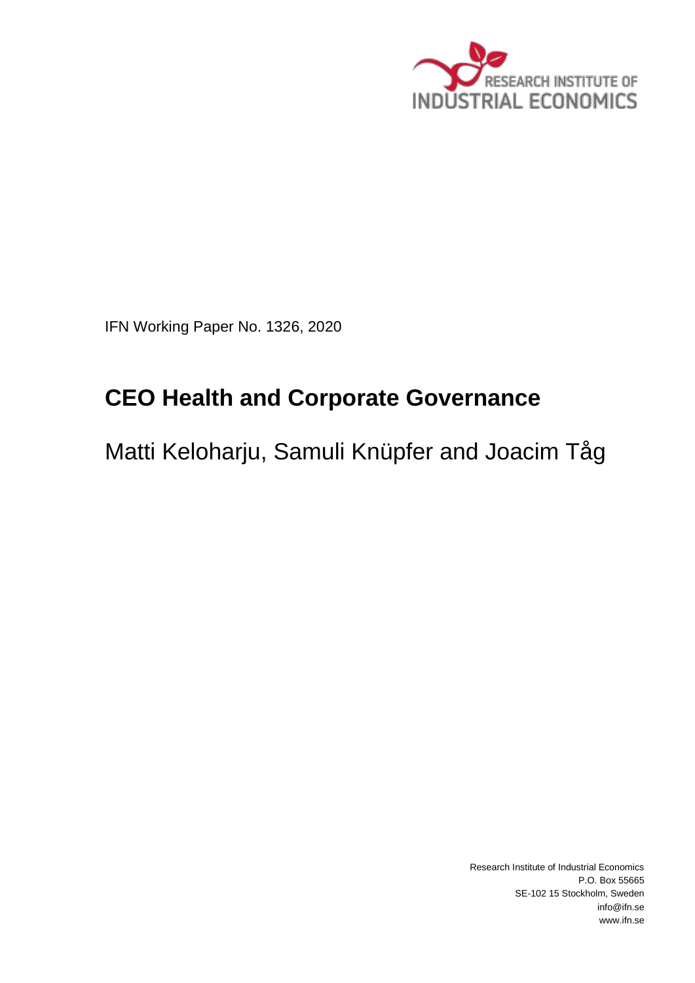

IFN Working Paper No. 1326, 2020

# **CEO Health and Corporate Governance**

Matti Keloharju, Samuli Knüpfer and Joacim Tåg

Research Institute of Industrial Economics P.O. Box 55665 SE-102 15 Stockholm, Sweden info@ifn.se www.ifn.se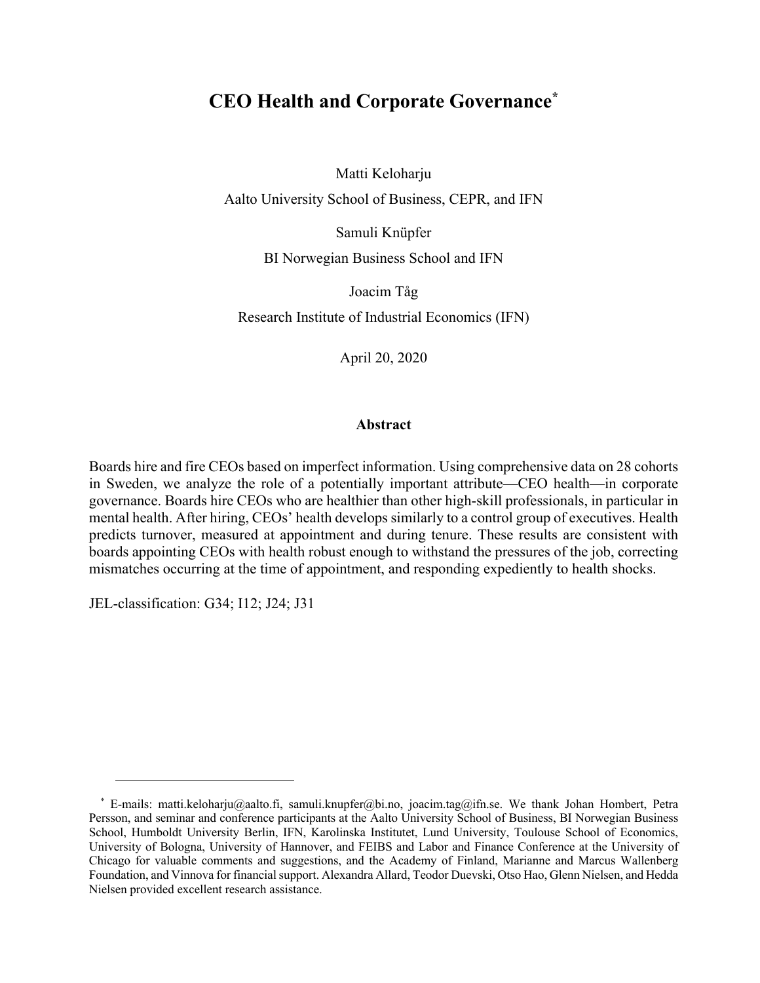## **CEO Health and Corporate Governance\***

Matti Keloharju

Aalto University School of Business, CEPR, and IFN

Samuli Knüpfer

BI Norwegian Business School and IFN

Joacim Tåg

Research Institute of Industrial Economics (IFN)

April 20, 2020

## **Abstract**

Boards hire and fire CEOs based on imperfect information. Using comprehensive data on 28 cohorts in Sweden, we analyze the role of a potentially important attribute—CEO health—in corporate governance. Boards hire CEOs who are healthier than other high-skill professionals, in particular in mental health. After hiring, CEOs' health develops similarly to a control group of executives. Health predicts turnover, measured at appointment and during tenure. These results are consistent with boards appointing CEOs with health robust enough to withstand the pressures of the job, correcting mismatches occurring at the time of appointment, and responding expediently to health shocks.

JEL-classification: G34; I12; J24; J31

<sup>\*</sup> E-mails: matti.keloharju@aalto.fi, samuli.knupfer@bi.no, joacim.tag@ifn.se. We thank Johan Hombert, Petra Persson, and seminar and conference participants at the Aalto University School of Business, BI Norwegian Business School, Humboldt University Berlin, IFN, Karolinska Institutet, Lund University, Toulouse School of Economics, University of Bologna, University of Hannover, and FEIBS and Labor and Finance Conference at the University of Chicago for valuable comments and suggestions, and the Academy of Finland, Marianne and Marcus Wallenberg Foundation, and Vinnova for financial support. Alexandra Allard, Teodor Duevski, Otso Hao, Glenn Nielsen, and Hedda Nielsen provided excellent research assistance.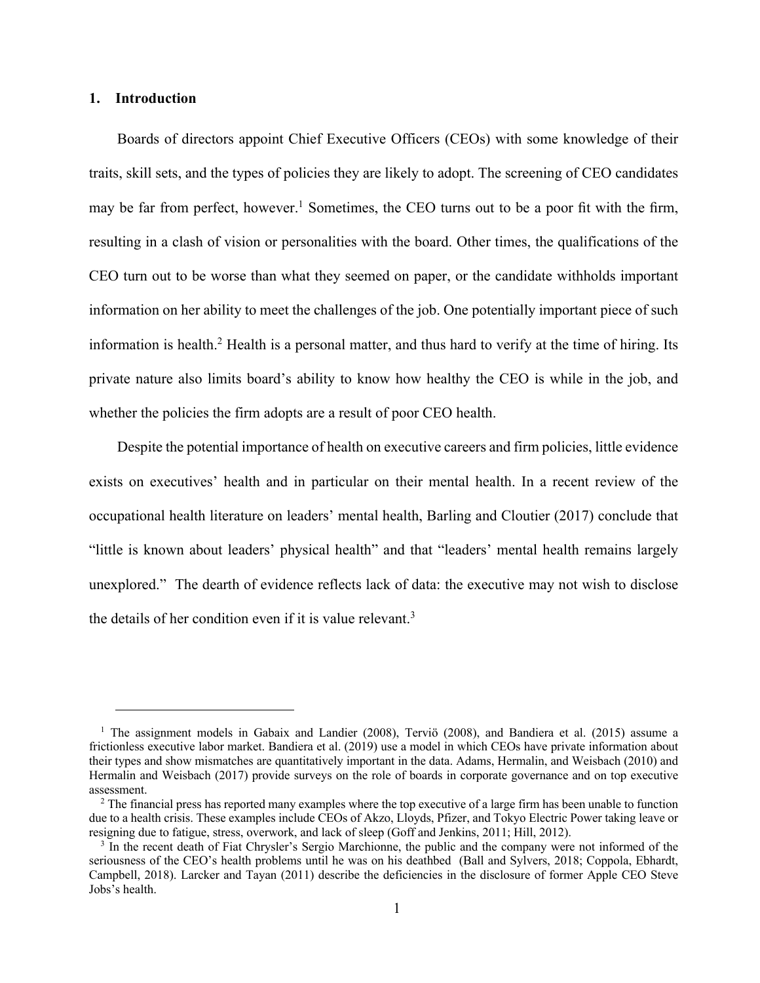## **1. Introduction**

Boards of directors appoint Chief Executive Officers (CEOs) with some knowledge of their traits, skill sets, and the types of policies they are likely to adopt. The screening of CEO candidates may be far from perfect, however.<sup>1</sup> Sometimes, the CEO turns out to be a poor fit with the firm, resulting in a clash of vision or personalities with the board. Other times, the qualifications of the CEO turn out to be worse than what they seemed on paper, or the candidate withholds important information on her ability to meet the challenges of the job. One potentially important piece of such information is health.2 Health is a personal matter, and thus hard to verify at the time of hiring. Its private nature also limits board's ability to know how healthy the CEO is while in the job, and whether the policies the firm adopts are a result of poor CEO health.

Despite the potential importance of health on executive careers and firm policies, little evidence exists on executives' health and in particular on their mental health. In a recent review of the occupational health literature on leaders' mental health, Barling and Cloutier (2017) conclude that "little is known about leaders' physical health" and that "leaders' mental health remains largely unexplored." The dearth of evidence reflects lack of data: the executive may not wish to disclose the details of her condition even if it is value relevant.<sup>3</sup>

<sup>&</sup>lt;sup>1</sup> The assignment models in Gabaix and Landier (2008), Terviö (2008), and Bandiera et al. (2015) assume a frictionless executive labor market. Bandiera et al. (2019) use a model in which CEOs have private information about their types and show mismatches are quantitatively important in the data. Adams, Hermalin, and Weisbach (2010) and Hermalin and Weisbach (2017) provide surveys on the role of boards in corporate governance and on top executive assessment.

<sup>&</sup>lt;sup>2</sup> The financial press has reported many examples where the top executive of a large firm has been unable to function due to a health crisis. These examples include CEOs of Akzo, Lloyds, Pfizer, and Tokyo Electric Power taking leave or resigning due to fatigue, stress, overwork, and lack of sleep (Goff and Jenkins, 2011; Hill, 2012).<br><sup>3</sup> In the recent death of Fiat Chrysler's Sergio Marchionne, the public and the company were not informed of the

seriousness of the CEO's health problems until he was on his deathbed (Ball and Sylvers, 2018; Coppola, Ebhardt, Campbell, 2018). Larcker and Tayan (2011) describe the deficiencies in the disclosure of former Apple CEO Steve Jobs's health.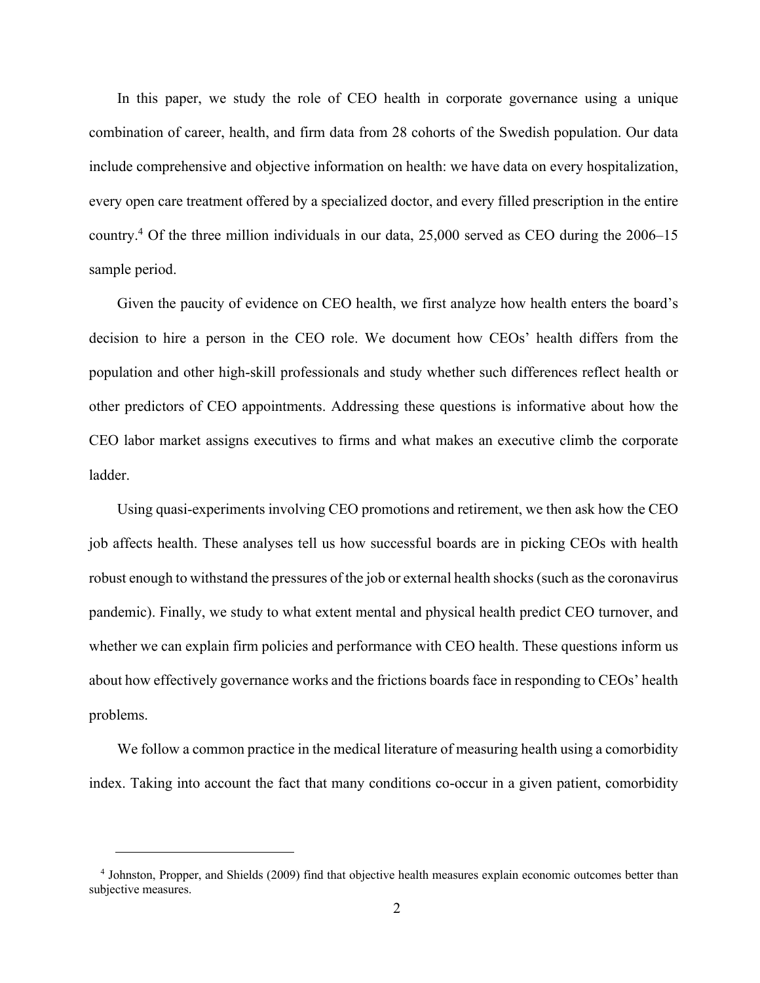In this paper, we study the role of CEO health in corporate governance using a unique combination of career, health, and firm data from 28 cohorts of the Swedish population. Our data include comprehensive and objective information on health: we have data on every hospitalization, every open care treatment offered by a specialized doctor, and every filled prescription in the entire country.4 Of the three million individuals in our data, 25,000 served as CEO during the 2006–15 sample period.

Given the paucity of evidence on CEO health, we first analyze how health enters the board's decision to hire a person in the CEO role. We document how CEOs' health differs from the population and other high-skill professionals and study whether such differences reflect health or other predictors of CEO appointments. Addressing these questions is informative about how the CEO labor market assigns executives to firms and what makes an executive climb the corporate ladder.

Using quasi-experiments involving CEO promotions and retirement, we then ask how the CEO job affects health. These analyses tell us how successful boards are in picking CEOs with health robust enough to withstand the pressures of the job or external health shocks (such as the coronavirus pandemic). Finally, we study to what extent mental and physical health predict CEO turnover, and whether we can explain firm policies and performance with CEO health. These questions inform us about how effectively governance works and the frictions boards face in responding to CEOs' health problems.

We follow a common practice in the medical literature of measuring health using a comorbidity index. Taking into account the fact that many conditions co-occur in a given patient, comorbidity

<sup>4</sup> Johnston, Propper, and Shields (2009) find that objective health measures explain economic outcomes better than subjective measures.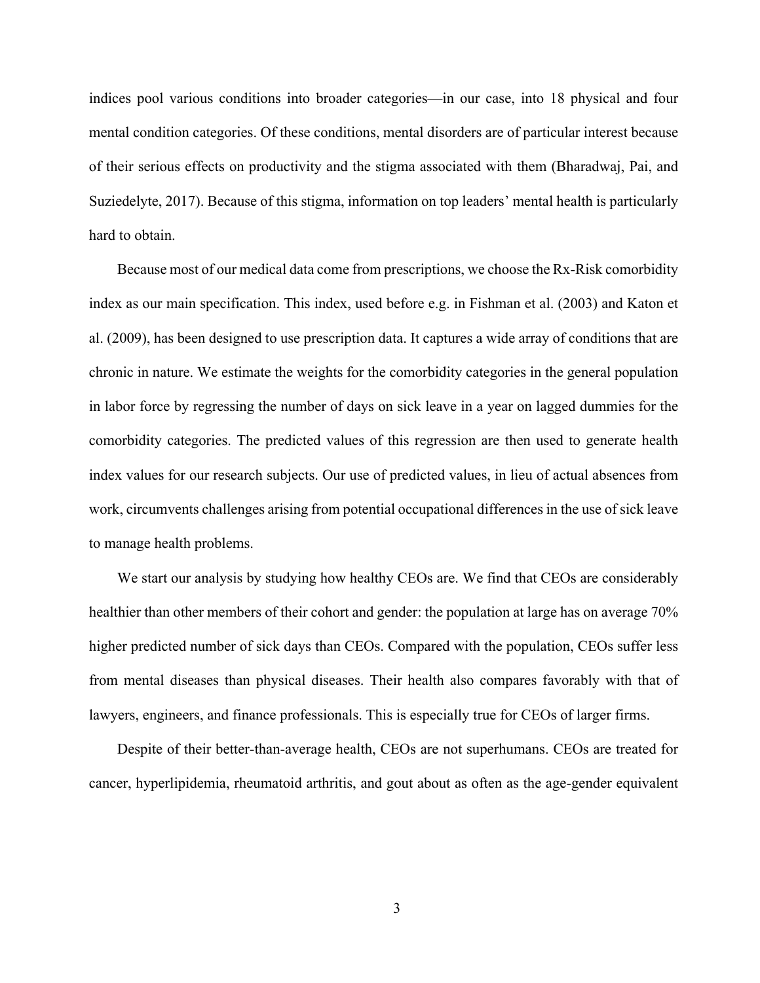indices pool various conditions into broader categories—in our case, into 18 physical and four mental condition categories. Of these conditions, mental disorders are of particular interest because of their serious effects on productivity and the stigma associated with them (Bharadwaj, Pai, and Suziedelyte, 2017). Because of this stigma, information on top leaders' mental health is particularly hard to obtain.

Because most of our medical data come from prescriptions, we choose the Rx-Risk comorbidity index as our main specification. This index, used before e.g. in Fishman et al. (2003) and Katon et al. (2009), has been designed to use prescription data. It captures a wide array of conditions that are chronic in nature. We estimate the weights for the comorbidity categories in the general population in labor force by regressing the number of days on sick leave in a year on lagged dummies for the comorbidity categories. The predicted values of this regression are then used to generate health index values for our research subjects. Our use of predicted values, in lieu of actual absences from work, circumvents challenges arising from potential occupational differences in the use of sick leave to manage health problems.

We start our analysis by studying how healthy CEOs are. We find that CEOs are considerably healthier than other members of their cohort and gender: the population at large has on average 70% higher predicted number of sick days than CEOs. Compared with the population, CEOs suffer less from mental diseases than physical diseases. Their health also compares favorably with that of lawyers, engineers, and finance professionals. This is especially true for CEOs of larger firms.

Despite of their better-than-average health, CEOs are not superhumans. CEOs are treated for cancer, hyperlipidemia, rheumatoid arthritis, and gout about as often as the age-gender equivalent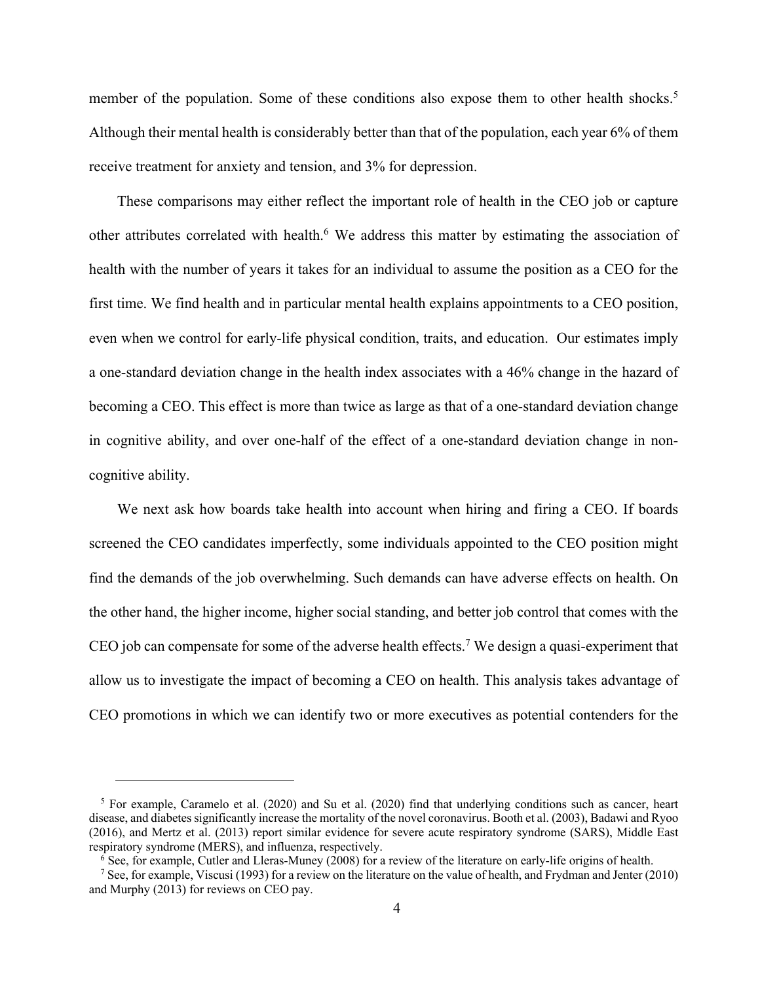member of the population. Some of these conditions also expose them to other health shocks.<sup>5</sup> Although their mental health is considerably better than that of the population, each year 6% of them receive treatment for anxiety and tension, and 3% for depression.

These comparisons may either reflect the important role of health in the CEO job or capture other attributes correlated with health.<sup>6</sup> We address this matter by estimating the association of health with the number of years it takes for an individual to assume the position as a CEO for the first time. We find health and in particular mental health explains appointments to a CEO position, even when we control for early-life physical condition, traits, and education. Our estimates imply a one-standard deviation change in the health index associates with a 46% change in the hazard of becoming a CEO. This effect is more than twice as large as that of a one-standard deviation change in cognitive ability, and over one-half of the effect of a one-standard deviation change in noncognitive ability.

We next ask how boards take health into account when hiring and firing a CEO. If boards screened the CEO candidates imperfectly, some individuals appointed to the CEO position might find the demands of the job overwhelming. Such demands can have adverse effects on health. On the other hand, the higher income, higher social standing, and better job control that comes with the CEO job can compensate for some of the adverse health effects.<sup>7</sup> We design a quasi-experiment that allow us to investigate the impact of becoming a CEO on health. This analysis takes advantage of CEO promotions in which we can identify two or more executives as potential contenders for the

 $5$  For example, Caramelo et al. (2020) and Su et al. (2020) find that underlying conditions such as cancer, heart disease, and diabetes significantly increase the mortality of the novel coronavirus. Booth et al. (2003), Badawi and Ryoo (2016), and Mertz et al. (2013) report similar evidence for severe acute respiratory syndrome (SARS), Middle East respiratory syndrome (MERS), and influenza, respectively.

 $6$  See, for example, Cutler and Lleras-Muney (2008) for a review of the literature on early-life origins of health.

<sup>7</sup> See, for example, Viscusi (1993) for a review on the literature on the value of health, and Frydman and Jenter (2010) and Murphy (2013) for reviews on CEO pay.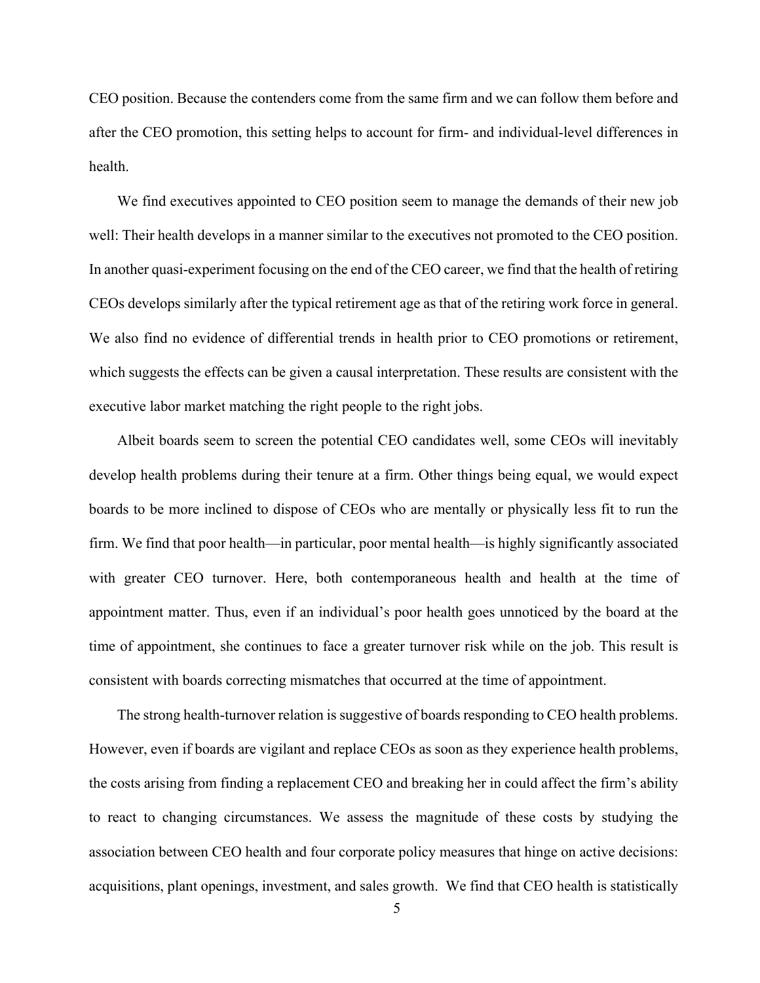CEO position. Because the contenders come from the same firm and we can follow them before and after the CEO promotion, this setting helps to account for firm- and individual-level differences in health.

We find executives appointed to CEO position seem to manage the demands of their new job well: Their health develops in a manner similar to the executives not promoted to the CEO position. In another quasi-experiment focusing on the end of the CEO career, we find that the health of retiring CEOs develops similarly after the typical retirement age as that of the retiring work force in general. We also find no evidence of differential trends in health prior to CEO promotions or retirement, which suggests the effects can be given a causal interpretation. These results are consistent with the executive labor market matching the right people to the right jobs.

Albeit boards seem to screen the potential CEO candidates well, some CEOs will inevitably develop health problems during their tenure at a firm. Other things being equal, we would expect boards to be more inclined to dispose of CEOs who are mentally or physically less fit to run the firm. We find that poor health—in particular, poor mental health—is highly significantly associated with greater CEO turnover. Here, both contemporaneous health and health at the time of appointment matter. Thus, even if an individual's poor health goes unnoticed by the board at the time of appointment, she continues to face a greater turnover risk while on the job. This result is consistent with boards correcting mismatches that occurred at the time of appointment.

The strong health-turnover relation is suggestive of boards responding to CEO health problems. However, even if boards are vigilant and replace CEOs as soon as they experience health problems, the costs arising from finding a replacement CEO and breaking her in could affect the firm's ability to react to changing circumstances. We assess the magnitude of these costs by studying the association between CEO health and four corporate policy measures that hinge on active decisions: acquisitions, plant openings, investment, and sales growth. We find that CEO health is statistically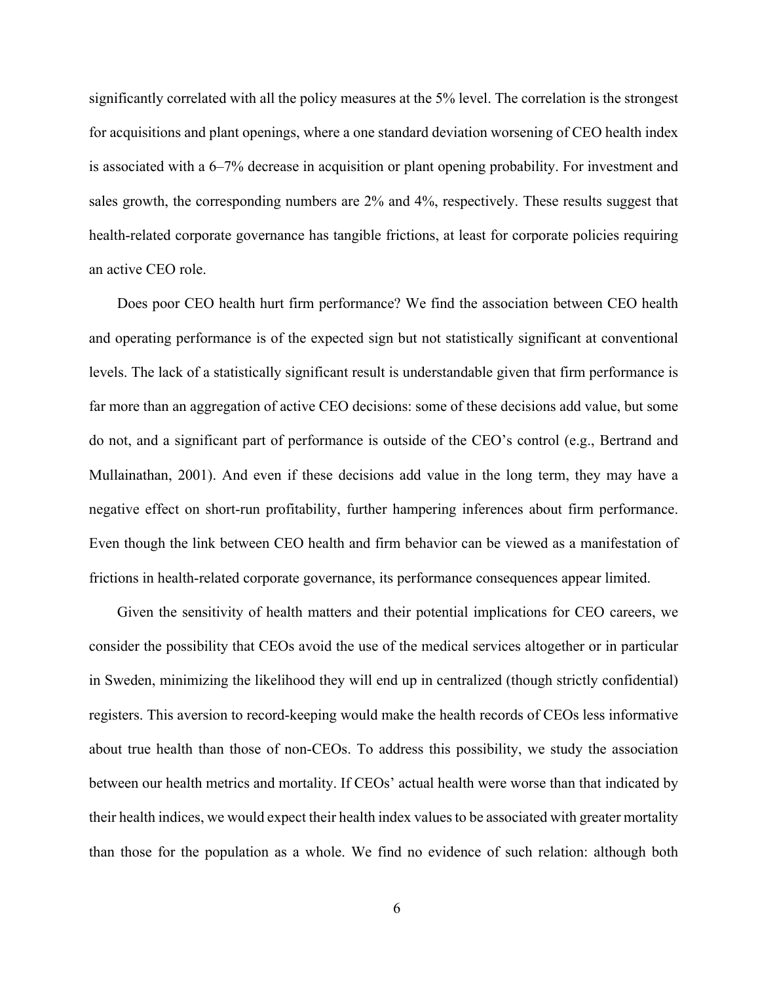significantly correlated with all the policy measures at the 5% level. The correlation is the strongest for acquisitions and plant openings, where a one standard deviation worsening of CEO health index is associated with a 6–7% decrease in acquisition or plant opening probability. For investment and sales growth, the corresponding numbers are 2% and 4%, respectively. These results suggest that health-related corporate governance has tangible frictions, at least for corporate policies requiring an active CEO role.

Does poor CEO health hurt firm performance? We find the association between CEO health and operating performance is of the expected sign but not statistically significant at conventional levels. The lack of a statistically significant result is understandable given that firm performance is far more than an aggregation of active CEO decisions: some of these decisions add value, but some do not, and a significant part of performance is outside of the CEO's control (e.g., Bertrand and Mullainathan, 2001). And even if these decisions add value in the long term, they may have a negative effect on short-run profitability, further hampering inferences about firm performance. Even though the link between CEO health and firm behavior can be viewed as a manifestation of frictions in health-related corporate governance, its performance consequences appear limited.

Given the sensitivity of health matters and their potential implications for CEO careers, we consider the possibility that CEOs avoid the use of the medical services altogether or in particular in Sweden, minimizing the likelihood they will end up in centralized (though strictly confidential) registers. This aversion to record-keeping would make the health records of CEOs less informative about true health than those of non-CEOs. To address this possibility, we study the association between our health metrics and mortality. If CEOs' actual health were worse than that indicated by their health indices, we would expect their health index values to be associated with greater mortality than those for the population as a whole. We find no evidence of such relation: although both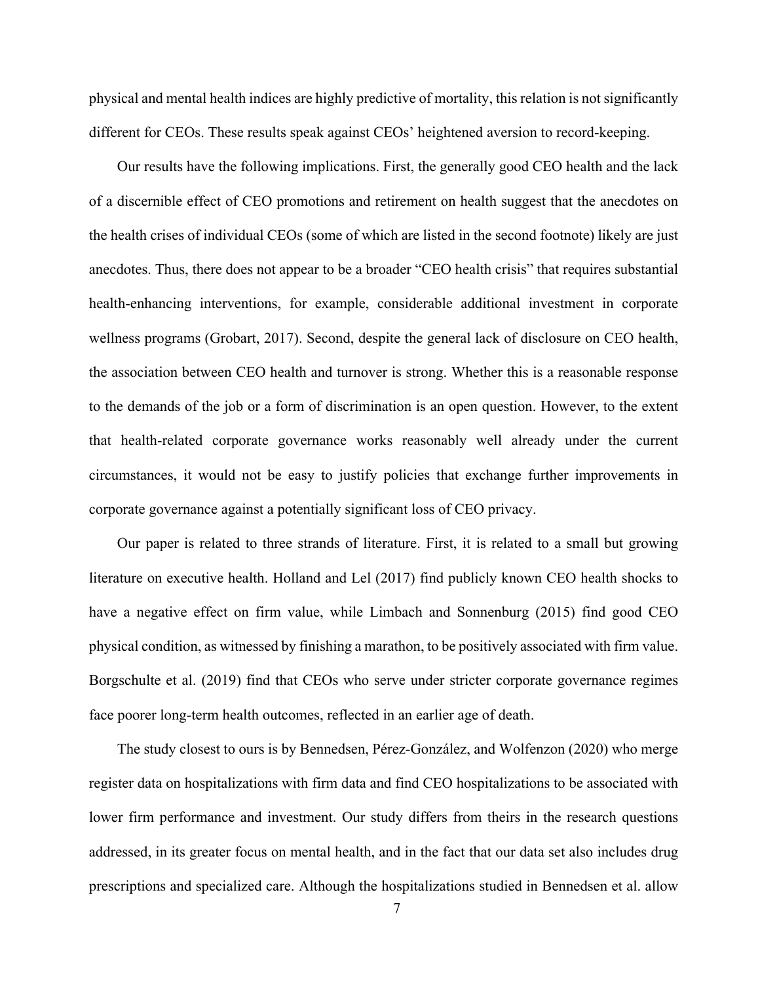physical and mental health indices are highly predictive of mortality, this relation is not significantly different for CEOs. These results speak against CEOs' heightened aversion to record-keeping.

Our results have the following implications. First, the generally good CEO health and the lack of a discernible effect of CEO promotions and retirement on health suggest that the anecdotes on the health crises of individual CEOs (some of which are listed in the second footnote) likely are just anecdotes. Thus, there does not appear to be a broader "CEO health crisis" that requires substantial health-enhancing interventions, for example, considerable additional investment in corporate wellness programs (Grobart, 2017). Second, despite the general lack of disclosure on CEO health, the association between CEO health and turnover is strong. Whether this is a reasonable response to the demands of the job or a form of discrimination is an open question. However, to the extent that health-related corporate governance works reasonably well already under the current circumstances, it would not be easy to justify policies that exchange further improvements in corporate governance against a potentially significant loss of CEO privacy.

Our paper is related to three strands of literature. First, it is related to a small but growing literature on executive health. Holland and Lel (2017) find publicly known CEO health shocks to have a negative effect on firm value, while Limbach and Sonnenburg (2015) find good CEO physical condition, as witnessed by finishing a marathon, to be positively associated with firm value. Borgschulte et al. (2019) find that CEOs who serve under stricter corporate governance regimes face poorer long-term health outcomes, reflected in an earlier age of death.

The study closest to ours is by Bennedsen, Pérez-González, and Wolfenzon (2020) who merge register data on hospitalizations with firm data and find CEO hospitalizations to be associated with lower firm performance and investment. Our study differs from theirs in the research questions addressed, in its greater focus on mental health, and in the fact that our data set also includes drug prescriptions and specialized care. Although the hospitalizations studied in Bennedsen et al. allow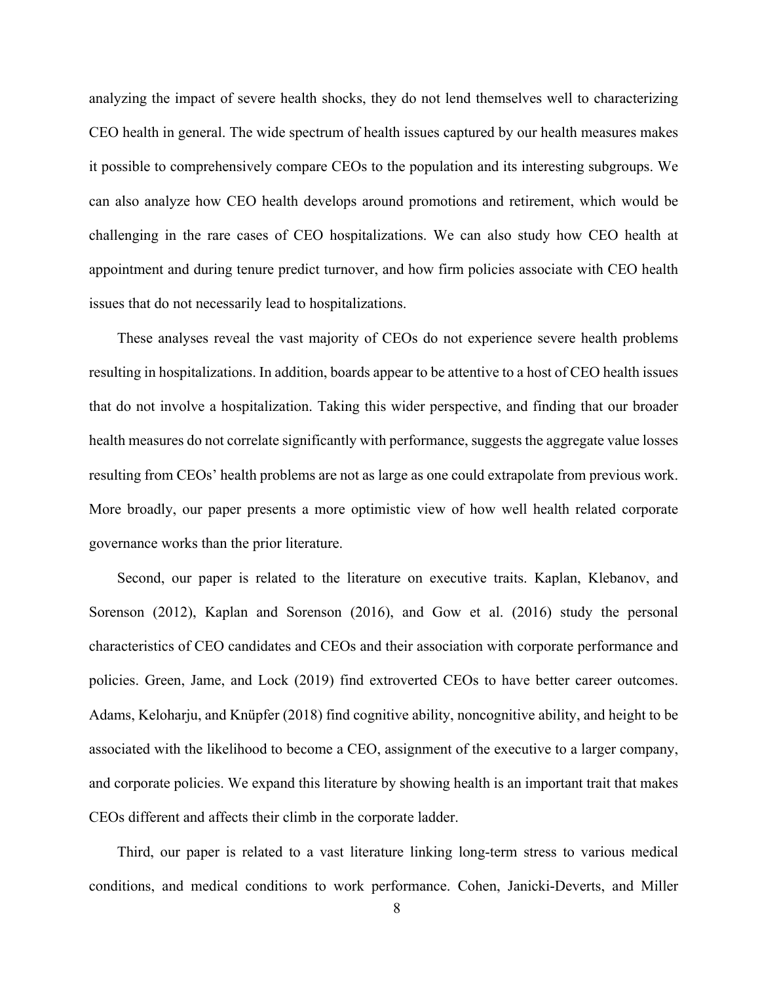analyzing the impact of severe health shocks, they do not lend themselves well to characterizing CEO health in general. The wide spectrum of health issues captured by our health measures makes it possible to comprehensively compare CEOs to the population and its interesting subgroups. We can also analyze how CEO health develops around promotions and retirement, which would be challenging in the rare cases of CEO hospitalizations. We can also study how CEO health at appointment and during tenure predict turnover, and how firm policies associate with CEO health issues that do not necessarily lead to hospitalizations.

These analyses reveal the vast majority of CEOs do not experience severe health problems resulting in hospitalizations. In addition, boards appear to be attentive to a host of CEO health issues that do not involve a hospitalization. Taking this wider perspective, and finding that our broader health measures do not correlate significantly with performance, suggests the aggregate value losses resulting from CEOs' health problems are not as large as one could extrapolate from previous work. More broadly, our paper presents a more optimistic view of how well health related corporate governance works than the prior literature.

Second, our paper is related to the literature on executive traits. Kaplan, Klebanov, and Sorenson (2012), Kaplan and Sorenson (2016), and Gow et al. (2016) study the personal characteristics of CEO candidates and CEOs and their association with corporate performance and policies. Green, Jame, and Lock (2019) find extroverted CEOs to have better career outcomes. Adams, Keloharju, and Knüpfer (2018) find cognitive ability, noncognitive ability, and height to be associated with the likelihood to become a CEO, assignment of the executive to a larger company, and corporate policies. We expand this literature by showing health is an important trait that makes CEOs different and affects their climb in the corporate ladder.

Third, our paper is related to a vast literature linking long-term stress to various medical conditions, and medical conditions to work performance. Cohen, Janicki-Deverts, and Miller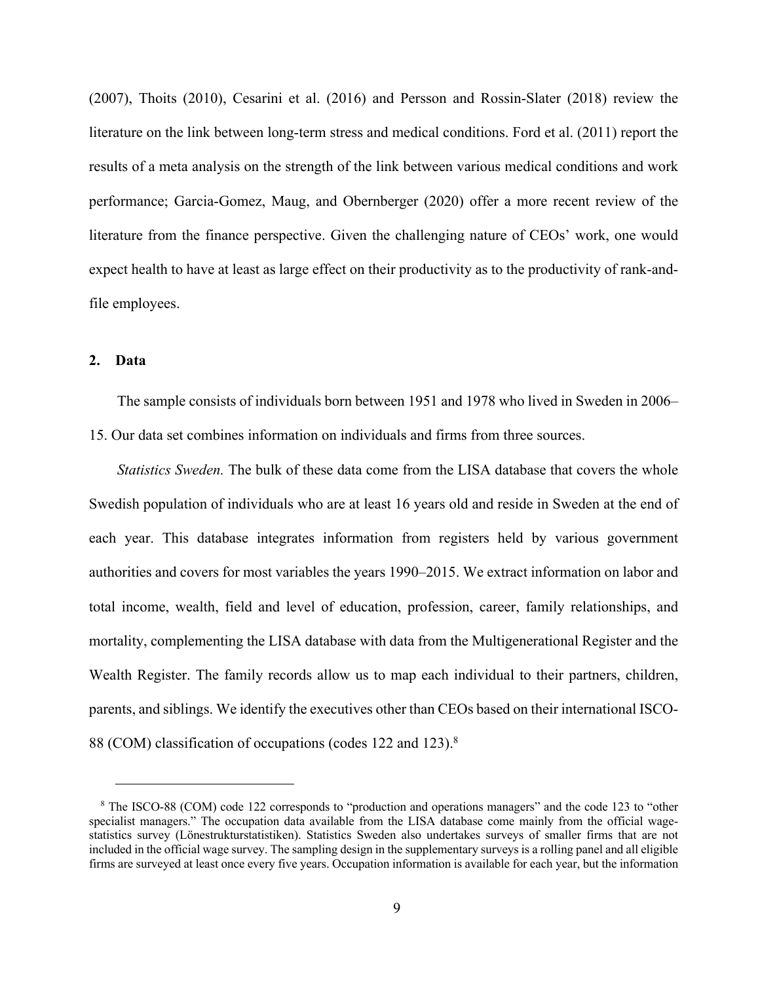(2007), Thoits (2010), Cesarini et al. (2016) and Persson and Rossin-Slater (2018) review the literature on the link between long-term stress and medical conditions. Ford et al. (2011) report the results of a meta analysis on the strength of the link between various medical conditions and work performance; Garcia-Gomez, Maug, and Obernberger (2020) offer a more recent review of the literature from the finance perspective. Given the challenging nature of CEOs' work, one would expect health to have at least as large effect on their productivity as to the productivity of rank-andfile employees.

## **2. Data**

The sample consists of individuals born between 1951 and 1978 who lived in Sweden in 2006– 15. Our data set combines information on individuals and firms from three sources.

*Statistics Sweden.* The bulk of these data come from the LISA database that covers the whole Swedish population of individuals who are at least 16 years old and reside in Sweden at the end of each year. This database integrates information from registers held by various government authorities and covers for most variables the years 1990–2015. We extract information on labor and total income, wealth, field and level of education, profession, career, family relationships, and mortality, complementing the LISA database with data from the Multigenerational Register and the Wealth Register. The family records allow us to map each individual to their partners, children, parents, and siblings. We identify the executives other than CEOs based on their international ISCO-88 (COM) classification of occupations (codes 122 and 123).<sup>8</sup>

<sup>8</sup> The ISCO-88 (COM) code 122 corresponds to "production and operations managers" and the code 123 to "other specialist managers." The occupation data available from the LISA database come mainly from the official wagestatistics survey (Lönestrukturstatistiken). Statistics Sweden also undertakes surveys of smaller firms that are not included in the official wage survey. The sampling design in the supplementary surveys is a rolling panel and all eligible firms are surveyed at least once every five years. Occupation information is available for each year, but the information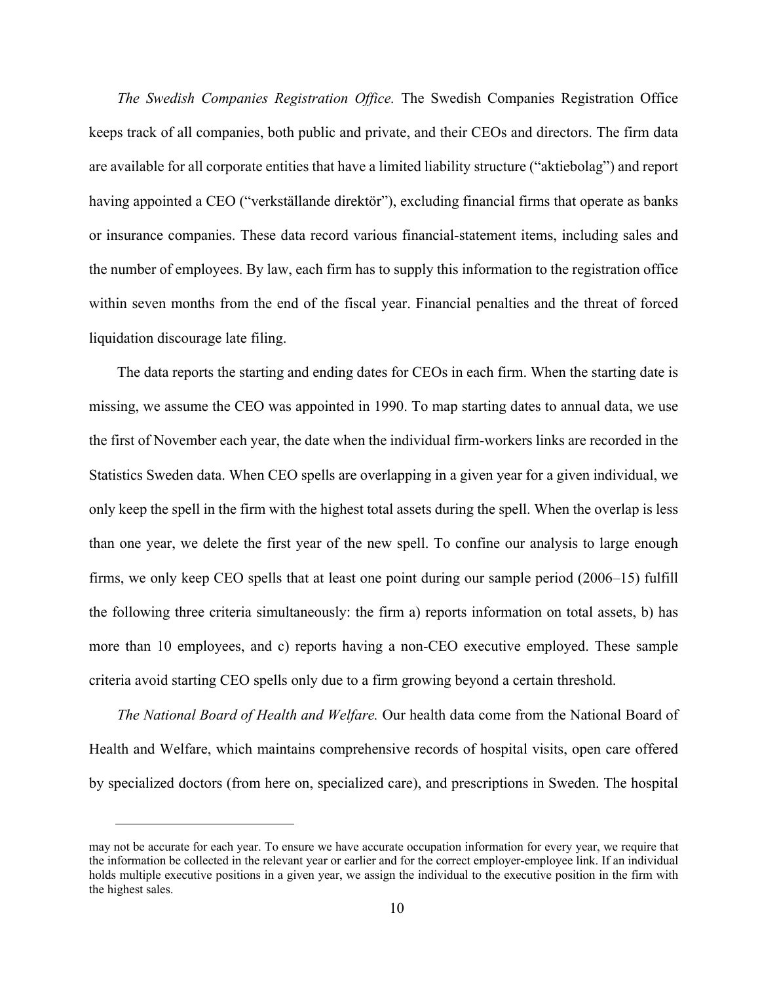*The Swedish Companies Registration Office.* The Swedish Companies Registration Office keeps track of all companies, both public and private, and their CEOs and directors. The firm data are available for all corporate entities that have a limited liability structure ("aktiebolag") and report having appointed a CEO ("verkställande direktör"), excluding financial firms that operate as banks or insurance companies. These data record various financial-statement items, including sales and the number of employees. By law, each firm has to supply this information to the registration office within seven months from the end of the fiscal year. Financial penalties and the threat of forced liquidation discourage late filing.

The data reports the starting and ending dates for CEOs in each firm. When the starting date is missing, we assume the CEO was appointed in 1990. To map starting dates to annual data, we use the first of November each year, the date when the individual firm-workers links are recorded in the Statistics Sweden data. When CEO spells are overlapping in a given year for a given individual, we only keep the spell in the firm with the highest total assets during the spell. When the overlap is less than one year, we delete the first year of the new spell. To confine our analysis to large enough firms, we only keep CEO spells that at least one point during our sample period (2006–15) fulfill the following three criteria simultaneously: the firm a) reports information on total assets, b) has more than 10 employees, and c) reports having a non-CEO executive employed. These sample criteria avoid starting CEO spells only due to a firm growing beyond a certain threshold.

*The National Board of Health and Welfare.* Our health data come from the National Board of Health and Welfare, which maintains comprehensive records of hospital visits, open care offered by specialized doctors (from here on, specialized care), and prescriptions in Sweden. The hospital

may not be accurate for each year. To ensure we have accurate occupation information for every year, we require that the information be collected in the relevant year or earlier and for the correct employer-employee link. If an individual holds multiple executive positions in a given year, we assign the individual to the executive position in the firm with the highest sales.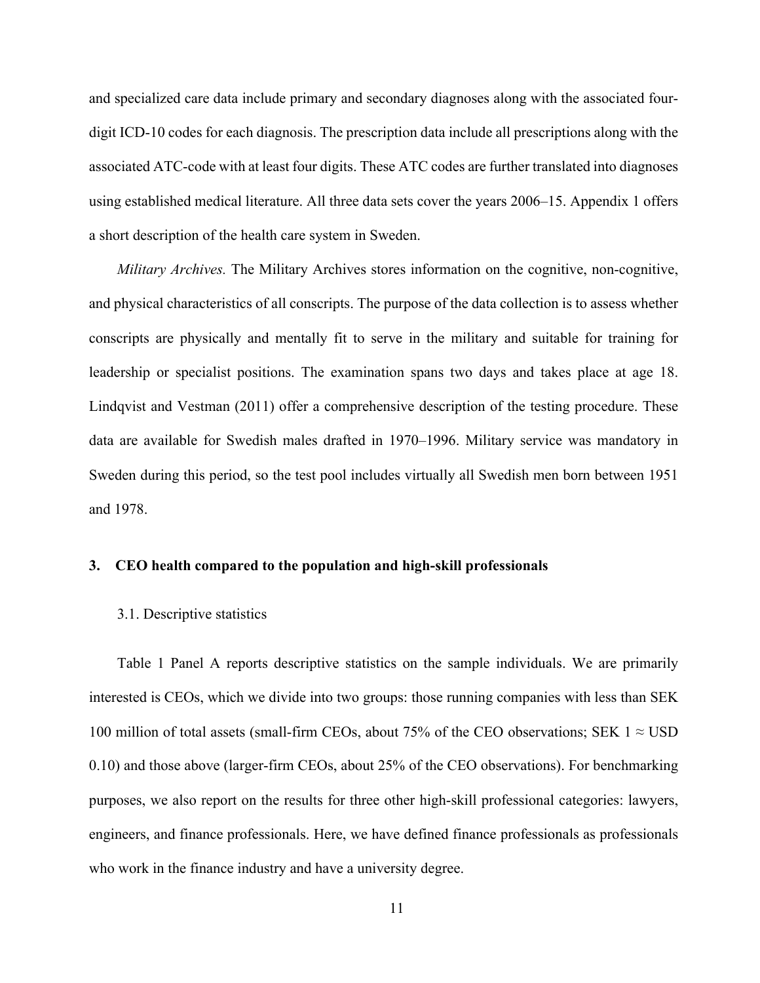and specialized care data include primary and secondary diagnoses along with the associated fourdigit ICD-10 codes for each diagnosis. The prescription data include all prescriptions along with the associated ATC-code with at least four digits. These ATC codes are further translated into diagnoses using established medical literature. All three data sets cover the years 2006–15. Appendix 1 offers a short description of the health care system in Sweden.

*Military Archives.* The Military Archives stores information on the cognitive, non-cognitive, and physical characteristics of all conscripts. The purpose of the data collection is to assess whether conscripts are physically and mentally fit to serve in the military and suitable for training for leadership or specialist positions. The examination spans two days and takes place at age 18. Lindqvist and Vestman (2011) offer a comprehensive description of the testing procedure. These data are available for Swedish males drafted in 1970–1996. Military service was mandatory in Sweden during this period, so the test pool includes virtually all Swedish men born between 1951 and 1978.

## **3. CEO health compared to the population and high-skill professionals**

## 3.1. Descriptive statistics

Table 1 Panel A reports descriptive statistics on the sample individuals. We are primarily interested is CEOs, which we divide into two groups: those running companies with less than SEK 100 million of total assets (small-firm CEOs, about 75% of the CEO observations; SEK  $1 \approx$  USD 0.10) and those above (larger-firm CEOs, about 25% of the CEO observations). For benchmarking purposes, we also report on the results for three other high-skill professional categories: lawyers, engineers, and finance professionals. Here, we have defined finance professionals as professionals who work in the finance industry and have a university degree.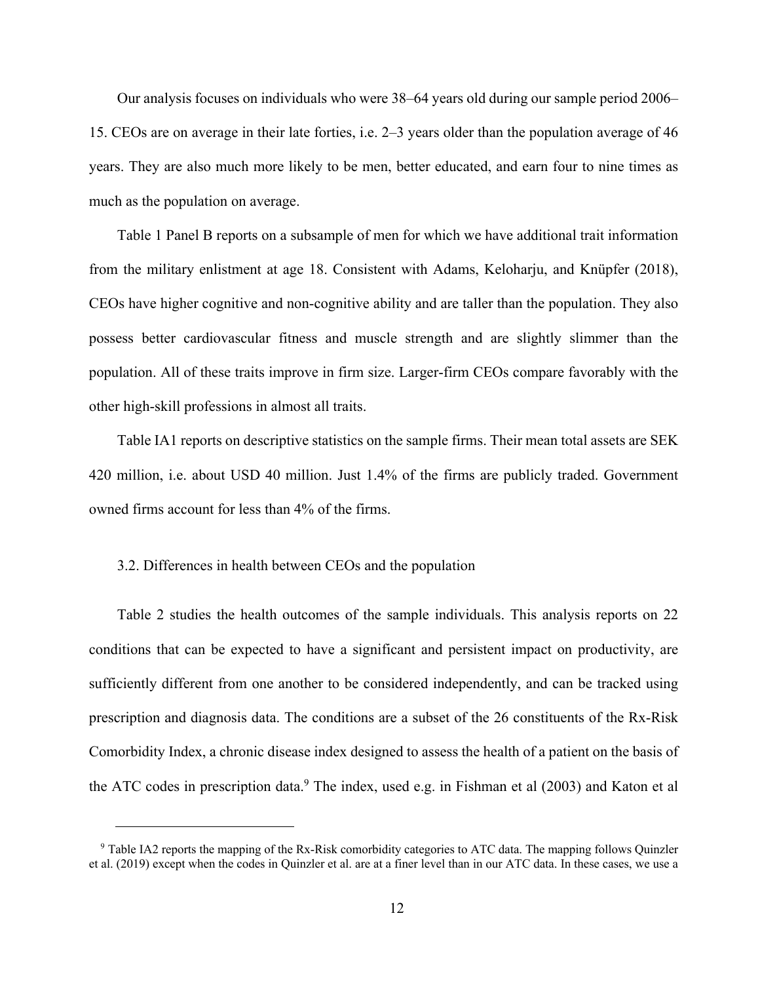Our analysis focuses on individuals who were 38–64 years old during our sample period 2006– 15. CEOs are on average in their late forties, i.e. 2–3 years older than the population average of 46 years. They are also much more likely to be men, better educated, and earn four to nine times as much as the population on average.

Table 1 Panel B reports on a subsample of men for which we have additional trait information from the military enlistment at age 18. Consistent with Adams, Keloharju, and Knüpfer (2018), CEOs have higher cognitive and non-cognitive ability and are taller than the population. They also possess better cardiovascular fitness and muscle strength and are slightly slimmer than the population. All of these traits improve in firm size. Larger-firm CEOs compare favorably with the other high-skill professions in almost all traits.

Table IA1 reports on descriptive statistics on the sample firms. Their mean total assets are SEK 420 million, i.e. about USD 40 million. Just 1.4% of the firms are publicly traded. Government owned firms account for less than 4% of the firms.

## 3.2. Differences in health between CEOs and the population

Table 2 studies the health outcomes of the sample individuals. This analysis reports on 22 conditions that can be expected to have a significant and persistent impact on productivity, are sufficiently different from one another to be considered independently, and can be tracked using prescription and diagnosis data. The conditions are a subset of the 26 constituents of the Rx-Risk Comorbidity Index, a chronic disease index designed to assess the health of a patient on the basis of the ATC codes in prescription data.<sup>9</sup> The index, used e.g. in Fishman et al  $(2003)$  and Katon et al

<sup>9</sup> Table IA2 reports the mapping of the Rx-Risk comorbidity categories to ATC data. The mapping follows Quinzler et al. (2019) except when the codes in Quinzler et al. are at a finer level than in our ATC data. In these cases, we use a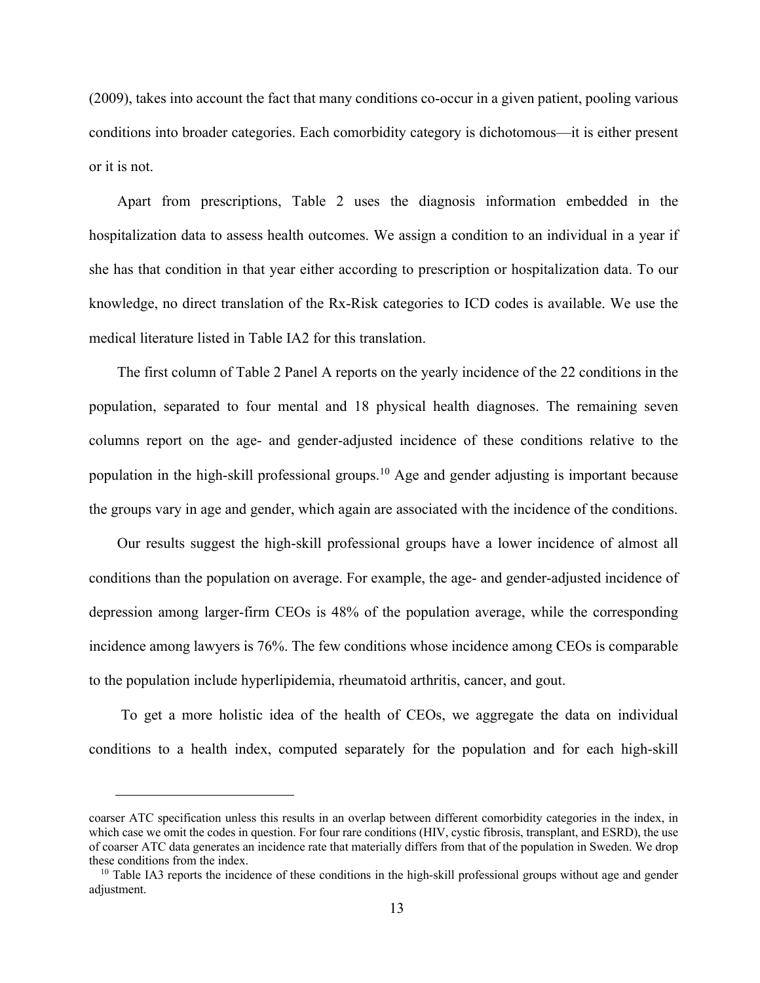(2009), takes into account the fact that many conditions co-occur in a given patient, pooling various conditions into broader categories. Each comorbidity category is dichotomous—it is either present or it is not.

Apart from prescriptions, Table 2 uses the diagnosis information embedded in the hospitalization data to assess health outcomes. We assign a condition to an individual in a year if she has that condition in that year either according to prescription or hospitalization data. To our knowledge, no direct translation of the Rx-Risk categories to ICD codes is available. We use the medical literature listed in Table IA2 for this translation.

The first column of Table 2 Panel A reports on the yearly incidence of the 22 conditions in the population, separated to four mental and 18 physical health diagnoses. The remaining seven columns report on the age- and gender-adjusted incidence of these conditions relative to the population in the high-skill professional groups.<sup>10</sup> Age and gender adjusting is important because the groups vary in age and gender, which again are associated with the incidence of the conditions.

Our results suggest the high-skill professional groups have a lower incidence of almost all conditions than the population on average. For example, the age- and gender-adjusted incidence of depression among larger-firm CEOs is 48% of the population average, while the corresponding incidence among lawyers is 76%. The few conditions whose incidence among CEOs is comparable to the population include hyperlipidemia, rheumatoid arthritis, cancer, and gout.

To get a more holistic idea of the health of CEOs, we aggregate the data on individual conditions to a health index, computed separately for the population and for each high-skill

coarser ATC specification unless this results in an overlap between different comorbidity categories in the index, in which case we omit the codes in question. For four rare conditions (HIV, cystic fibrosis, transplant, and ESRD), the use of coarser ATC data generates an incidence rate that materially differs from that of the population in Sweden. We drop these conditions from the index.<br><sup>10</sup> Table IA3 reports the incidence of these conditions in the high-skill professional groups without age and gender

adjustment.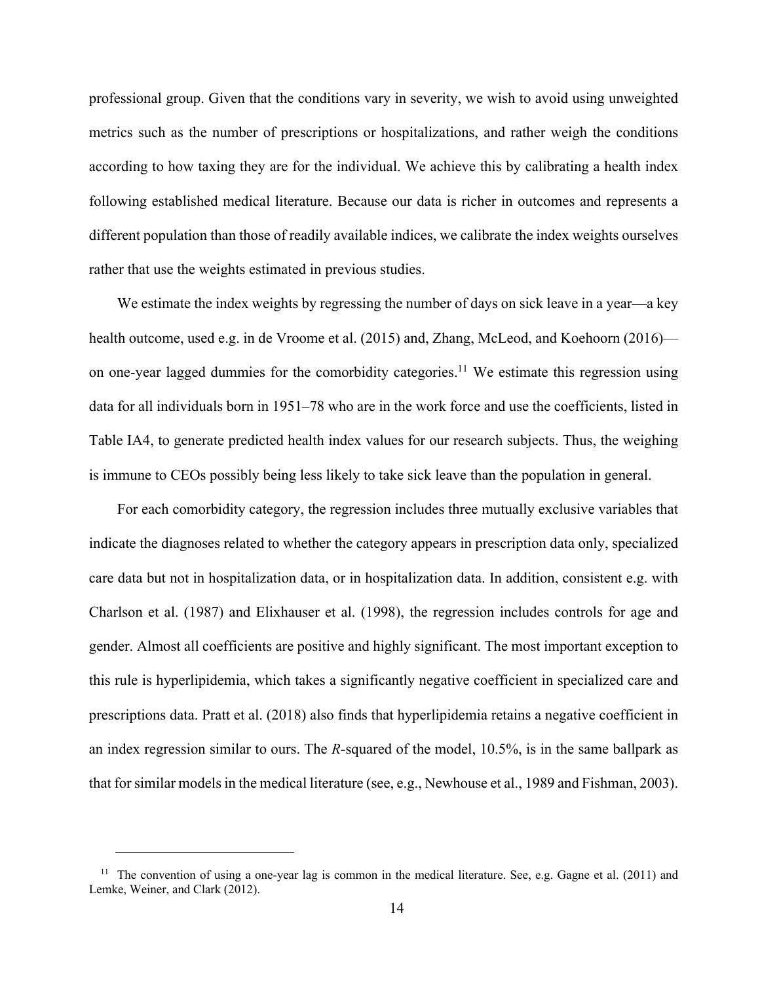professional group. Given that the conditions vary in severity, we wish to avoid using unweighted metrics such as the number of prescriptions or hospitalizations, and rather weigh the conditions according to how taxing they are for the individual. We achieve this by calibrating a health index following established medical literature. Because our data is richer in outcomes and represents a different population than those of readily available indices, we calibrate the index weights ourselves rather that use the weights estimated in previous studies.

We estimate the index weights by regressing the number of days on sick leave in a year—a key health outcome, used e.g. in de Vroome et al. (2015) and, Zhang, McLeod, and Koehoorn (2016) on one-year lagged dummies for the comorbidity categories.<sup>11</sup> We estimate this regression using data for all individuals born in 1951–78 who are in the work force and use the coefficients, listed in Table IA4, to generate predicted health index values for our research subjects. Thus, the weighing is immune to CEOs possibly being less likely to take sick leave than the population in general.

For each comorbidity category, the regression includes three mutually exclusive variables that indicate the diagnoses related to whether the category appears in prescription data only, specialized care data but not in hospitalization data, or in hospitalization data. In addition, consistent e.g. with Charlson et al. (1987) and Elixhauser et al. (1998), the regression includes controls for age and gender. Almost all coefficients are positive and highly significant. The most important exception to this rule is hyperlipidemia, which takes a significantly negative coefficient in specialized care and prescriptions data. Pratt et al. (2018) also finds that hyperlipidemia retains a negative coefficient in an index regression similar to ours. The *R*-squared of the model, 10.5%, is in the same ballpark as that for similar models in the medical literature (see, e.g., Newhouse et al., 1989 and Fishman, 2003).

<sup>&</sup>lt;sup>11</sup> The convention of using a one-year lag is common in the medical literature. See, e.g. Gagne et al.  $(2011)$  and Lemke, Weiner, and Clark (2012).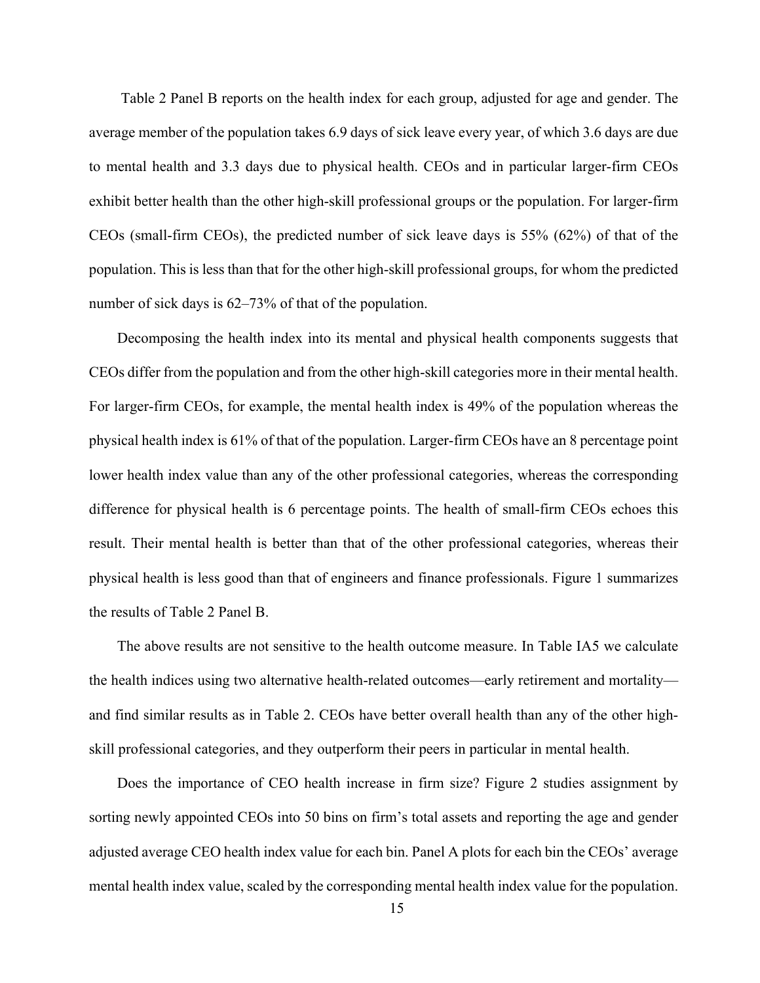Table 2 Panel B reports on the health index for each group, adjusted for age and gender. The average member of the population takes 6.9 days of sick leave every year, of which 3.6 days are due to mental health and 3.3 days due to physical health. CEOs and in particular larger-firm CEOs exhibit better health than the other high-skill professional groups or the population. For larger-firm CEOs (small-firm CEOs), the predicted number of sick leave days is 55% (62%) of that of the population. This is less than that for the other high-skill professional groups, for whom the predicted number of sick days is  $62-73\%$  of that of the population.

Decomposing the health index into its mental and physical health components suggests that CEOs differ from the population and from the other high-skill categories more in their mental health. For larger-firm CEOs, for example, the mental health index is 49% of the population whereas the physical health index is 61% of that of the population. Larger-firm CEOs have an 8 percentage point lower health index value than any of the other professional categories, whereas the corresponding difference for physical health is 6 percentage points. The health of small-firm CEOs echoes this result. Their mental health is better than that of the other professional categories, whereas their physical health is less good than that of engineers and finance professionals. Figure 1 summarizes the results of Table 2 Panel B.

The above results are not sensitive to the health outcome measure. In Table IA5 we calculate the health indices using two alternative health-related outcomes—early retirement and mortality and find similar results as in Table 2. CEOs have better overall health than any of the other highskill professional categories, and they outperform their peers in particular in mental health.

Does the importance of CEO health increase in firm size? Figure 2 studies assignment by sorting newly appointed CEOs into 50 bins on firm's total assets and reporting the age and gender adjusted average CEO health index value for each bin. Panel A plots for each bin the CEOs' average mental health index value, scaled by the corresponding mental health index value for the population.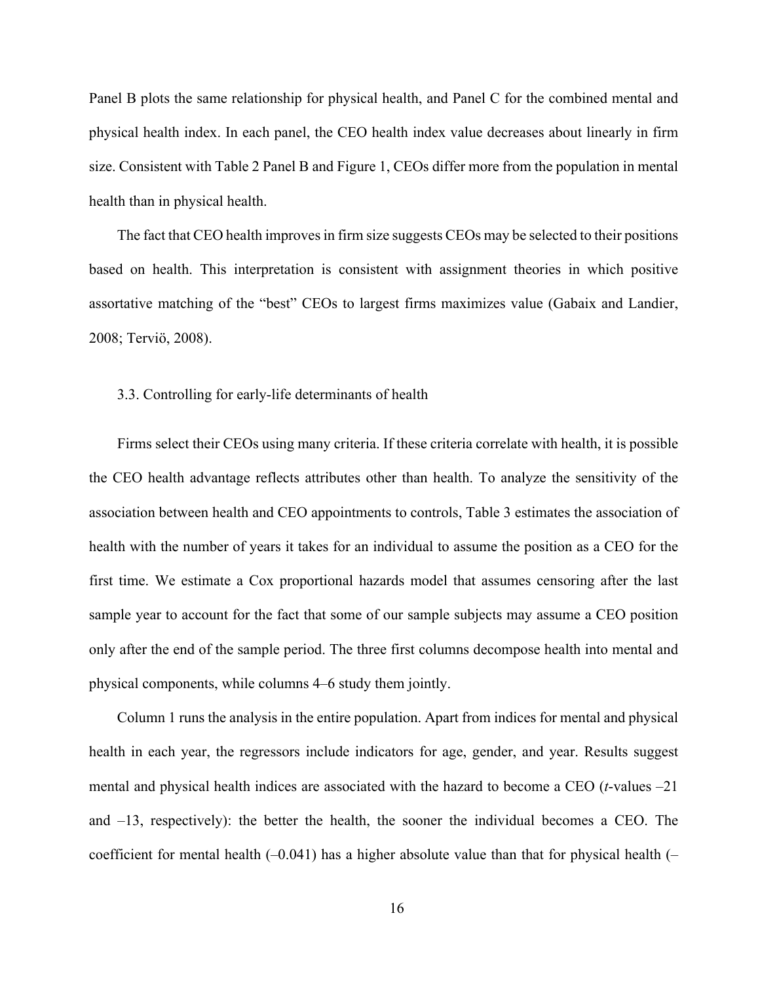Panel B plots the same relationship for physical health, and Panel C for the combined mental and physical health index. In each panel, the CEO health index value decreases about linearly in firm size. Consistent with Table 2 Panel B and Figure 1, CEOs differ more from the population in mental health than in physical health.

The fact that CEO health improves in firm size suggests CEOs may be selected to their positions based on health. This interpretation is consistent with assignment theories in which positive assortative matching of the "best" CEOs to largest firms maximizes value (Gabaix and Landier, 2008; Terviö, 2008).

## 3.3. Controlling for early-life determinants of health

Firms select their CEOs using many criteria. If these criteria correlate with health, it is possible the CEO health advantage reflects attributes other than health. To analyze the sensitivity of the association between health and CEO appointments to controls, Table 3 estimates the association of health with the number of years it takes for an individual to assume the position as a CEO for the first time. We estimate a Cox proportional hazards model that assumes censoring after the last sample year to account for the fact that some of our sample subjects may assume a CEO position only after the end of the sample period. The three first columns decompose health into mental and physical components, while columns 4–6 study them jointly.

Column 1 runs the analysis in the entire population. Apart from indices for mental and physical health in each year, the regressors include indicators for age, gender, and year. Results suggest mental and physical health indices are associated with the hazard to become a CEO (*t*-values –21 and –13, respectively): the better the health, the sooner the individual becomes a CEO. The coefficient for mental health  $(-0.041)$  has a higher absolute value than that for physical health  $(-$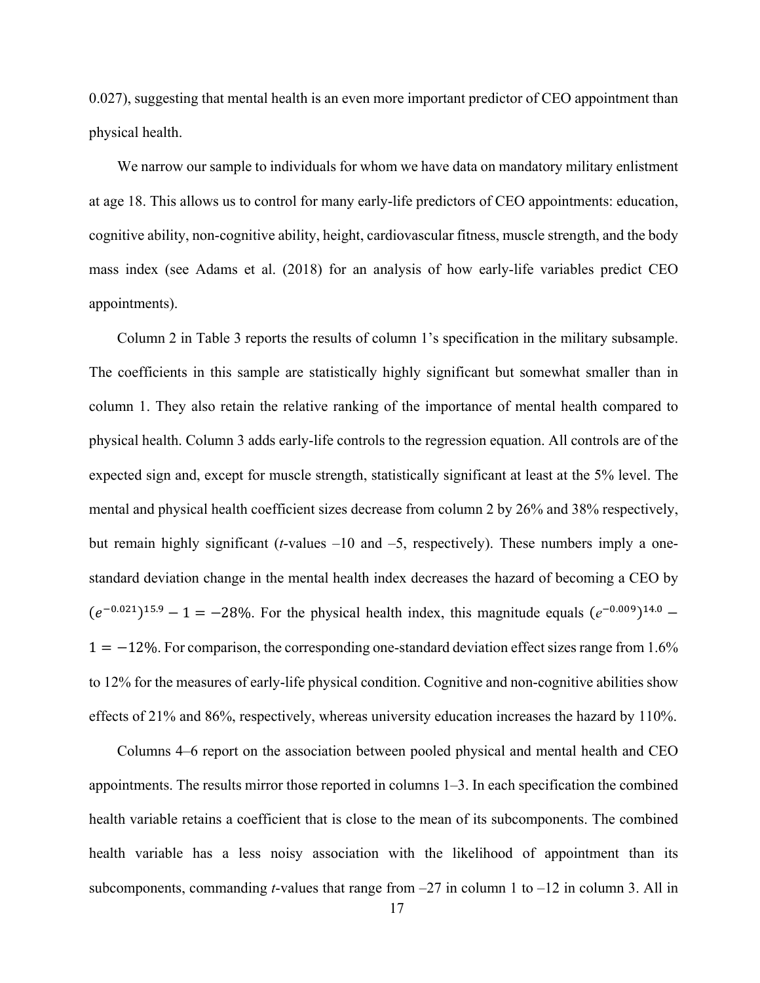0.027), suggesting that mental health is an even more important predictor of CEO appointment than physical health.

We narrow our sample to individuals for whom we have data on mandatory military enlistment at age 18. This allows us to control for many early-life predictors of CEO appointments: education, cognitive ability, non-cognitive ability, height, cardiovascular fitness, muscle strength, and the body mass index (see Adams et al. (2018) for an analysis of how early-life variables predict CEO appointments).

Column 2 in Table 3 reports the results of column 1's specification in the military subsample. The coefficients in this sample are statistically highly significant but somewhat smaller than in column 1. They also retain the relative ranking of the importance of mental health compared to physical health. Column 3 adds early-life controls to the regression equation. All controls are of the expected sign and, except for muscle strength, statistically significant at least at the 5% level. The mental and physical health coefficient sizes decrease from column 2 by 26% and 38% respectively, but remain highly significant (*t*-values –10 and –5, respectively). These numbers imply a onestandard deviation change in the mental health index decreases the hazard of becoming a CEO by  $(e^{-0.021})^{15.9} - 1 = -28\%$ . For the physical health index, this magnitude equals  $(e^{-0.009})^{14.0}$  –  $1 = -12\%$ . For comparison, the corresponding one-standard deviation effect sizes range from 1.6% to 12% for the measures of early-life physical condition. Cognitive and non-cognitive abilities show effects of 21% and 86%, respectively, whereas university education increases the hazard by 110%.

Columns 4–6 report on the association between pooled physical and mental health and CEO appointments. The results mirror those reported in columns 1–3. In each specification the combined health variable retains a coefficient that is close to the mean of its subcomponents. The combined health variable has a less noisy association with the likelihood of appointment than its subcomponents, commanding *t*-values that range from –27 in column 1 to –12 in column 3. All in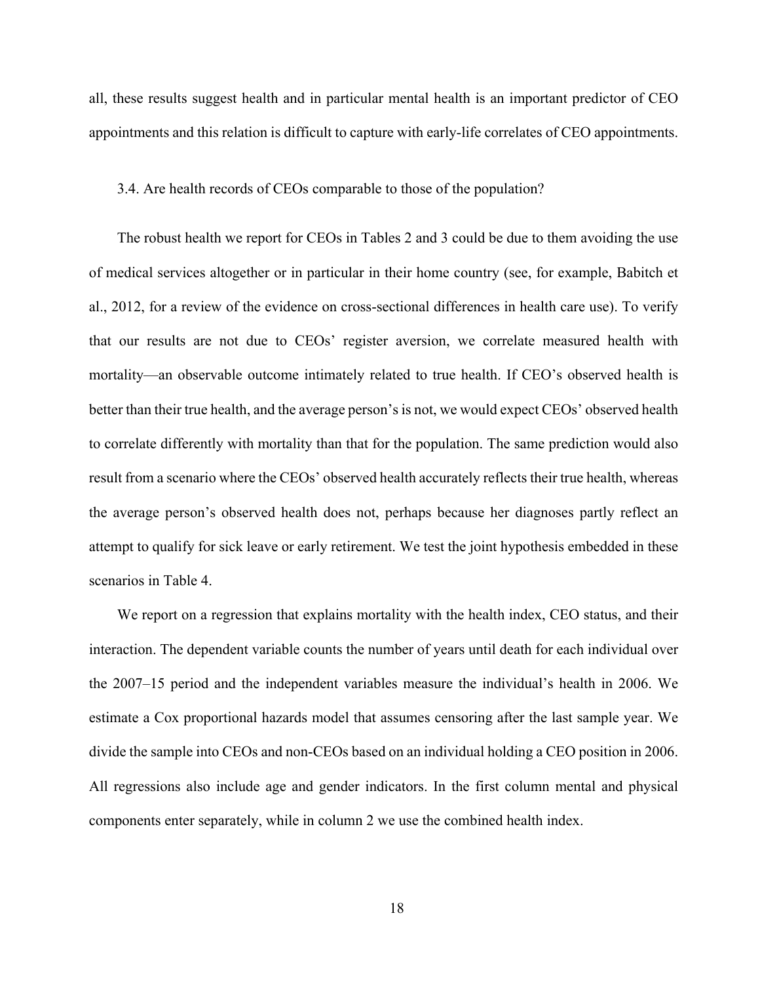all, these results suggest health and in particular mental health is an important predictor of CEO appointments and this relation is difficult to capture with early-life correlates of CEO appointments.

## 3.4. Are health records of CEOs comparable to those of the population?

The robust health we report for CEOs in Tables 2 and 3 could be due to them avoiding the use of medical services altogether or in particular in their home country (see, for example, Babitch et al., 2012, for a review of the evidence on cross-sectional differences in health care use). To verify that our results are not due to CEOs' register aversion, we correlate measured health with mortality—an observable outcome intimately related to true health. If CEO's observed health is better than their true health, and the average person's is not, we would expect CEOs' observed health to correlate differently with mortality than that for the population. The same prediction would also result from a scenario where the CEOs' observed health accurately reflects their true health, whereas the average person's observed health does not, perhaps because her diagnoses partly reflect an attempt to qualify for sick leave or early retirement. We test the joint hypothesis embedded in these scenarios in Table 4.

We report on a regression that explains mortality with the health index, CEO status, and their interaction. The dependent variable counts the number of years until death for each individual over the 2007–15 period and the independent variables measure the individual's health in 2006. We estimate a Cox proportional hazards model that assumes censoring after the last sample year. We divide the sample into CEOs and non-CEOs based on an individual holding a CEO position in 2006. All regressions also include age and gender indicators. In the first column mental and physical components enter separately, while in column 2 we use the combined health index.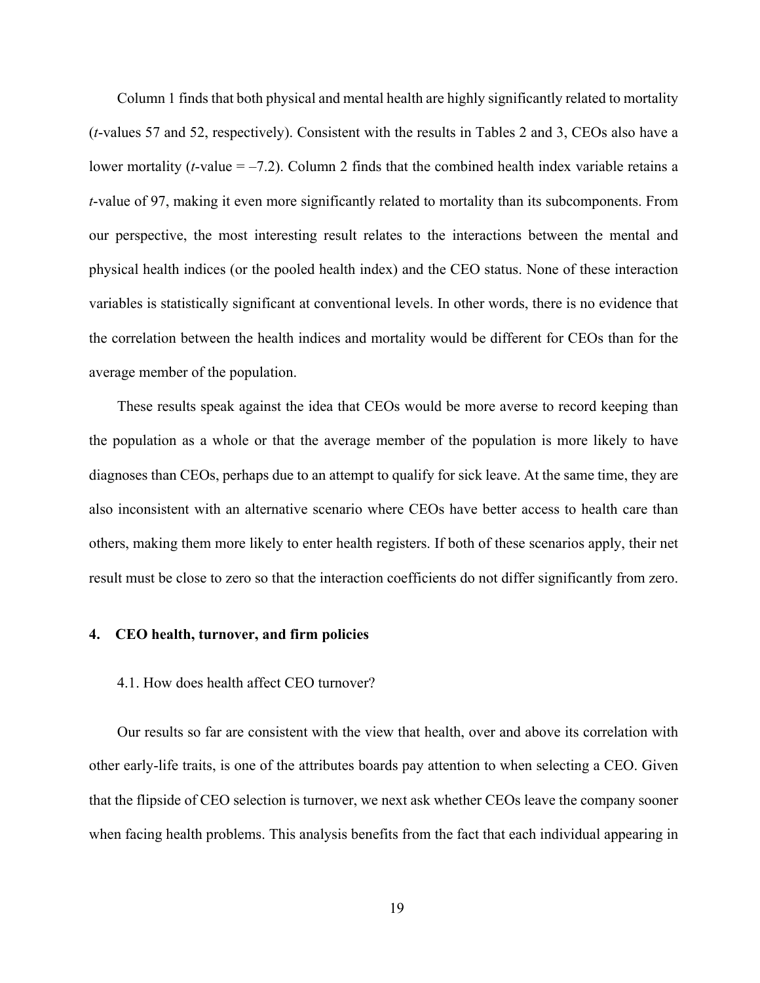Column 1 finds that both physical and mental health are highly significantly related to mortality (*t*-values 57 and 52, respectively). Consistent with the results in Tables 2 and 3, CEOs also have a lower mortality (*t*-value = –7.2). Column 2 finds that the combined health index variable retains a *t*-value of 97, making it even more significantly related to mortality than its subcomponents. From our perspective, the most interesting result relates to the interactions between the mental and physical health indices (or the pooled health index) and the CEO status. None of these interaction variables is statistically significant at conventional levels. In other words, there is no evidence that the correlation between the health indices and mortality would be different for CEOs than for the average member of the population.

These results speak against the idea that CEOs would be more averse to record keeping than the population as a whole or that the average member of the population is more likely to have diagnoses than CEOs, perhaps due to an attempt to qualify for sick leave. At the same time, they are also inconsistent with an alternative scenario where CEOs have better access to health care than others, making them more likely to enter health registers. If both of these scenarios apply, their net result must be close to zero so that the interaction coefficients do not differ significantly from zero.

## **4. CEO health, turnover, and firm policies**

## 4.1. How does health affect CEO turnover?

Our results so far are consistent with the view that health, over and above its correlation with other early-life traits, is one of the attributes boards pay attention to when selecting a CEO. Given that the flipside of CEO selection is turnover, we next ask whether CEOs leave the company sooner when facing health problems. This analysis benefits from the fact that each individual appearing in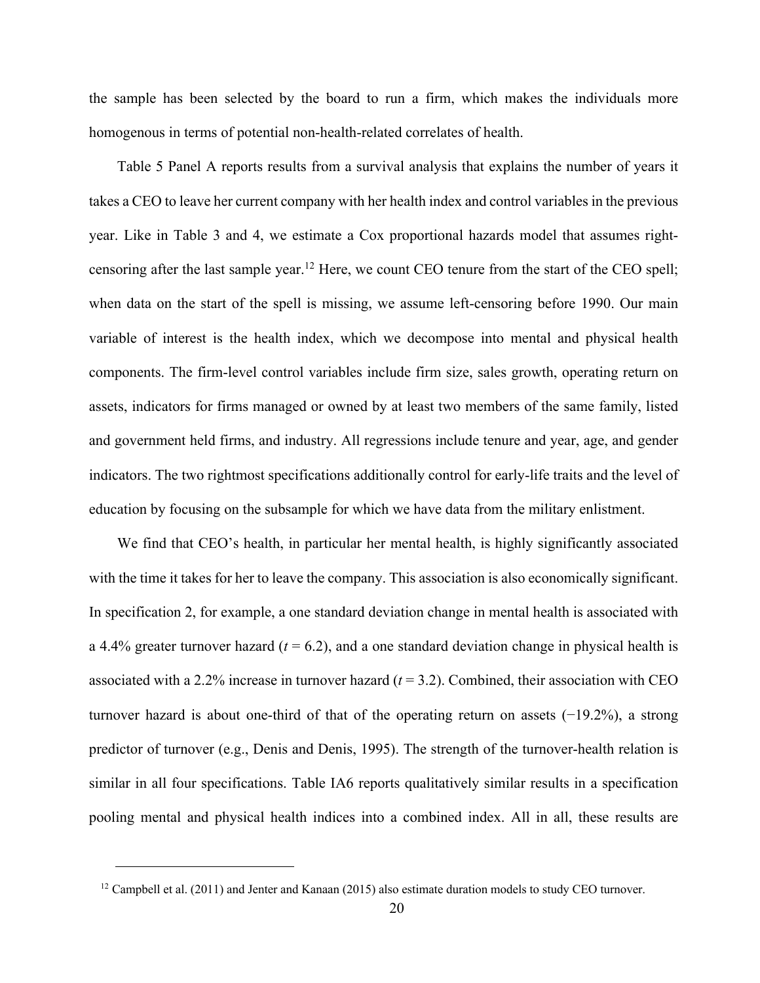the sample has been selected by the board to run a firm, which makes the individuals more homogenous in terms of potential non-health-related correlates of health.

Table 5 Panel A reports results from a survival analysis that explains the number of years it takes a CEO to leave her current company with her health index and control variables in the previous year. Like in Table 3 and 4, we estimate a Cox proportional hazards model that assumes rightcensoring after the last sample year.<sup>12</sup> Here, we count CEO tenure from the start of the CEO spell; when data on the start of the spell is missing, we assume left-censoring before 1990. Our main variable of interest is the health index, which we decompose into mental and physical health components. The firm-level control variables include firm size, sales growth, operating return on assets, indicators for firms managed or owned by at least two members of the same family, listed and government held firms, and industry. All regressions include tenure and year, age, and gender indicators. The two rightmost specifications additionally control for early-life traits and the level of education by focusing on the subsample for which we have data from the military enlistment.

We find that CEO's health, in particular her mental health, is highly significantly associated with the time it takes for her to leave the company. This association is also economically significant. In specification 2, for example, a one standard deviation change in mental health is associated with a 4.4% greater turnover hazard  $(t = 6.2)$ , and a one standard deviation change in physical health is associated with a 2.2% increase in turnover hazard  $(t = 3.2)$ . Combined, their association with CEO turnover hazard is about one-third of that of the operating return on assets (−19.2%), a strong predictor of turnover (e.g., Denis and Denis, 1995). The strength of the turnover-health relation is similar in all four specifications. Table IA6 reports qualitatively similar results in a specification pooling mental and physical health indices into a combined index. All in all, these results are

<sup>&</sup>lt;sup>12</sup> Campbell et al. (2011) and Jenter and Kanaan (2015) also estimate duration models to study CEO turnover.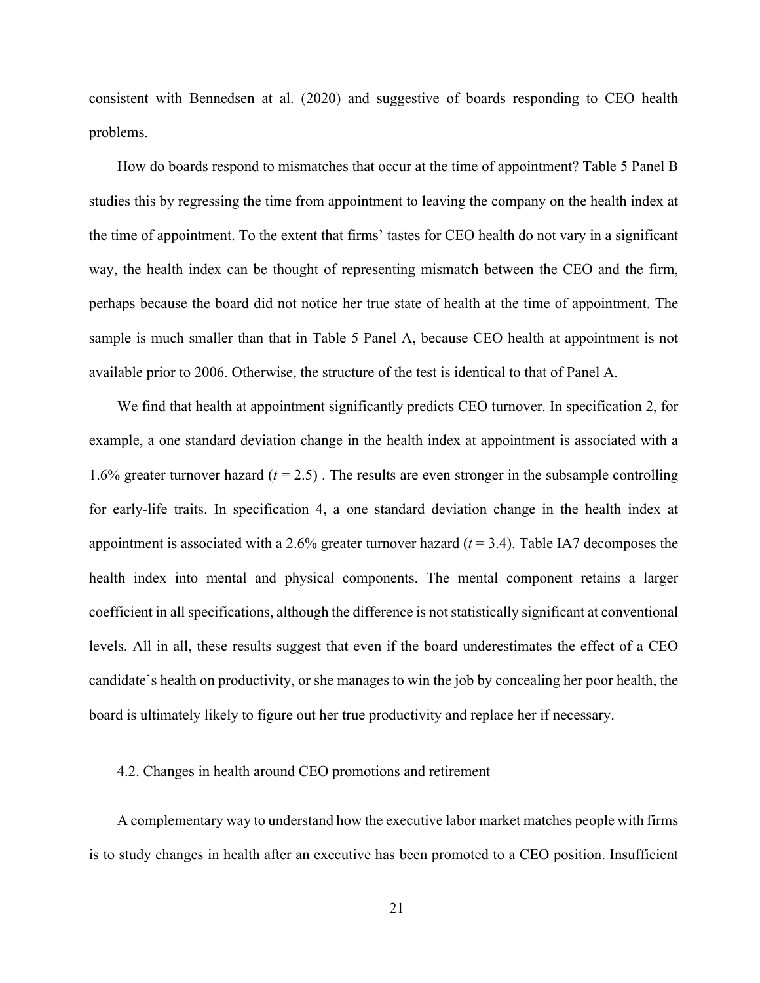consistent with Bennedsen at al. (2020) and suggestive of boards responding to CEO health problems.

How do boards respond to mismatches that occur at the time of appointment? Table 5 Panel B studies this by regressing the time from appointment to leaving the company on the health index at the time of appointment. To the extent that firms' tastes for CEO health do not vary in a significant way, the health index can be thought of representing mismatch between the CEO and the firm, perhaps because the board did not notice her true state of health at the time of appointment. The sample is much smaller than that in Table 5 Panel A, because CEO health at appointment is not available prior to 2006. Otherwise, the structure of the test is identical to that of Panel A.

We find that health at appointment significantly predicts CEO turnover. In specification 2, for example, a one standard deviation change in the health index at appointment is associated with a 1.6% greater turnover hazard  $(t = 2.5)$ . The results are even stronger in the subsample controlling for early-life traits. In specification 4, a one standard deviation change in the health index at appointment is associated with a 2.6% greater turnover hazard (*t* = 3.4). Table IA7 decomposes the health index into mental and physical components. The mental component retains a larger coefficient in all specifications, although the difference is not statistically significant at conventional levels. All in all, these results suggest that even if the board underestimates the effect of a CEO candidate's health on productivity, or she manages to win the job by concealing her poor health, the board is ultimately likely to figure out her true productivity and replace her if necessary.

## 4.2. Changes in health around CEO promotions and retirement

A complementary way to understand how the executive labor market matches people with firms is to study changes in health after an executive has been promoted to a CEO position. Insufficient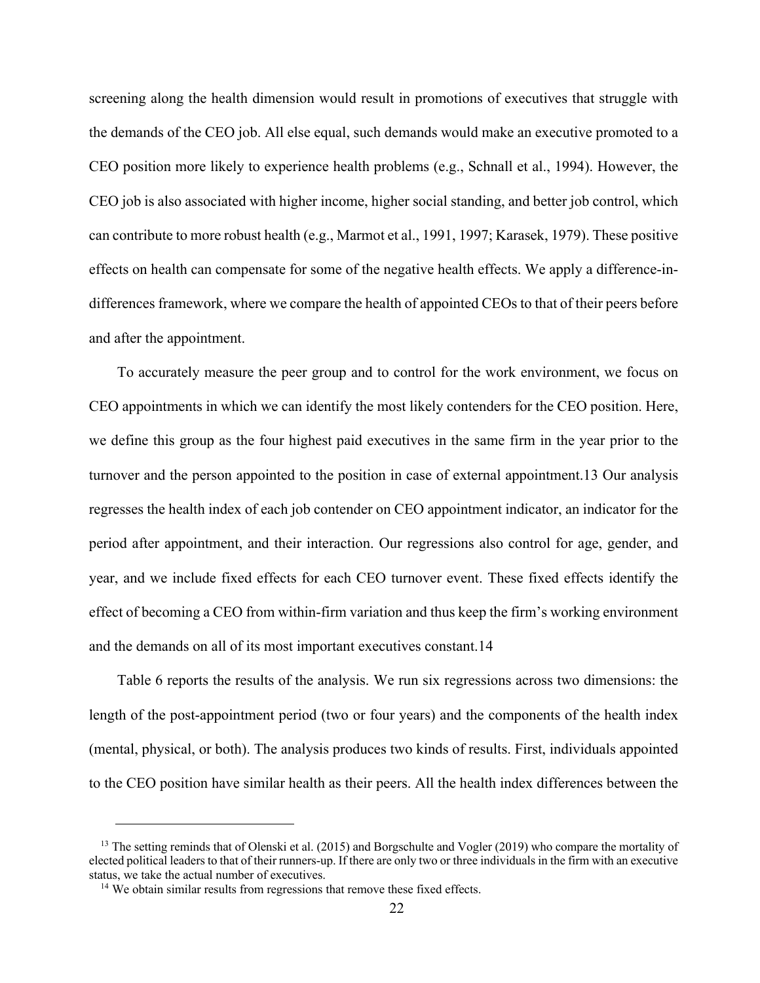screening along the health dimension would result in promotions of executives that struggle with the demands of the CEO job. All else equal, such demands would make an executive promoted to a CEO position more likely to experience health problems (e.g., Schnall et al., 1994). However, the CEO job is also associated with higher income, higher social standing, and better job control, which can contribute to more robust health (e.g., Marmot et al., 1991, 1997; Karasek, 1979). These positive effects on health can compensate for some of the negative health effects. We apply a difference-indifferences framework, where we compare the health of appointed CEOs to that of their peers before and after the appointment.

To accurately measure the peer group and to control for the work environment, we focus on CEO appointments in which we can identify the most likely contenders for the CEO position. Here, we define this group as the four highest paid executives in the same firm in the year prior to the turnover and the person appointed to the position in case of external appointment.13 Our analysis regresses the health index of each job contender on CEO appointment indicator, an indicator for the period after appointment, and their interaction. Our regressions also control for age, gender, and year, and we include fixed effects for each CEO turnover event. These fixed effects identify the effect of becoming a CEO from within-firm variation and thus keep the firm's working environment and the demands on all of its most important executives constant.14

Table 6 reports the results of the analysis. We run six regressions across two dimensions: the length of the post-appointment period (two or four years) and the components of the health index (mental, physical, or both). The analysis produces two kinds of results. First, individuals appointed to the CEO position have similar health as their peers. All the health index differences between the

<sup>&</sup>lt;sup>13</sup> The setting reminds that of Olenski et al. (2015) and Borgschulte and Vogler (2019) who compare the mortality of elected political leaders to that of their runners-up. If there are only two or three individuals in the firm with an executive status, we take the actual number of executives.<br><sup>14</sup> We obtain similar results from regressions that remove these fixed effects.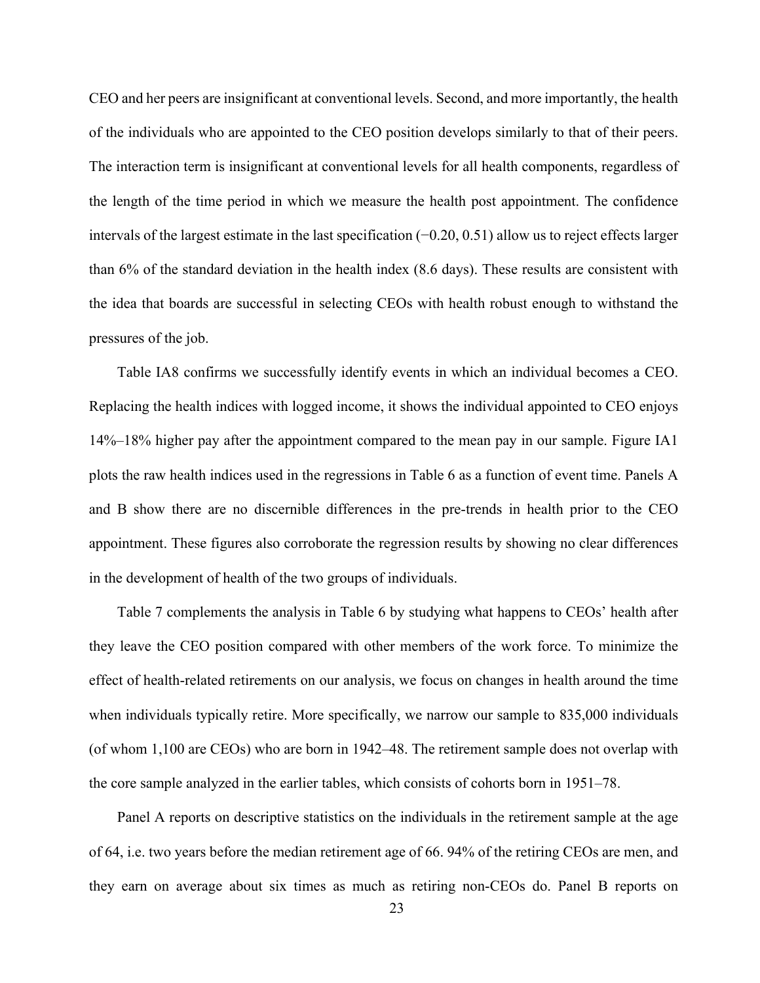CEO and her peers are insignificant at conventional levels. Second, and more importantly, the health of the individuals who are appointed to the CEO position develops similarly to that of their peers. The interaction term is insignificant at conventional levels for all health components, regardless of the length of the time period in which we measure the health post appointment. The confidence intervals of the largest estimate in the last specification (−0.20, 0.51) allow us to reject effects larger than 6% of the standard deviation in the health index (8.6 days). These results are consistent with the idea that boards are successful in selecting CEOs with health robust enough to withstand the pressures of the job.

Table IA8 confirms we successfully identify events in which an individual becomes a CEO. Replacing the health indices with logged income, it shows the individual appointed to CEO enjoys 14%–18% higher pay after the appointment compared to the mean pay in our sample. Figure IA1 plots the raw health indices used in the regressions in Table 6 as a function of event time. Panels A and B show there are no discernible differences in the pre-trends in health prior to the CEO appointment. These figures also corroborate the regression results by showing no clear differences in the development of health of the two groups of individuals.

Table 7 complements the analysis in Table 6 by studying what happens to CEOs' health after they leave the CEO position compared with other members of the work force. To minimize the effect of health-related retirements on our analysis, we focus on changes in health around the time when individuals typically retire. More specifically, we narrow our sample to 835,000 individuals (of whom 1,100 are CEOs) who are born in 1942–48. The retirement sample does not overlap with the core sample analyzed in the earlier tables, which consists of cohorts born in 1951–78.

Panel A reports on descriptive statistics on the individuals in the retirement sample at the age of 64, i.e. two years before the median retirement age of 66. 94% of the retiring CEOs are men, and they earn on average about six times as much as retiring non-CEOs do. Panel B reports on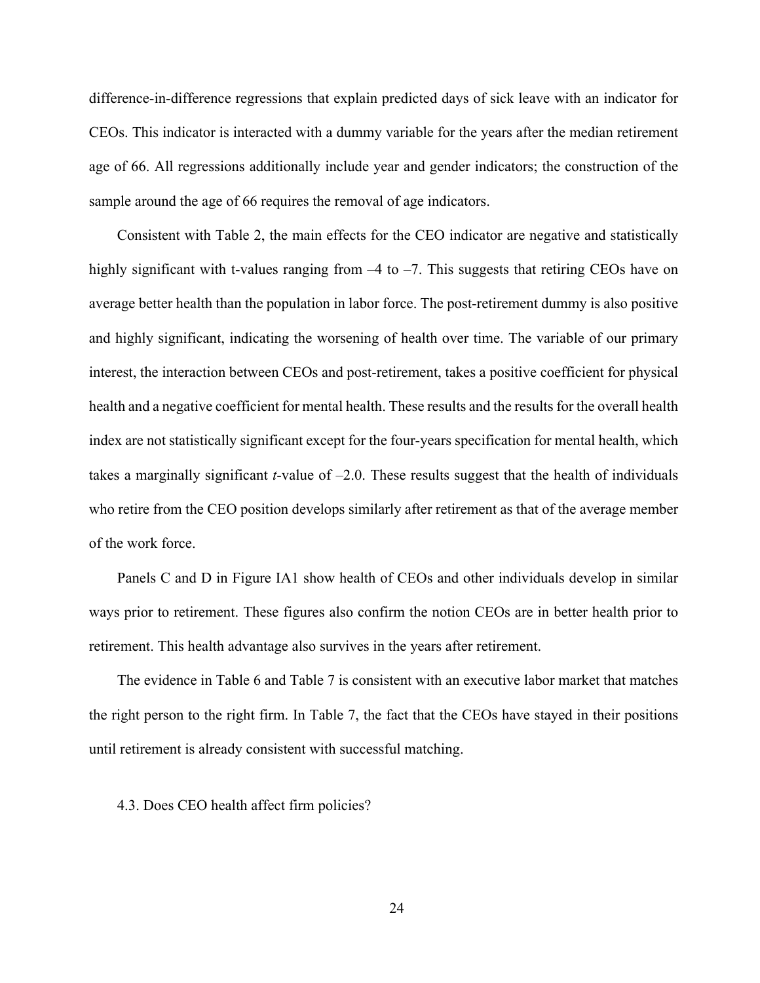difference-in-difference regressions that explain predicted days of sick leave with an indicator for CEOs. This indicator is interacted with a dummy variable for the years after the median retirement age of 66. All regressions additionally include year and gender indicators; the construction of the sample around the age of 66 requires the removal of age indicators.

Consistent with Table 2, the main effects for the CEO indicator are negative and statistically highly significant with t-values ranging from  $-4$  to  $-7$ . This suggests that retiring CEOs have on average better health than the population in labor force. The post-retirement dummy is also positive and highly significant, indicating the worsening of health over time. The variable of our primary interest, the interaction between CEOs and post-retirement, takes a positive coefficient for physical health and a negative coefficient for mental health. These results and the results for the overall health index are not statistically significant except for the four-years specification for mental health, which takes a marginally significant *t*-value of –2.0. These results suggest that the health of individuals who retire from the CEO position develops similarly after retirement as that of the average member of the work force.

Panels C and D in Figure IA1 show health of CEOs and other individuals develop in similar ways prior to retirement. These figures also confirm the notion CEOs are in better health prior to retirement. This health advantage also survives in the years after retirement.

The evidence in Table 6 and Table 7 is consistent with an executive labor market that matches the right person to the right firm. In Table 7, the fact that the CEOs have stayed in their positions until retirement is already consistent with successful matching.

4.3. Does CEO health affect firm policies?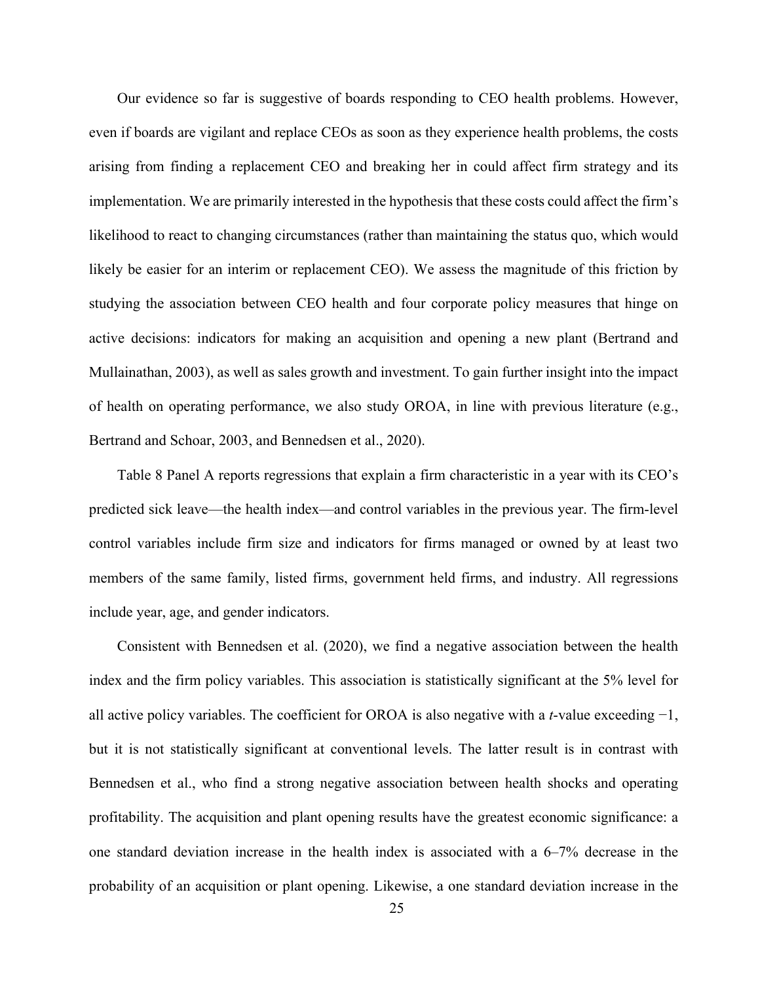Our evidence so far is suggestive of boards responding to CEO health problems. However, even if boards are vigilant and replace CEOs as soon as they experience health problems, the costs arising from finding a replacement CEO and breaking her in could affect firm strategy and its implementation. We are primarily interested in the hypothesis that these costs could affect the firm's likelihood to react to changing circumstances (rather than maintaining the status quo, which would likely be easier for an interim or replacement CEO). We assess the magnitude of this friction by studying the association between CEO health and four corporate policy measures that hinge on active decisions: indicators for making an acquisition and opening a new plant (Bertrand and Mullainathan, 2003), as well as sales growth and investment. To gain further insight into the impact of health on operating performance, we also study OROA, in line with previous literature (e.g., Bertrand and Schoar, 2003, and Bennedsen et al., 2020).

Table 8 Panel A reports regressions that explain a firm characteristic in a year with its CEO's predicted sick leave—the health index—and control variables in the previous year. The firm-level control variables include firm size and indicators for firms managed or owned by at least two members of the same family, listed firms, government held firms, and industry. All regressions include year, age, and gender indicators.

Consistent with Bennedsen et al. (2020), we find a negative association between the health index and the firm policy variables. This association is statistically significant at the 5% level for all active policy variables. The coefficient for OROA is also negative with a *t*-value exceeding −1, but it is not statistically significant at conventional levels. The latter result is in contrast with Bennedsen et al., who find a strong negative association between health shocks and operating profitability. The acquisition and plant opening results have the greatest economic significance: a one standard deviation increase in the health index is associated with a 6–7% decrease in the probability of an acquisition or plant opening. Likewise, a one standard deviation increase in the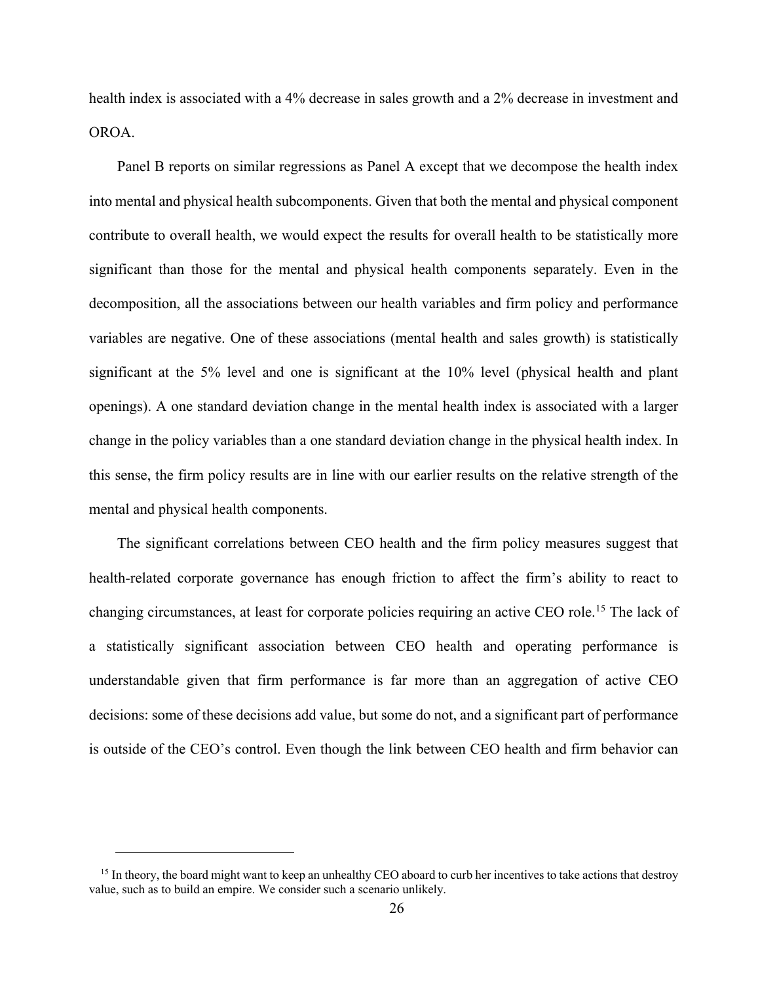health index is associated with a 4% decrease in sales growth and a 2% decrease in investment and OROA.

Panel B reports on similar regressions as Panel A except that we decompose the health index into mental and physical health subcomponents. Given that both the mental and physical component contribute to overall health, we would expect the results for overall health to be statistically more significant than those for the mental and physical health components separately. Even in the decomposition, all the associations between our health variables and firm policy and performance variables are negative. One of these associations (mental health and sales growth) is statistically significant at the 5% level and one is significant at the 10% level (physical health and plant openings). A one standard deviation change in the mental health index is associated with a larger change in the policy variables than a one standard deviation change in the physical health index. In this sense, the firm policy results are in line with our earlier results on the relative strength of the mental and physical health components.

The significant correlations between CEO health and the firm policy measures suggest that health-related corporate governance has enough friction to affect the firm's ability to react to changing circumstances, at least for corporate policies requiring an active CEO role.15 The lack of a statistically significant association between CEO health and operating performance is understandable given that firm performance is far more than an aggregation of active CEO decisions: some of these decisions add value, but some do not, and a significant part of performance is outside of the CEO's control. Even though the link between CEO health and firm behavior can

<sup>&</sup>lt;sup>15</sup> In theory, the board might want to keep an unhealthy CEO aboard to curb her incentives to take actions that destroy value, such as to build an empire. We consider such a scenario unlikely.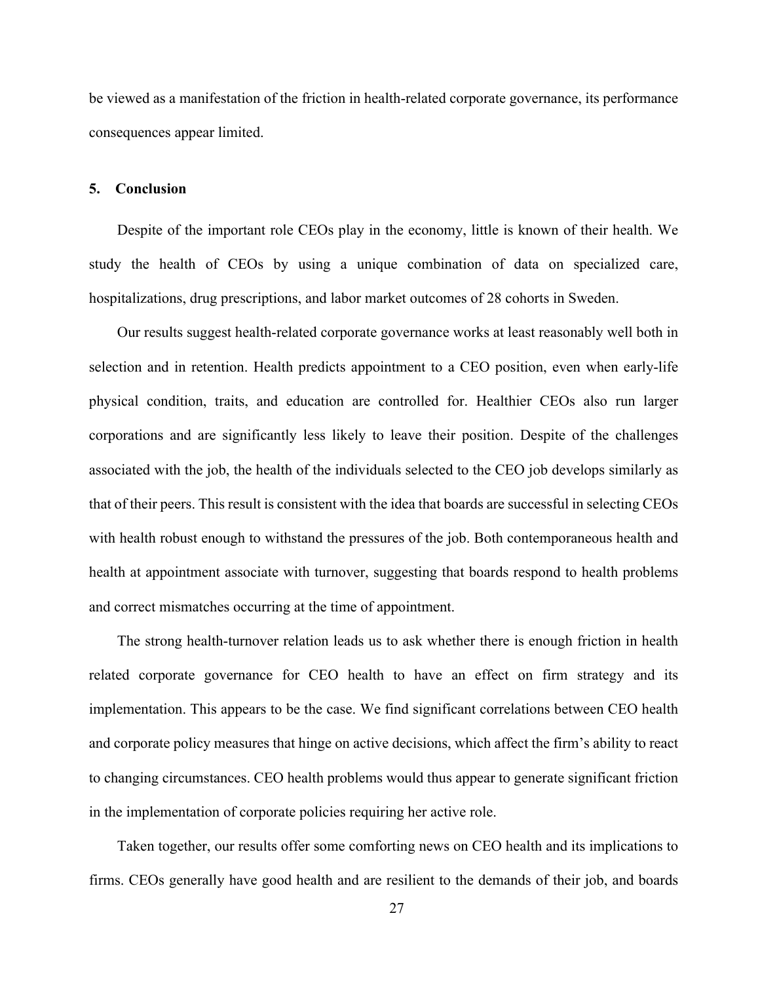be viewed as a manifestation of the friction in health-related corporate governance, its performance consequences appear limited.

## **5. Conclusion**

Despite of the important role CEOs play in the economy, little is known of their health. We study the health of CEOs by using a unique combination of data on specialized care, hospitalizations, drug prescriptions, and labor market outcomes of 28 cohorts in Sweden.

Our results suggest health-related corporate governance works at least reasonably well both in selection and in retention. Health predicts appointment to a CEO position, even when early-life physical condition, traits, and education are controlled for. Healthier CEOs also run larger corporations and are significantly less likely to leave their position. Despite of the challenges associated with the job, the health of the individuals selected to the CEO job develops similarly as that of their peers. This result is consistent with the idea that boards are successful in selecting CEOs with health robust enough to withstand the pressures of the job. Both contemporaneous health and health at appointment associate with turnover, suggesting that boards respond to health problems and correct mismatches occurring at the time of appointment.

The strong health-turnover relation leads us to ask whether there is enough friction in health related corporate governance for CEO health to have an effect on firm strategy and its implementation. This appears to be the case. We find significant correlations between CEO health and corporate policy measures that hinge on active decisions, which affect the firm's ability to react to changing circumstances. CEO health problems would thus appear to generate significant friction in the implementation of corporate policies requiring her active role.

Taken together, our results offer some comforting news on CEO health and its implications to firms. CEOs generally have good health and are resilient to the demands of their job, and boards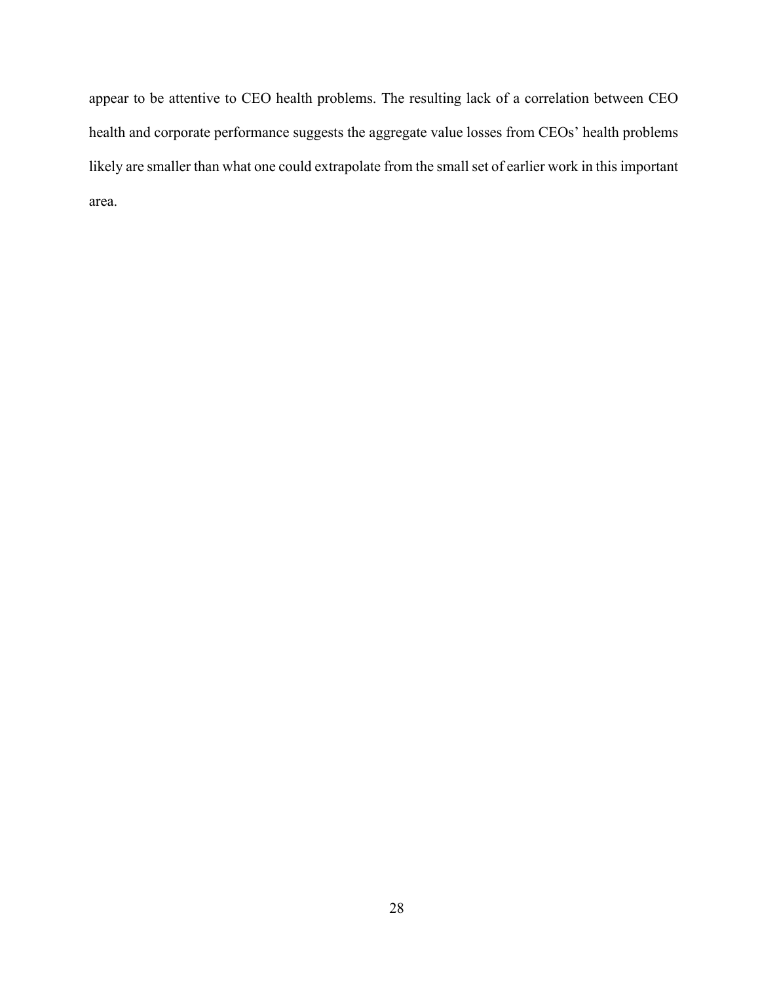appear to be attentive to CEO health problems. The resulting lack of a correlation between CEO health and corporate performance suggests the aggregate value losses from CEOs' health problems likely are smaller than what one could extrapolate from the small set of earlier work in this important area.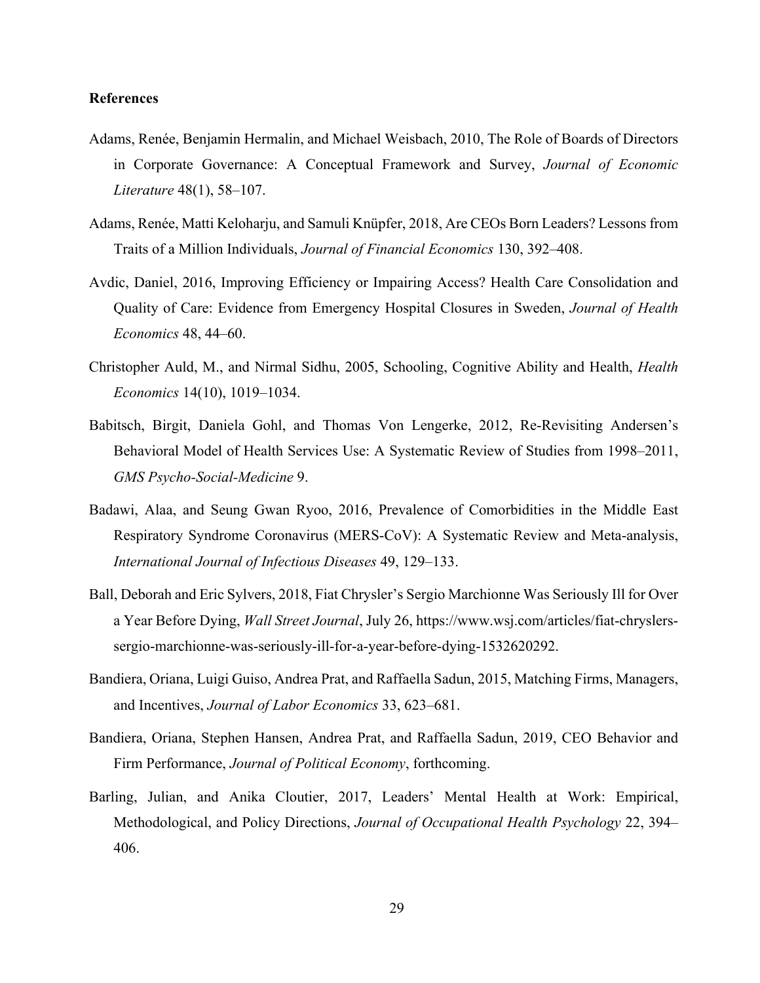## **References**

- Adams, Renée, Benjamin Hermalin, and Michael Weisbach, 2010, The Role of Boards of Directors in Corporate Governance: A Conceptual Framework and Survey, *Journal of Economic Literature* 48(1), 58–107.
- Adams, Renée, Matti Keloharju, and Samuli Knüpfer, 2018, Are CEOs Born Leaders? Lessons from Traits of a Million Individuals, *Journal of Financial Economics* 130, 392–408.
- Avdic, Daniel, 2016, Improving Efficiency or Impairing Access? Health Care Consolidation and Quality of Care: Evidence from Emergency Hospital Closures in Sweden, *Journal of Health Economics* 48, 44–60.
- Christopher Auld, M., and Nirmal Sidhu, 2005, Schooling, Cognitive Ability and Health, *Health Economics* 14(10), 1019–1034.
- Babitsch, Birgit, Daniela Gohl, and Thomas Von Lengerke, 2012, Re-Revisiting Andersen's Behavioral Model of Health Services Use: A Systematic Review of Studies from 1998–2011, *GMS Psycho-Social-Medicine* 9.
- Badawi, Alaa, and Seung Gwan Ryoo, 2016, Prevalence of Comorbidities in the Middle East Respiratory Syndrome Coronavirus (MERS-CoV): A Systematic Review and Meta-analysis, *International Journal of Infectious Diseases* 49, 129–133.
- Ball, Deborah and Eric Sylvers, 2018, Fiat Chrysler's Sergio Marchionne Was Seriously Ill for Over a Year Before Dying, *Wall Street Journal*, July 26, https://www.wsj.com/articles/fiat-chryslerssergio-marchionne-was-seriously-ill-for-a-year-before-dying-1532620292.
- Bandiera, Oriana, Luigi Guiso, Andrea Prat, and Raffaella Sadun, 2015, Matching Firms, Managers, and Incentives, *Journal of Labor Economics* 33, 623–681.
- Bandiera, Oriana, Stephen Hansen, Andrea Prat, and Raffaella Sadun, 2019, CEO Behavior and Firm Performance, *Journal of Political Economy*, forthcoming.
- Barling, Julian, and Anika Cloutier, 2017, Leaders' Mental Health at Work: Empirical, Methodological, and Policy Directions, *Journal of Occupational Health Psychology* 22, 394– 406.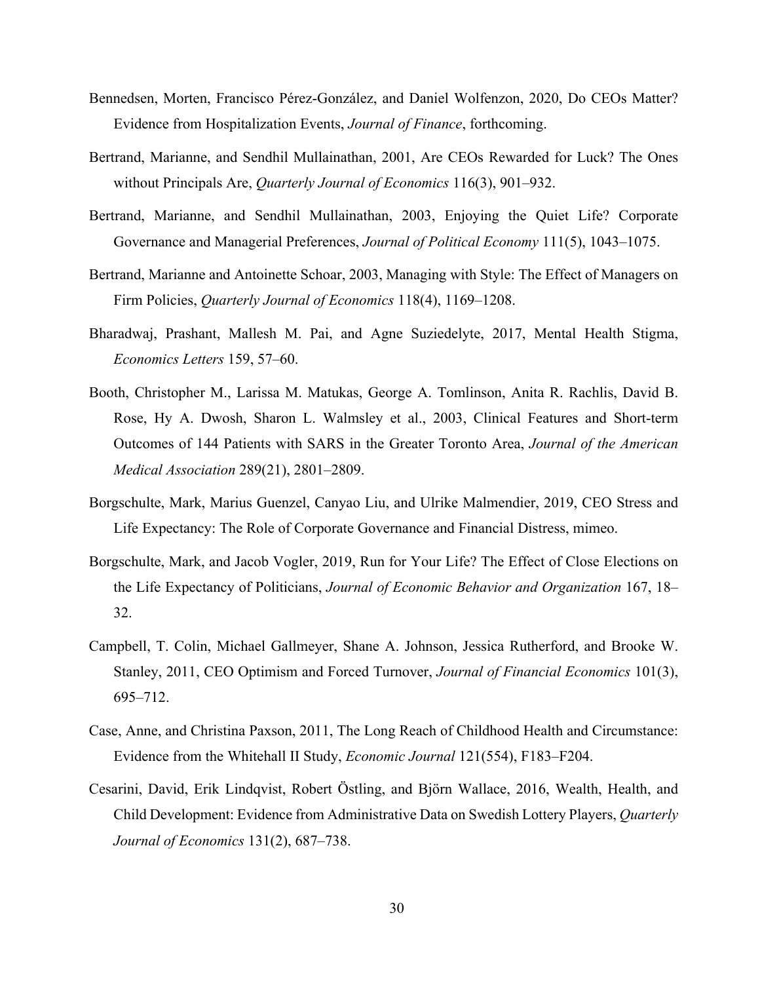- Bennedsen, Morten, Francisco Pérez-González, and Daniel Wolfenzon, 2020, Do CEOs Matter? Evidence from Hospitalization Events, *Journal of Finance*, forthcoming.
- Bertrand, Marianne, and Sendhil Mullainathan, 2001, Are CEOs Rewarded for Luck? The Ones without Principals Are, *Quarterly Journal of Economics* 116(3), 901–932.
- Bertrand, Marianne, and Sendhil Mullainathan, 2003, Enjoying the Quiet Life? Corporate Governance and Managerial Preferences, *Journal of Political Economy* 111(5), 1043–1075.
- Bertrand, Marianne and Antoinette Schoar, 2003, Managing with Style: The Effect of Managers on Firm Policies, *Quarterly Journal of Economics* 118(4), 1169–1208.
- Bharadwaj, Prashant, Mallesh M. Pai, and Agne Suziedelyte, 2017, Mental Health Stigma, *Economics Letters* 159, 57–60.
- Booth, Christopher M., Larissa M. Matukas, George A. Tomlinson, Anita R. Rachlis, David B. Rose, Hy A. Dwosh, Sharon L. Walmsley et al., 2003, Clinical Features and Short-term Outcomes of 144 Patients with SARS in the Greater Toronto Area, *Journal of the American Medical Association* 289(21), 2801–2809.
- Borgschulte, Mark, Marius Guenzel, Canyao Liu, and Ulrike Malmendier, 2019, CEO Stress and Life Expectancy: The Role of Corporate Governance and Financial Distress, mimeo.
- Borgschulte, Mark, and Jacob Vogler, 2019, Run for Your Life? The Effect of Close Elections on the Life Expectancy of Politicians, *Journal of Economic Behavior and Organization* 167, 18– 32.
- Campbell, T. Colin, Michael Gallmeyer, Shane A. Johnson, Jessica Rutherford, and Brooke W. Stanley, 2011, CEO Optimism and Forced Turnover, *Journal of Financial Economics* 101(3), 695–712.
- Case, Anne, and Christina Paxson, 2011, The Long Reach of Childhood Health and Circumstance: Evidence from the Whitehall II Study, *Economic Journal* 121(554), F183–F204.
- Cesarini, David, Erik Lindqvist, Robert Östling, and Björn Wallace, 2016, Wealth, Health, and Child Development: Evidence from Administrative Data on Swedish Lottery Players, *Quarterly Journal of Economics* 131(2), 687–738.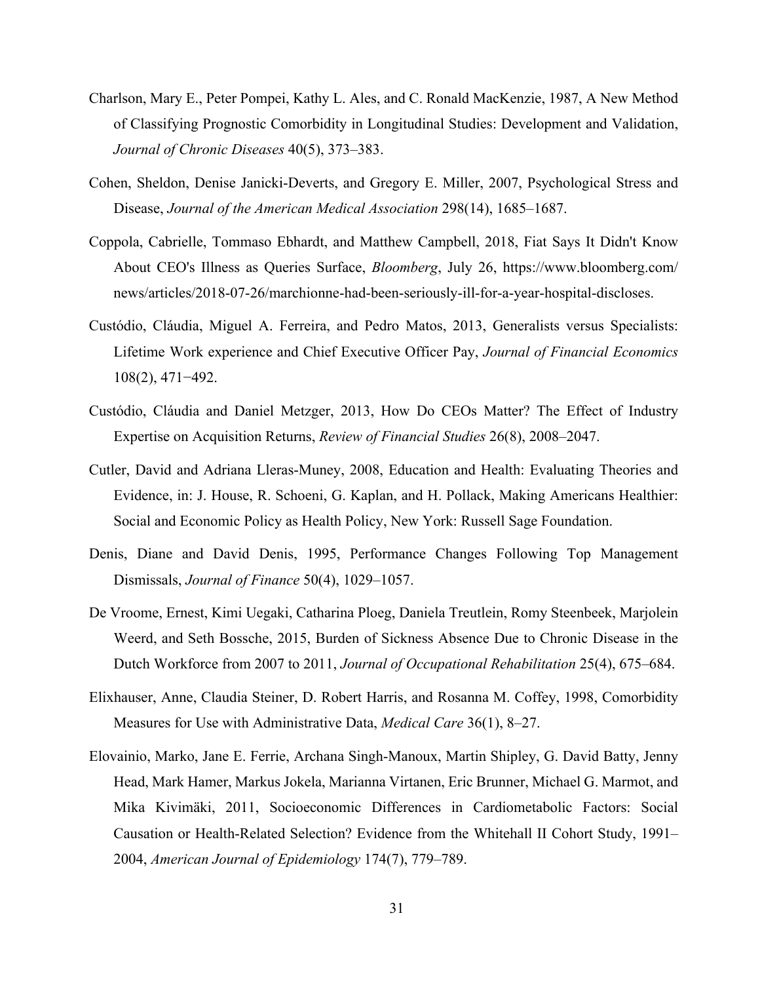- Charlson, Mary E., Peter Pompei, Kathy L. Ales, and C. Ronald MacKenzie, 1987, A New Method of Classifying Prognostic Comorbidity in Longitudinal Studies: Development and Validation, *Journal of Chronic Diseases* 40(5), 373–383.
- Cohen, Sheldon, Denise Janicki-Deverts, and Gregory E. Miller, 2007, Psychological Stress and Disease, *Journal of the American Medical Association* 298(14), 1685–1687.
- Coppola, Cabrielle, Tommaso Ebhardt, and Matthew Campbell, 2018, Fiat Says It Didn't Know About CEO's Illness as Queries Surface, *Bloomberg*, July 26, https://www.bloomberg.com/ news/articles/2018-07-26/marchionne-had-been-seriously-ill-for-a-year-hospital-discloses.
- Custódio, Cláudia, Miguel A. Ferreira, and Pedro Matos, 2013, Generalists versus Specialists: Lifetime Work experience and Chief Executive Officer Pay, *Journal of Financial Economics* 108(2), 471−492.
- Custódio, Cláudia and Daniel Metzger, 2013, How Do CEOs Matter? The Effect of Industry Expertise on Acquisition Returns, *Review of Financial Studies* 26(8), 2008–2047.
- Cutler, David and Adriana Lleras-Muney, 2008, Education and Health: Evaluating Theories and Evidence, in: J. House, R. Schoeni, G. Kaplan, and H. Pollack, Making Americans Healthier: Social and Economic Policy as Health Policy, New York: Russell Sage Foundation.
- Denis, Diane and David Denis, 1995, Performance Changes Following Top Management Dismissals, *Journal of Finance* 50(4), 1029–1057.
- De Vroome, Ernest, Kimi Uegaki, Catharina Ploeg, Daniela Treutlein, Romy Steenbeek, Marjolein Weerd, and Seth Bossche, 2015, Burden of Sickness Absence Due to Chronic Disease in the Dutch Workforce from 2007 to 2011, *Journal of Occupational Rehabilitation* 25(4), 675–684.
- Elixhauser, Anne, Claudia Steiner, D. Robert Harris, and Rosanna M. Coffey, 1998, Comorbidity Measures for Use with Administrative Data, *Medical Care* 36(1), 8–27.
- Elovainio, Marko, Jane E. Ferrie, Archana Singh-Manoux, Martin Shipley, G. David Batty, Jenny Head, Mark Hamer, Markus Jokela, Marianna Virtanen, Eric Brunner, Michael G. Marmot, and Mika Kivimäki, 2011, Socioeconomic Differences in Cardiometabolic Factors: Social Causation or Health-Related Selection? Evidence from the Whitehall II Cohort Study, 1991– 2004, *American Journal of Epidemiology* 174(7), 779–789.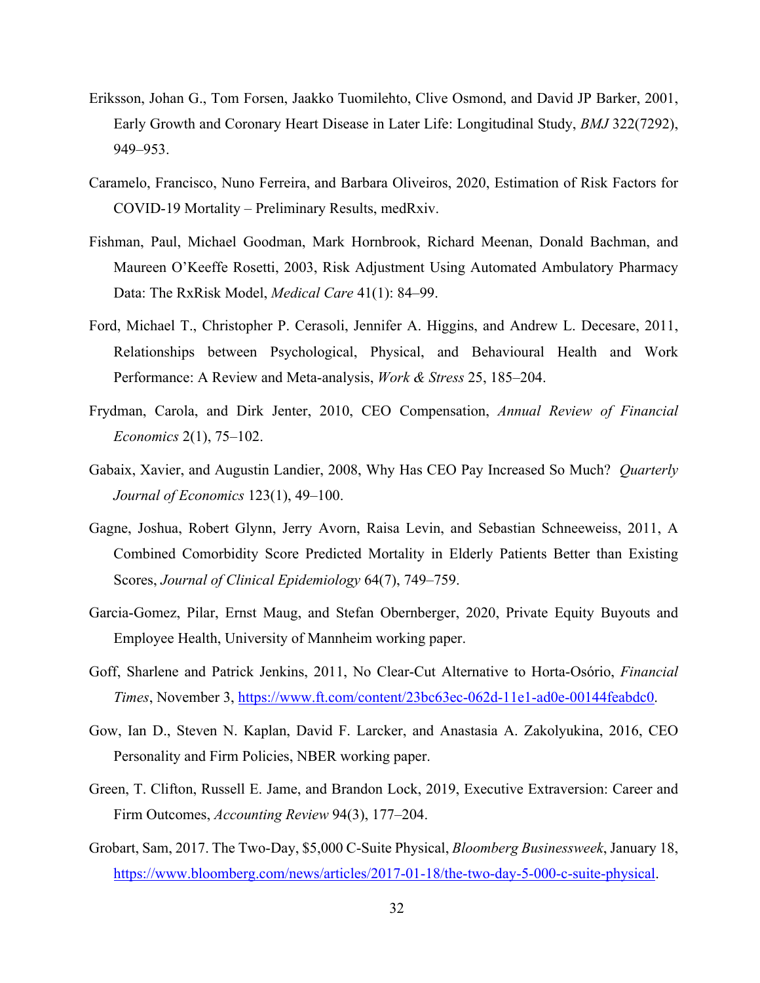- Eriksson, Johan G., Tom Forsen, Jaakko Tuomilehto, Clive Osmond, and David JP Barker, 2001, Early Growth and Coronary Heart Disease in Later Life: Longitudinal Study, *BMJ* 322(7292), 949–953.
- Caramelo, Francisco, Nuno Ferreira, and Barbara Oliveiros, 2020, Estimation of Risk Factors for COVID-19 Mortality – Preliminary Results, medRxiv.
- Fishman, Paul, Michael Goodman, Mark Hornbrook, Richard Meenan, Donald Bachman, and Maureen O'Keeffe Rosetti, 2003, Risk Adjustment Using Automated Ambulatory Pharmacy Data: The RxRisk Model, *Medical Care* 41(1): 84–99.
- Ford, Michael T., Christopher P. Cerasoli, Jennifer A. Higgins, and Andrew L. Decesare, 2011, Relationships between Psychological, Physical, and Behavioural Health and Work Performance: A Review and Meta-analysis, *Work & Stress* 25, 185–204.
- Frydman, Carola, and Dirk Jenter, 2010, CEO Compensation, *Annual Review of Financial Economics* 2(1), 75–102.
- Gabaix, Xavier, and Augustin Landier, 2008, Why Has CEO Pay Increased So Much? *Quarterly Journal of Economics* 123(1), 49–100.
- Gagne, Joshua, Robert Glynn, Jerry Avorn, Raisa Levin, and Sebastian Schneeweiss, 2011, A Combined Comorbidity Score Predicted Mortality in Elderly Patients Better than Existing Scores, *Journal of Clinical Epidemiology* 64(7), 749–759.
- Garcia-Gomez, Pilar, Ernst Maug, and Stefan Obernberger, 2020, Private Equity Buyouts and Employee Health, University of Mannheim working paper.
- Goff, Sharlene and Patrick Jenkins, 2011, No Clear-Cut Alternative to Horta-Osório, *Financial Times*, November 3, https://www.ft.com/content/23bc63ec-062d-11e1-ad0e-00144feabdc0.
- Gow, Ian D., Steven N. Kaplan, David F. Larcker, and Anastasia A. Zakolyukina, 2016, CEO Personality and Firm Policies, NBER working paper.
- Green, T. Clifton, Russell E. Jame, and Brandon Lock, 2019, Executive Extraversion: Career and Firm Outcomes, *Accounting Review* 94(3), 177–204.
- Grobart, Sam, 2017. The Two-Day, \$5,000 C-Suite Physical, *Bloomberg Businessweek*, January 18, https://www.bloomberg.com/news/articles/2017-01-18/the-two-day-5-000-c-suite-physical.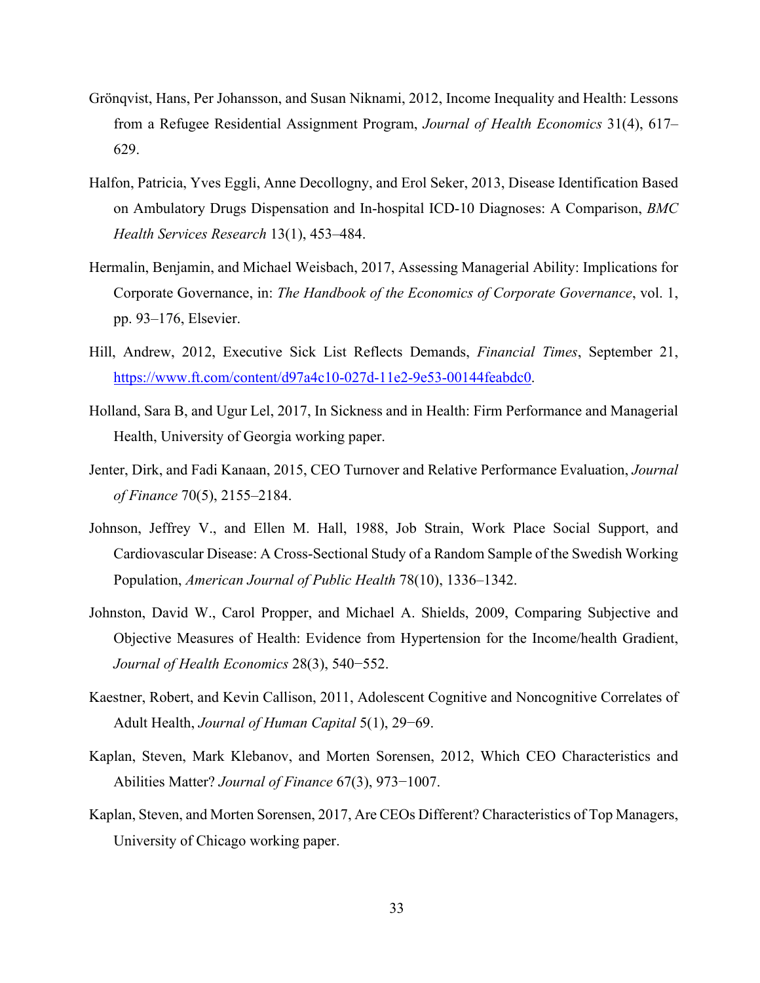- Grönqvist, Hans, Per Johansson, and Susan Niknami, 2012, Income Inequality and Health: Lessons from a Refugee Residential Assignment Program, *Journal of Health Economics* 31(4), 617– 629.
- Halfon, Patricia, Yves Eggli, Anne Decollogny, and Erol Seker, 2013, Disease Identification Based on Ambulatory Drugs Dispensation and In-hospital ICD-10 Diagnoses: A Comparison, *BMC Health Services Research* 13(1), 453–484.
- Hermalin, Benjamin, and Michael Weisbach, 2017, Assessing Managerial Ability: Implications for Corporate Governance, in: *The Handbook of the Economics of Corporate Governance*, vol. 1, pp. 93–176, Elsevier.
- Hill, Andrew, 2012, Executive Sick List Reflects Demands, *Financial Times*, September 21, https://www.ft.com/content/d97a4c10-027d-11e2-9e53-00144feabdc0.
- Holland, Sara B, and Ugur Lel, 2017, In Sickness and in Health: Firm Performance and Managerial Health, University of Georgia working paper.
- Jenter, Dirk, and Fadi Kanaan, 2015, CEO Turnover and Relative Performance Evaluation, *Journal of Finance* 70(5), 2155–2184.
- Johnson, Jeffrey V., and Ellen M. Hall, 1988, Job Strain, Work Place Social Support, and Cardiovascular Disease: A Cross-Sectional Study of a Random Sample of the Swedish Working Population, *American Journal of Public Health* 78(10), 1336–1342.
- Johnston, David W., Carol Propper, and Michael A. Shields, 2009, Comparing Subjective and Objective Measures of Health: Evidence from Hypertension for the Income/health Gradient, *Journal of Health Economics* 28(3), 540−552.
- Kaestner, Robert, and Kevin Callison, 2011, Adolescent Cognitive and Noncognitive Correlates of Adult Health, *Journal of Human Capital* 5(1), 29−69.
- Kaplan, Steven, Mark Klebanov, and Morten Sorensen, 2012, Which CEO Characteristics and Abilities Matter? *Journal of Finance* 67(3), 973−1007.
- Kaplan, Steven, and Morten Sorensen, 2017, Are CEOs Different? Characteristics of Top Managers, University of Chicago working paper.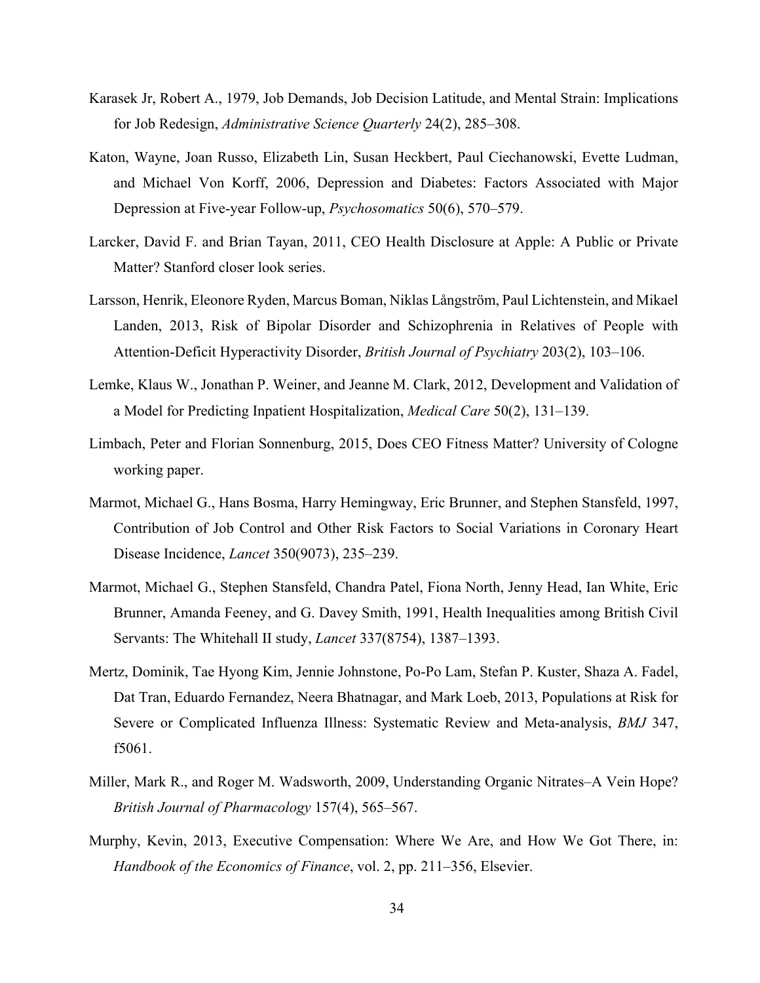- Karasek Jr, Robert A., 1979, Job Demands, Job Decision Latitude, and Mental Strain: Implications for Job Redesign, *Administrative Science Quarterly* 24(2), 285–308.
- Katon, Wayne, Joan Russo, Elizabeth Lin, Susan Heckbert, Paul Ciechanowski, Evette Ludman, and Michael Von Korff, 2006, Depression and Diabetes: Factors Associated with Major Depression at Five-year Follow-up, *Psychosomatics* 50(6), 570–579.
- Larcker, David F. and Brian Tayan, 2011, CEO Health Disclosure at Apple: A Public or Private Matter? Stanford closer look series.
- Larsson, Henrik, Eleonore Ryden, Marcus Boman, Niklas Långström, Paul Lichtenstein, and Mikael Landen, 2013, Risk of Bipolar Disorder and Schizophrenia in Relatives of People with Attention-Deficit Hyperactivity Disorder, *British Journal of Psychiatry* 203(2), 103–106.
- Lemke, Klaus W., Jonathan P. Weiner, and Jeanne M. Clark, 2012, Development and Validation of a Model for Predicting Inpatient Hospitalization, *Medical Care* 50(2), 131–139.
- Limbach, Peter and Florian Sonnenburg, 2015, Does CEO Fitness Matter? University of Cologne working paper.
- Marmot, Michael G., Hans Bosma, Harry Hemingway, Eric Brunner, and Stephen Stansfeld, 1997, Contribution of Job Control and Other Risk Factors to Social Variations in Coronary Heart Disease Incidence, *Lancet* 350(9073), 235–239.
- Marmot, Michael G., Stephen Stansfeld, Chandra Patel, Fiona North, Jenny Head, Ian White, Eric Brunner, Amanda Feeney, and G. Davey Smith, 1991, Health Inequalities among British Civil Servants: The Whitehall II study, *Lancet* 337(8754), 1387–1393.
- Mertz, Dominik, Tae Hyong Kim, Jennie Johnstone, Po-Po Lam, Stefan P. Kuster, Shaza A. Fadel, Dat Tran, Eduardo Fernandez, Neera Bhatnagar, and Mark Loeb, 2013, Populations at Risk for Severe or Complicated Influenza Illness: Systematic Review and Meta-analysis, *BMJ* 347, f5061.
- Miller, Mark R., and Roger M. Wadsworth, 2009, Understanding Organic Nitrates–A Vein Hope? *British Journal of Pharmacology* 157(4), 565–567.
- Murphy, Kevin, 2013, Executive Compensation: Where We Are, and How We Got There, in: *Handbook of the Economics of Finance*, vol. 2, pp. 211–356, Elsevier.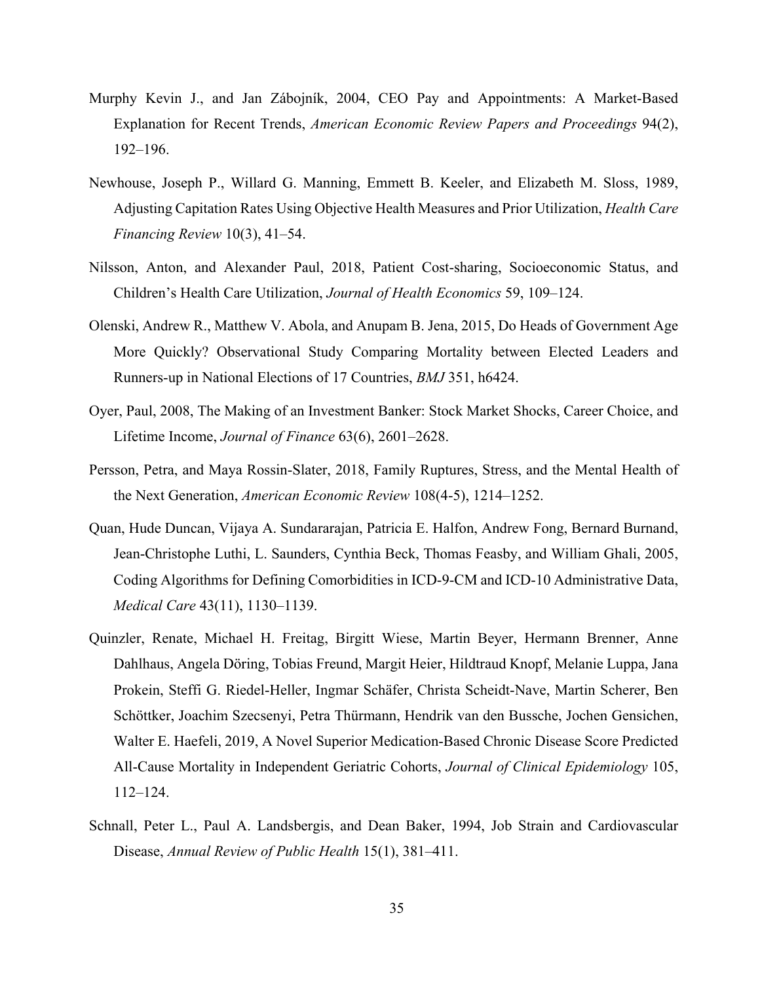- Murphy Kevin J., and Jan Zábojník, 2004, CEO Pay and Appointments: A Market-Based Explanation for Recent Trends, *American Economic Review Papers and Proceedings* 94(2), 192–196.
- Newhouse, Joseph P., Willard G. Manning, Emmett B. Keeler, and Elizabeth M. Sloss, 1989, Adjusting Capitation Rates Using Objective Health Measures and Prior Utilization, *Health Care Financing Review* 10(3), 41–54.
- Nilsson, Anton, and Alexander Paul, 2018, Patient Cost-sharing, Socioeconomic Status, and Children's Health Care Utilization, *Journal of Health Economics* 59, 109–124.
- Olenski, Andrew R., Matthew V. Abola, and Anupam B. Jena, 2015, Do Heads of Government Age More Quickly? Observational Study Comparing Mortality between Elected Leaders and Runners-up in National Elections of 17 Countries, *BMJ* 351, h6424.
- Oyer, Paul, 2008, The Making of an Investment Banker: Stock Market Shocks, Career Choice, and Lifetime Income, *Journal of Finance* 63(6), 2601–2628.
- Persson, Petra, and Maya Rossin-Slater, 2018, Family Ruptures, Stress, and the Mental Health of the Next Generation, *American Economic Review* 108(4-5), 1214–1252.
- Quan, Hude Duncan, Vijaya A. Sundararajan, Patricia E. Halfon, Andrew Fong, Bernard Burnand, Jean-Christophe Luthi, L. Saunders, Cynthia Beck, Thomas Feasby, and William Ghali, 2005, Coding Algorithms for Defining Comorbidities in ICD-9-CM and ICD-10 Administrative Data, *Medical Care* 43(11), 1130–1139.
- Quinzler, Renate, Michael H. Freitag, Birgitt Wiese, Martin Beyer, Hermann Brenner, Anne Dahlhaus, Angela Döring, Tobias Freund, Margit Heier, Hildtraud Knopf, Melanie Luppa, Jana Prokein, Steffi G. Riedel-Heller, Ingmar Schäfer, Christa Scheidt-Nave, Martin Scherer, Ben Schöttker, Joachim Szecsenyi, Petra Thürmann, Hendrik van den Bussche, Jochen Gensichen, Walter E. Haefeli, 2019, A Novel Superior Medication-Based Chronic Disease Score Predicted All-Cause Mortality in Independent Geriatric Cohorts, *Journal of Clinical Epidemiology* 105, 112–124.
- Schnall, Peter L., Paul A. Landsbergis, and Dean Baker, 1994, Job Strain and Cardiovascular Disease, *Annual Review of Public Health* 15(1), 381–411.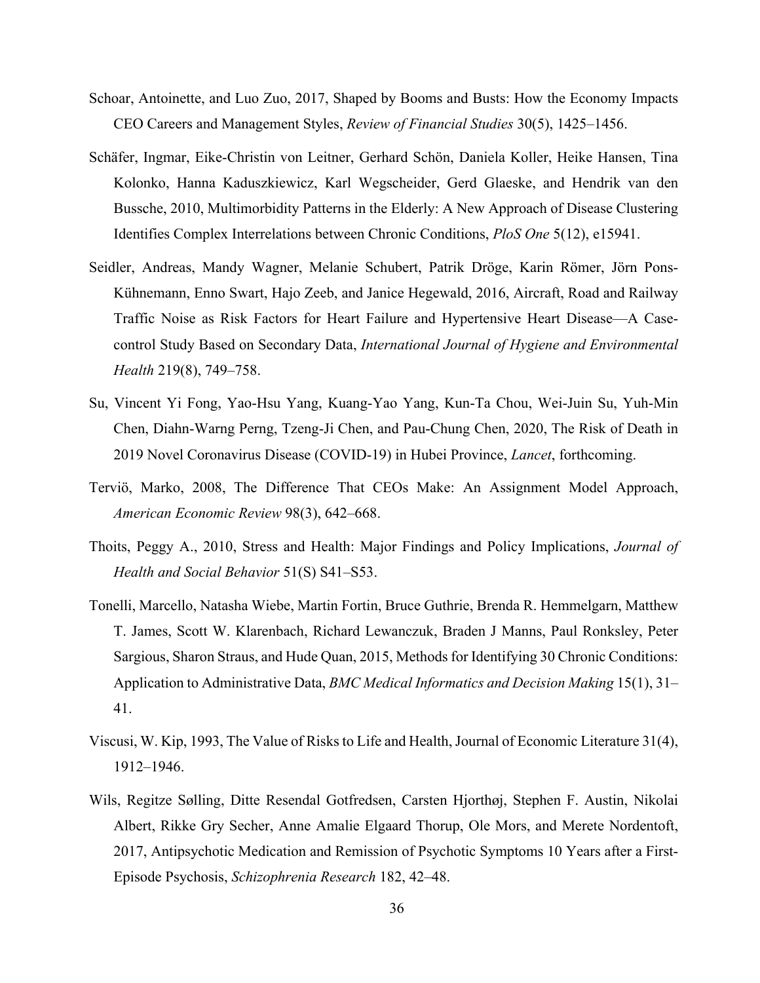- Schoar, Antoinette, and Luo Zuo, 2017, Shaped by Booms and Busts: How the Economy Impacts CEO Careers and Management Styles, *Review of Financial Studies* 30(5), 1425–1456.
- Schäfer, Ingmar, Eike-Christin von Leitner, Gerhard Schön, Daniela Koller, Heike Hansen, Tina Kolonko, Hanna Kaduszkiewicz, Karl Wegscheider, Gerd Glaeske, and Hendrik van den Bussche, 2010, Multimorbidity Patterns in the Elderly: A New Approach of Disease Clustering Identifies Complex Interrelations between Chronic Conditions, *PloS One* 5(12), e15941.
- Seidler, Andreas, Mandy Wagner, Melanie Schubert, Patrik Dröge, Karin Römer, Jörn Pons-Kühnemann, Enno Swart, Hajo Zeeb, and Janice Hegewald, 2016, Aircraft, Road and Railway Traffic Noise as Risk Factors for Heart Failure and Hypertensive Heart Disease—A Casecontrol Study Based on Secondary Data, *International Journal of Hygiene and Environmental Health* 219(8), 749–758.
- Su, Vincent Yi Fong, Yao-Hsu Yang, Kuang-Yao Yang, Kun-Ta Chou, Wei-Juin Su, Yuh-Min Chen, Diahn-Warng Perng, Tzeng-Ji Chen, and Pau-Chung Chen, 2020, The Risk of Death in 2019 Novel Coronavirus Disease (COVID-19) in Hubei Province, *Lancet*, forthcoming.
- Terviö, Marko, 2008, The Difference That CEOs Make: An Assignment Model Approach, *American Economic Review* 98(3), 642–668.
- Thoits, Peggy A., 2010, Stress and Health: Major Findings and Policy Implications, *Journal of Health and Social Behavior* 51(S) S41–S53.
- Tonelli, Marcello, Natasha Wiebe, Martin Fortin, Bruce Guthrie, Brenda R. Hemmelgarn, Matthew T. James, Scott W. Klarenbach, Richard Lewanczuk, Braden J Manns, Paul Ronksley, Peter Sargious, Sharon Straus, and Hude Quan, 2015, Methods for Identifying 30 Chronic Conditions: Application to Administrative Data, *BMC Medical Informatics and Decision Making* 15(1), 31– 41.
- Viscusi, W. Kip, 1993, The Value of Risks to Life and Health, Journal of Economic Literature 31(4), 1912–1946.
- Wils, Regitze Sølling, Ditte Resendal Gotfredsen, Carsten Hjorthøj, Stephen F. Austin, Nikolai Albert, Rikke Gry Secher, Anne Amalie Elgaard Thorup, Ole Mors, and Merete Nordentoft, 2017, Antipsychotic Medication and Remission of Psychotic Symptoms 10 Years after a First-Episode Psychosis, *Schizophrenia Research* 182, 42–48.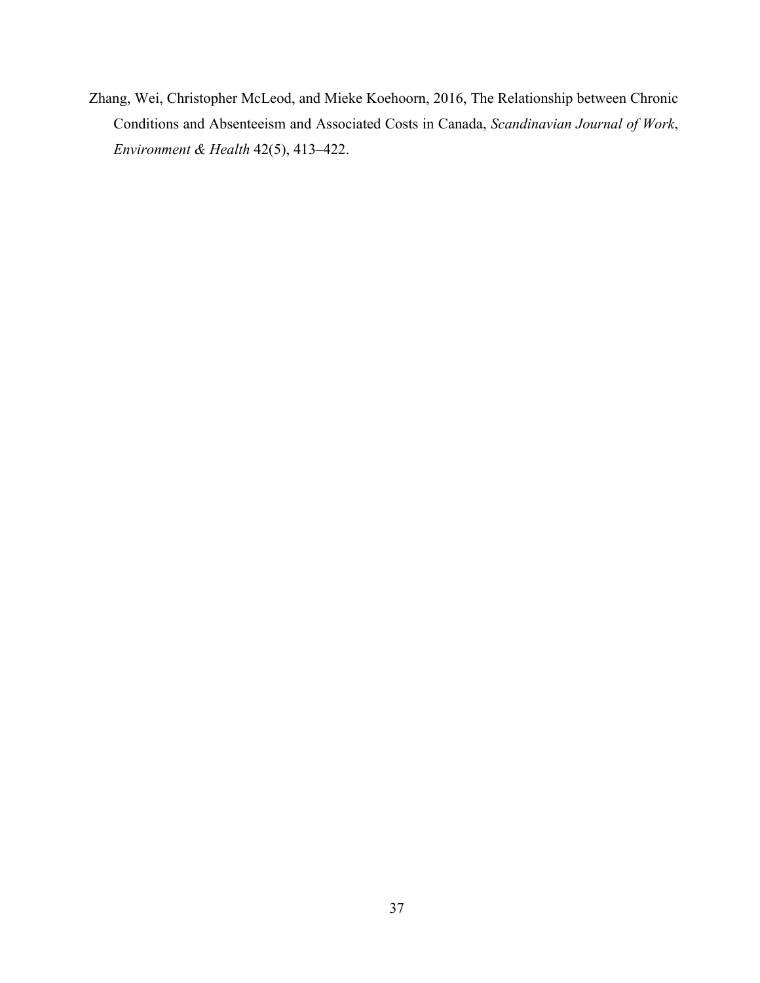Zhang, Wei, Christopher McLeod, and Mieke Koehoorn, 2016, The Relationship between Chronic Conditions and Absenteeism and Associated Costs in Canada, *Scandinavian Journal of Work*, *Environment & Health* 42(5), 413–422.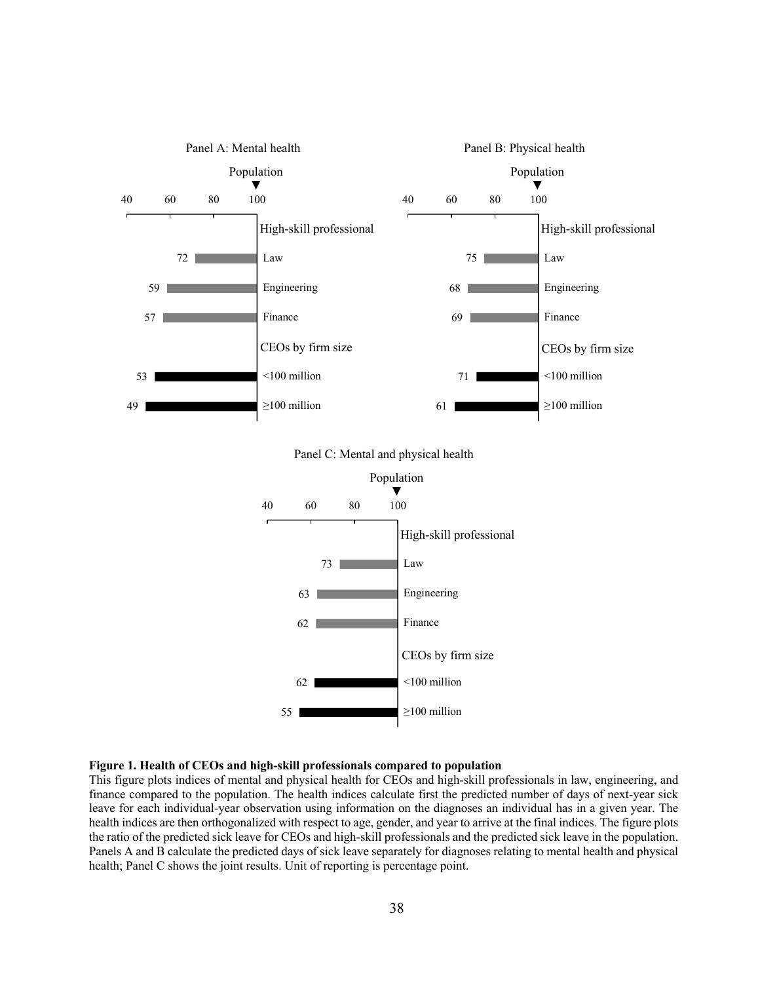

#### **Figure 1. Health of CEOs and high-skill professionals compared to population**

This figure plots indices of mental and physical health for CEOs and high-skill professionals in law, engineering, and finance compared to the population. The health indices calculate first the predicted number of days of next-year sick leave for each individual-year observation using information on the diagnoses an individual has in a given year. The health indices are then orthogonalized with respect to age, gender, and year to arrive at the final indices. The figure plots the ratio of the predicted sick leave for CEOs and high-skill professionals and the predicted sick leave in the population. Panels A and B calculate the predicted days of sick leave separately for diagnoses relating to mental health and physical health; Panel C shows the joint results. Unit of reporting is percentage point.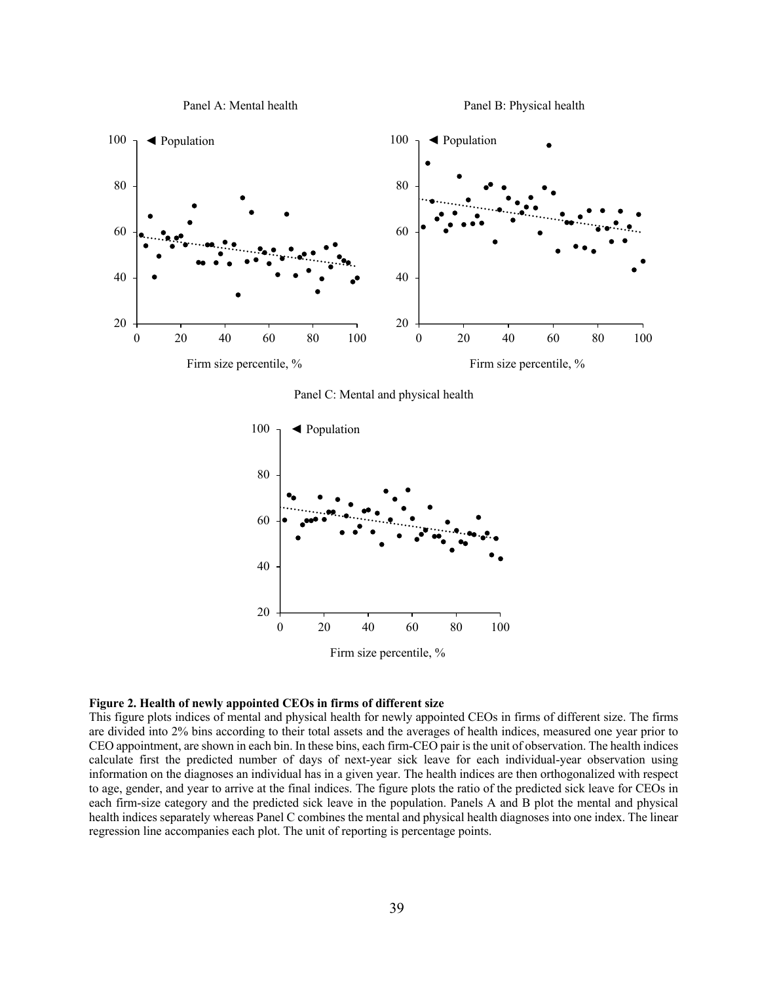

Panel B: Physical health



Panel C: Mental and physical health



#### **Figure 2. Health of newly appointed CEOs in firms of different size**

This figure plots indices of mental and physical health for newly appointed CEOs in firms of different size. The firms are divided into 2% bins according to their total assets and the averages of health indices, measured one year prior to CEO appointment, are shown in each bin. In these bins, each firm-CEO pair is the unit of observation. The health indices calculate first the predicted number of days of next-year sick leave for each individual-year observation using information on the diagnoses an individual has in a given year. The health indices are then orthogonalized with respect to age, gender, and year to arrive at the final indices. The figure plots the ratio of the predicted sick leave for CEOs in each firm-size category and the predicted sick leave in the population. Panels A and B plot the mental and physical health indices separately whereas Panel C combines the mental and physical health diagnoses into one index. The linear regression line accompanies each plot. The unit of reporting is percentage points.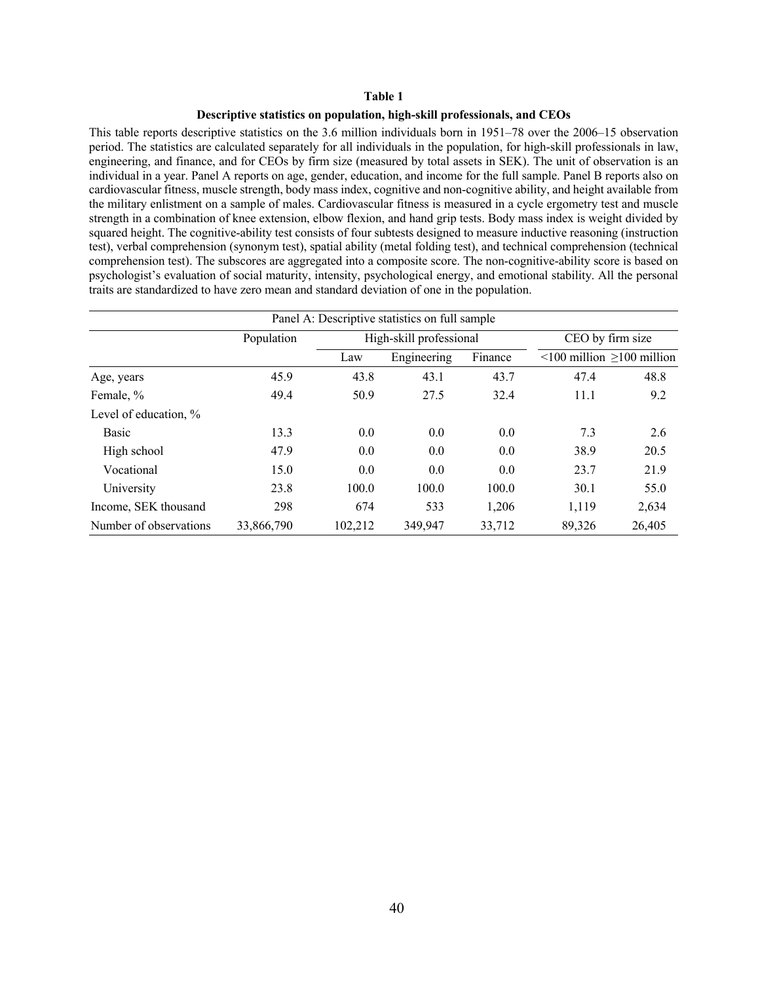#### **Descriptive statistics on population, high-skill professionals, and CEOs**

This table reports descriptive statistics on the 3.6 million individuals born in 1951–78 over the 2006–15 observation period. The statistics are calculated separately for all individuals in the population, for high-skill professionals in law, engineering, and finance, and for CEOs by firm size (measured by total assets in SEK). The unit of observation is an individual in a year. Panel A reports on age, gender, education, and income for the full sample. Panel B reports also on cardiovascular fitness, muscle strength, body mass index, cognitive and non-cognitive ability, and height available from the military enlistment on a sample of males. Cardiovascular fitness is measured in a cycle ergometry test and muscle strength in a combination of knee extension, elbow flexion, and hand grip tests. Body mass index is weight divided by squared height. The cognitive-ability test consists of four subtests designed to measure inductive reasoning (instruction test), verbal comprehension (synonym test), spatial ability (metal folding test), and technical comprehension (technical comprehension test). The subscores are aggregated into a composite score. The non-cognitive-ability score is based on psychologist's evaluation of social maturity, intensity, psychological energy, and emotional stability. All the personal traits are standardized to have zero mean and standard deviation of one in the population.

| Panel A: Descriptive statistics on full sample |            |         |                         |         |                                       |        |  |  |
|------------------------------------------------|------------|---------|-------------------------|---------|---------------------------------------|--------|--|--|
|                                                | Population |         | High-skill professional |         | CEO by firm size                      |        |  |  |
|                                                |            | Law     | Engineering             | Finance | $\leq$ 100 million $\geq$ 100 million |        |  |  |
| Age, years                                     | 45.9       | 43.8    | 43.1                    | 43.7    | 47.4                                  | 48.8   |  |  |
| Female, %                                      | 49.4       | 50.9    | 27.5                    | 32.4    | 11.1                                  | 9.2    |  |  |
| Level of education, %                          |            |         |                         |         |                                       |        |  |  |
| Basic                                          | 13.3       | 0.0     | 0.0                     | 0.0     | 7.3                                   | 2.6    |  |  |
| High school                                    | 47.9       | 0.0     | 0.0                     | 0.0     | 38.9                                  | 20.5   |  |  |
| Vocational                                     | 15.0       | 0.0     | 0.0                     | 0.0     | 23.7                                  | 21.9   |  |  |
| University                                     | 23.8       | 100.0   | 100.0                   | 100.0   | 30.1                                  | 55.0   |  |  |
| Income, SEK thousand                           | 298        | 674     | 533                     | 1,206   | 1,119                                 | 2,634  |  |  |
| Number of observations                         | 33,866,790 | 102,212 | 349,947                 | 33,712  | 89,326                                | 26,405 |  |  |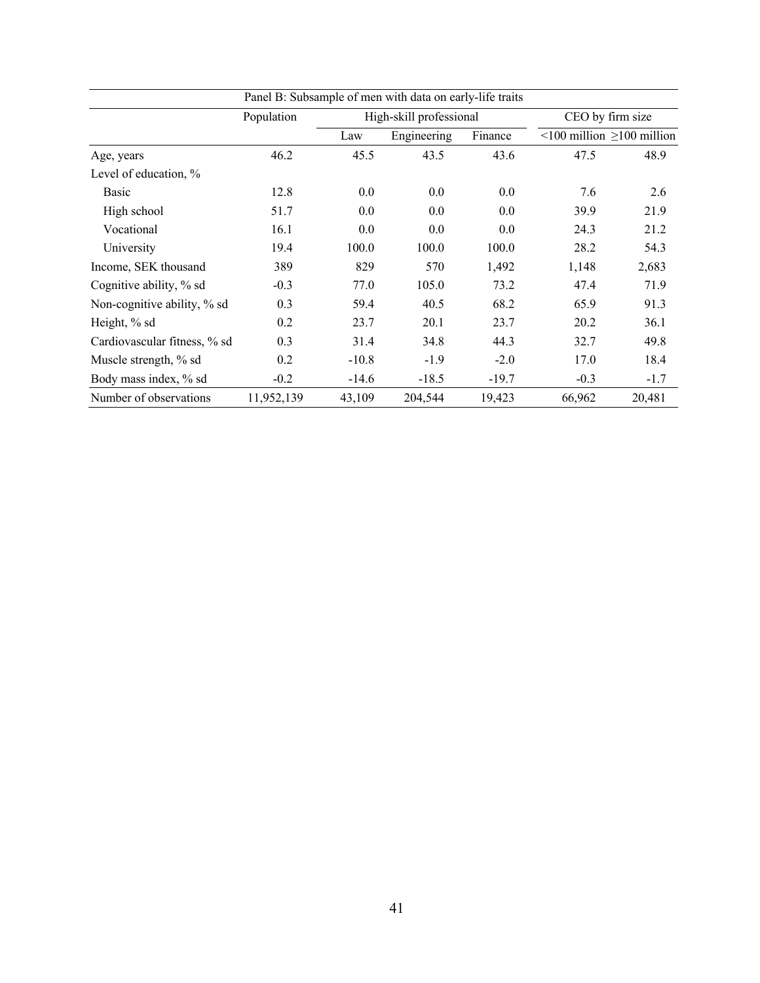| Panel B: Subsample of men with data on early-life traits |            |         |                         |         |                  |                                       |  |
|----------------------------------------------------------|------------|---------|-------------------------|---------|------------------|---------------------------------------|--|
|                                                          | Population |         | High-skill professional |         | CEO by firm size |                                       |  |
|                                                          |            | Law     | Engineering             | Finance |                  | $\leq$ 100 million $\geq$ 100 million |  |
| Age, years                                               | 46.2       | 45.5    | 43.5                    | 43.6    | 47.5             | 48.9                                  |  |
| Level of education, %                                    |            |         |                         |         |                  |                                       |  |
| Basic                                                    | 12.8       | 0.0     | 0.0                     | 0.0     | 7.6              | 2.6                                   |  |
| High school                                              | 51.7       | 0.0     | 0.0                     | 0.0     | 39.9             | 21.9                                  |  |
| Vocational                                               | 16.1       | 0.0     | 0.0                     | 0.0     | 24.3             | 21.2                                  |  |
| University                                               | 19.4       | 100.0   | 100.0                   | 100.0   | 28.2             | 54.3                                  |  |
| Income, SEK thousand                                     | 389        | 829     | 570                     | 1,492   | 1,148            | 2,683                                 |  |
| Cognitive ability, % sd                                  | $-0.3$     | 77.0    | 105.0                   | 73.2    | 47.4             | 71.9                                  |  |
| Non-cognitive ability, % sd                              | 0.3        | 59.4    | 40.5                    | 68.2    | 65.9             | 91.3                                  |  |
| Height, % sd                                             | 0.2        | 23.7    | 20.1                    | 23.7    | 20.2             | 36.1                                  |  |
| Cardiovascular fitness, % sd                             | 0.3        | 31.4    | 34.8                    | 44.3    | 32.7             | 49.8                                  |  |
| Muscle strength, % sd                                    | 0.2        | $-10.8$ | $-1.9$                  | $-2.0$  | 17.0             | 18.4                                  |  |
| Body mass index, % sd                                    | $-0.2$     | $-14.6$ | $-18.5$                 | $-19.7$ | $-0.3$           | $-1.7$                                |  |
| Number of observations                                   | 11,952,139 | 43,109  | 204,544                 | 19,423  | 66,962           | 20,481                                |  |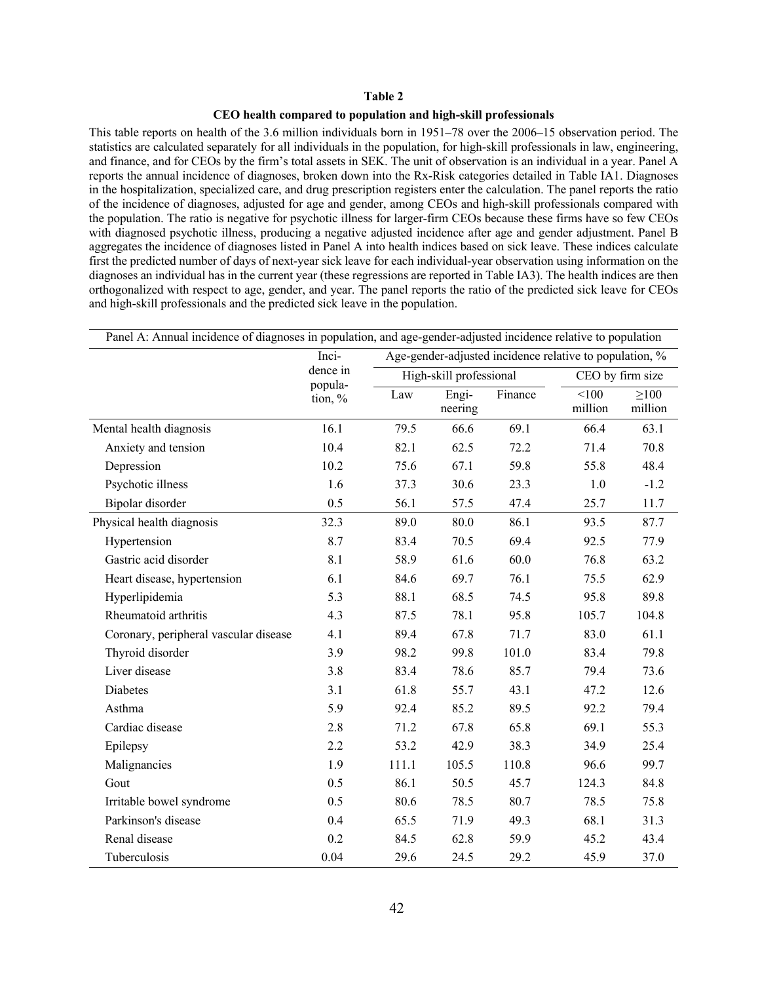#### **CEO health compared to population and high-skill professionals**

This table reports on health of the 3.6 million individuals born in 1951–78 over the 2006–15 observation period. The statistics are calculated separately for all individuals in the population, for high-skill professionals in law, engineering, and finance, and for CEOs by the firm's total assets in SEK. The unit of observation is an individual in a year. Panel A reports the annual incidence of diagnoses, broken down into the Rx-Risk categories detailed in Table IA1. Diagnoses in the hospitalization, specialized care, and drug prescription registers enter the calculation. The panel reports the ratio of the incidence of diagnoses, adjusted for age and gender, among CEOs and high-skill professionals compared with the population. The ratio is negative for psychotic illness for larger-firm CEOs because these firms have so few CEOs with diagnosed psychotic illness, producing a negative adjusted incidence after age and gender adjustment. Panel B aggregates the incidence of diagnoses listed in Panel A into health indices based on sick leave. These indices calculate first the predicted number of days of next-year sick leave for each individual-year observation using information on the diagnoses an individual has in the current year (these regressions are reported in Table IA3). The health indices are then orthogonalized with respect to age, gender, and year. The panel reports the ratio of the predicted sick leave for CEOs and high-skill professionals and the predicted sick leave in the population.

| Panel A: Annual incidence of diagnoses in population, and age-gender-adjusted incidence relative to population |                    |                                                         |                         |         |                  |                       |  |
|----------------------------------------------------------------------------------------------------------------|--------------------|---------------------------------------------------------|-------------------------|---------|------------------|-----------------------|--|
|                                                                                                                | Inci-              | Age-gender-adjusted incidence relative to population, % |                         |         |                  |                       |  |
|                                                                                                                | dence in           |                                                         | High-skill professional |         | CEO by firm size |                       |  |
|                                                                                                                | popula-<br>tion, % | Law                                                     | Engi-<br>neering        | Finance | 100<br>million   | $\geq 100$<br>million |  |
| Mental health diagnosis                                                                                        | 16.1               | 79.5                                                    | 66.6                    | 69.1    | 66.4             | 63.1                  |  |
| Anxiety and tension                                                                                            | 10.4               | 82.1                                                    | 62.5                    | 72.2    | 71.4             | 70.8                  |  |
| Depression                                                                                                     | 10.2               | 75.6                                                    | 67.1                    | 59.8    | 55.8             | 48.4                  |  |
| Psychotic illness                                                                                              | 1.6                | 37.3                                                    | 30.6                    | 23.3    | 1.0              | $-1.2$                |  |
| Bipolar disorder                                                                                               | 0.5                | 56.1                                                    | 57.5                    | 47.4    | 25.7             | 11.7                  |  |
| Physical health diagnosis                                                                                      | 32.3               | 89.0                                                    | 80.0                    | 86.1    | 93.5             | 87.7                  |  |
| Hypertension                                                                                                   | 8.7                | 83.4                                                    | 70.5                    | 69.4    | 92.5             | 77.9                  |  |
| Gastric acid disorder                                                                                          | 8.1                | 58.9                                                    | 61.6                    | 60.0    | 76.8             | 63.2                  |  |
| Heart disease, hypertension                                                                                    | 6.1                | 84.6                                                    | 69.7                    | 76.1    | 75.5             | 62.9                  |  |
| Hyperlipidemia                                                                                                 | 5.3                | 88.1                                                    | 68.5                    | 74.5    | 95.8             | 89.8                  |  |
| Rheumatoid arthritis                                                                                           | 4.3                | 87.5                                                    | 78.1                    | 95.8    | 105.7            | 104.8                 |  |
| Coronary, peripheral vascular disease                                                                          | 4.1                | 89.4                                                    | 67.8                    | 71.7    | 83.0             | 61.1                  |  |
| Thyroid disorder                                                                                               | 3.9                | 98.2                                                    | 99.8                    | 101.0   | 83.4             | 79.8                  |  |
| Liver disease                                                                                                  | 3.8                | 83.4                                                    | 78.6                    | 85.7    | 79.4             | 73.6                  |  |
| Diabetes                                                                                                       | 3.1                | 61.8                                                    | 55.7                    | 43.1    | 47.2             | 12.6                  |  |
| Asthma                                                                                                         | 5.9                | 92.4                                                    | 85.2                    | 89.5    | 92.2             | 79.4                  |  |
| Cardiac disease                                                                                                | 2.8                | 71.2                                                    | 67.8                    | 65.8    | 69.1             | 55.3                  |  |
| Epilepsy                                                                                                       | 2.2                | 53.2                                                    | 42.9                    | 38.3    | 34.9             | 25.4                  |  |
| Malignancies                                                                                                   | 1.9                | 111.1                                                   | 105.5                   | 110.8   | 96.6             | 99.7                  |  |
| Gout                                                                                                           | 0.5                | 86.1                                                    | 50.5                    | 45.7    | 124.3            | 84.8                  |  |
| Irritable bowel syndrome                                                                                       | 0.5                | 80.6                                                    | 78.5                    | 80.7    | 78.5             | 75.8                  |  |
| Parkinson's disease                                                                                            | 0.4                | 65.5                                                    | 71.9                    | 49.3    | 68.1             | 31.3                  |  |
| Renal disease                                                                                                  | 0.2                | 84.5                                                    | 62.8                    | 59.9    | 45.2             | 43.4                  |  |
| Tuberculosis                                                                                                   | 0.04               | 29.6                                                    | 24.5                    | 29.2    | 45.9             | 37.0                  |  |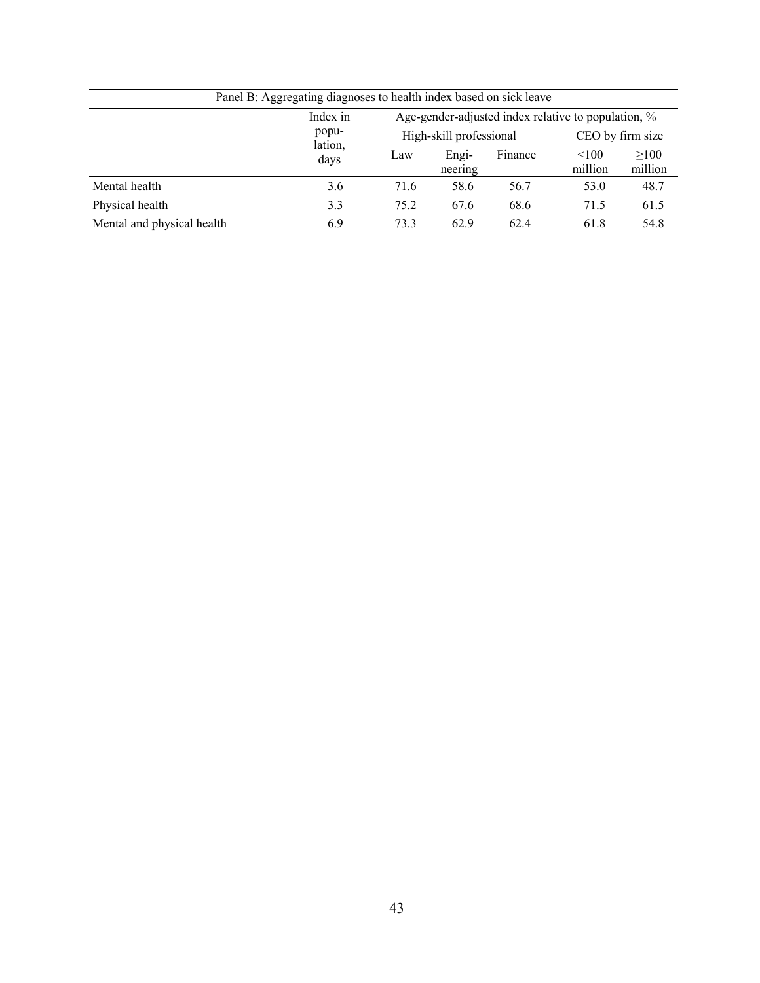| Panel B: Aggregating diagnoses to health index based on sick leave |                  |                                                     |                         |         |                  |                 |  |  |
|--------------------------------------------------------------------|------------------|-----------------------------------------------------|-------------------------|---------|------------------|-----------------|--|--|
|                                                                    | Index in         | Age-gender-adjusted index relative to population, % |                         |         |                  |                 |  |  |
|                                                                    | popu-<br>lation, |                                                     | High-skill professional |         | CEO by firm size |                 |  |  |
|                                                                    | days             | Law                                                 | Engi-<br>neering        | Finance | < 100<br>million | >100<br>million |  |  |
| Mental health                                                      | 3.6              | 71.6                                                | 58.6                    | 56.7    | 53.0             | 48.7            |  |  |
| Physical health                                                    | 3.3              | 75.2                                                | 67.6                    | 68.6    | 71.5             | 61.5            |  |  |
| Mental and physical health                                         | 6.9              | 73.3                                                | 62.9                    | 62.4    | 61.8             | 54.8            |  |  |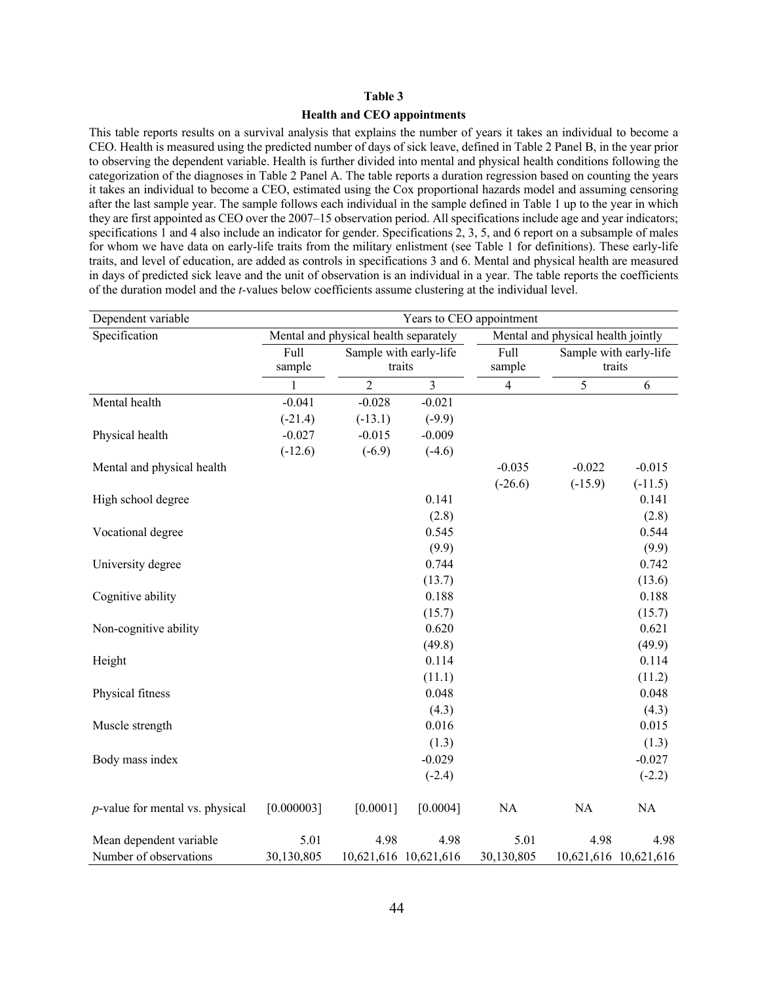## **Health and CEO appointments**

This table reports results on a survival analysis that explains the number of years it takes an individual to become a CEO. Health is measured using the predicted number of days of sick leave, defined in Table 2 Panel B, in the year prior to observing the dependent variable. Health is further divided into mental and physical health conditions following the categorization of the diagnoses in Table 2 Panel A. The table reports a duration regression based on counting the years it takes an individual to become a CEO, estimated using the Cox proportional hazards model and assuming censoring after the last sample year. The sample follows each individual in the sample defined in Table 1 up to the year in which they are first appointed as CEO over the 2007–15 observation period. All specifications include age and year indicators; specifications 1 and 4 also include an indicator for gender. Specifications 2, 3, 5, and 6 report on a subsample of males for whom we have data on early-life traits from the military enlistment (see Table 1 for definitions). These early-life traits, and level of education, are added as controls in specifications 3 and 6. Mental and physical health are measured in days of predicted sick leave and the unit of observation is an individual in a year. The table reports the coefficients of the duration model and the *t-*values below coefficients assume clustering at the individual level.

| Dependent variable                 | Years to CEO appointment              |                       |                        |                |                                    |                       |  |
|------------------------------------|---------------------------------------|-----------------------|------------------------|----------------|------------------------------------|-----------------------|--|
| Specification                      | Mental and physical health separately |                       |                        |                | Mental and physical health jointly |                       |  |
|                                    | Full                                  |                       | Sample with early-life |                | Sample with early-life             |                       |  |
|                                    | sample                                | traits                |                        | sample         |                                    | traits                |  |
|                                    | 1                                     | $\overline{2}$        | $\overline{3}$         | $\overline{4}$ | 5                                  | 6                     |  |
| Mental health                      | $-0.041$                              | $-0.028$              | $-0.021$               |                |                                    |                       |  |
|                                    | $(-21.4)$                             | $(-13.1)$             | $(-9.9)$               |                |                                    |                       |  |
| Physical health                    | $-0.027$                              | $-0.015$              | $-0.009$               |                |                                    |                       |  |
|                                    | $(-12.6)$                             | $(-6.9)$              | $(-4.6)$               |                |                                    |                       |  |
| Mental and physical health         |                                       |                       |                        | $-0.035$       | $-0.022$                           | $-0.015$              |  |
|                                    |                                       |                       |                        | $(-26.6)$      | $(-15.9)$                          | $(-11.5)$             |  |
| High school degree                 |                                       |                       | 0.141                  |                |                                    | 0.141                 |  |
|                                    |                                       |                       | (2.8)                  |                |                                    | (2.8)                 |  |
| Vocational degree                  |                                       |                       | 0.545                  |                |                                    | 0.544                 |  |
|                                    |                                       |                       | (9.9)                  |                |                                    | (9.9)                 |  |
| University degree                  |                                       |                       | 0.744                  |                |                                    | 0.742                 |  |
|                                    |                                       |                       | (13.7)                 |                |                                    | (13.6)                |  |
| Cognitive ability                  |                                       |                       | 0.188                  |                |                                    | 0.188                 |  |
|                                    |                                       |                       | (15.7)                 |                |                                    | (15.7)                |  |
| Non-cognitive ability              |                                       |                       | 0.620                  |                |                                    | 0.621                 |  |
|                                    |                                       |                       | (49.8)                 |                |                                    | (49.9)                |  |
| Height                             |                                       |                       | 0.114                  |                |                                    | 0.114                 |  |
|                                    |                                       |                       | (11.1)                 |                |                                    | (11.2)                |  |
| Physical fitness                   |                                       |                       | 0.048                  |                |                                    | 0.048                 |  |
|                                    |                                       |                       | (4.3)                  |                |                                    | (4.3)                 |  |
| Muscle strength                    |                                       |                       | 0.016                  |                |                                    | 0.015                 |  |
|                                    |                                       |                       | (1.3)                  |                |                                    | (1.3)                 |  |
| Body mass index                    |                                       |                       | $-0.029$               |                |                                    | $-0.027$              |  |
|                                    |                                       |                       | $(-2.4)$               |                |                                    | $(-2.2)$              |  |
| $p$ -value for mental vs. physical | [0.000003]                            | [0.0001]              | [0.0004]               | NA             | NA                                 | <b>NA</b>             |  |
| Mean dependent variable            | 5.01                                  | 4.98                  | 4.98                   | 5.01           | 4.98                               | 4.98                  |  |
| Number of observations             | 30,130,805                            | 10,621,616 10,621,616 |                        | 30,130,805     |                                    | 10,621,616 10,621,616 |  |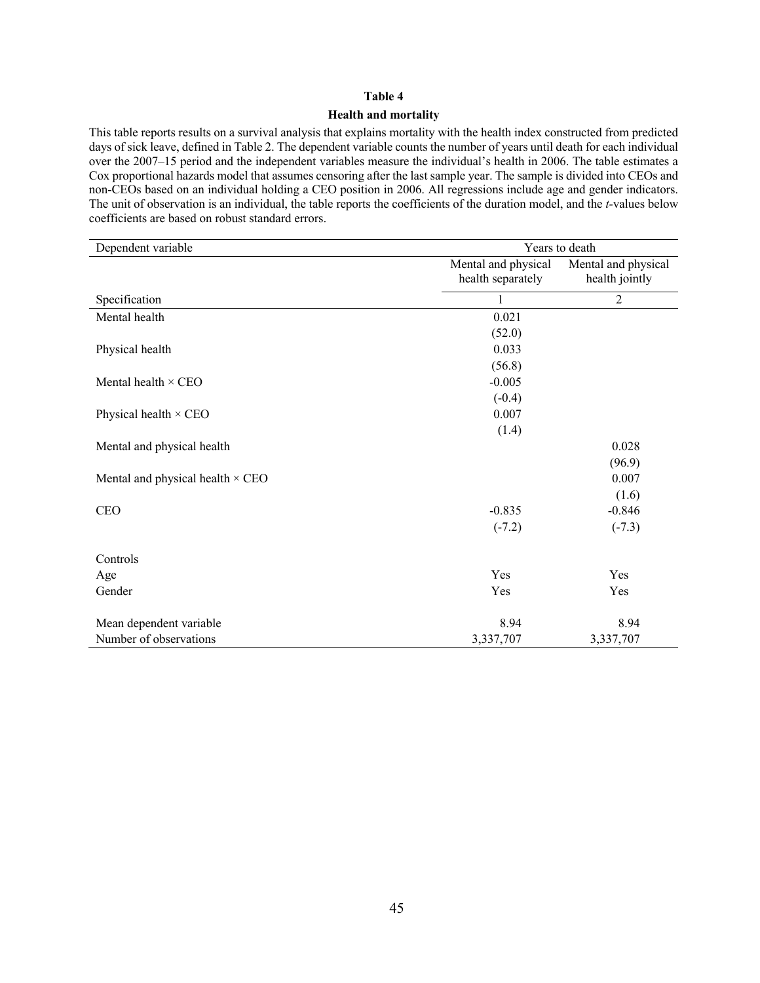#### **Health and mortality**

This table reports results on a survival analysis that explains mortality with the health index constructed from predicted days of sick leave, defined in Table 2. The dependent variable counts the number of years until death for each individual over the 2007–15 period and the independent variables measure the individual's health in 2006. The table estimates a Cox proportional hazards model that assumes censoring after the last sample year. The sample is divided into CEOs and non-CEOs based on an individual holding a CEO position in 2006. All regressions include age and gender indicators. The unit of observation is an individual, the table reports the coefficients of the duration model, and the *t-*values below coefficients are based on robust standard errors.

| Dependent variable                      | Years to death                           |                                       |  |  |  |  |
|-----------------------------------------|------------------------------------------|---------------------------------------|--|--|--|--|
|                                         | Mental and physical<br>health separately | Mental and physical<br>health jointly |  |  |  |  |
| Specification                           |                                          | $\overline{c}$                        |  |  |  |  |
| Mental health                           | 0.021                                    |                                       |  |  |  |  |
|                                         | (52.0)                                   |                                       |  |  |  |  |
| Physical health                         | 0.033                                    |                                       |  |  |  |  |
|                                         | (56.8)                                   |                                       |  |  |  |  |
| Mental health $\times$ CEO              | $-0.005$                                 |                                       |  |  |  |  |
|                                         | $(-0.4)$                                 |                                       |  |  |  |  |
| Physical health $\times$ CEO            | 0.007                                    |                                       |  |  |  |  |
|                                         | (1.4)                                    |                                       |  |  |  |  |
| Mental and physical health              |                                          | 0.028                                 |  |  |  |  |
|                                         |                                          | (96.9)                                |  |  |  |  |
| Mental and physical health $\times$ CEO |                                          | 0.007                                 |  |  |  |  |
|                                         |                                          | (1.6)                                 |  |  |  |  |
| <b>CEO</b>                              | $-0.835$                                 | $-0.846$                              |  |  |  |  |
|                                         | $(-7.2)$                                 | $(-7.3)$                              |  |  |  |  |
| Controls                                |                                          |                                       |  |  |  |  |
| Age                                     | Yes                                      | Yes                                   |  |  |  |  |
| Gender                                  | Yes                                      | Yes                                   |  |  |  |  |
| Mean dependent variable                 | 8.94                                     | 8.94                                  |  |  |  |  |
| Number of observations                  | 3,337,707                                | 3,337,707                             |  |  |  |  |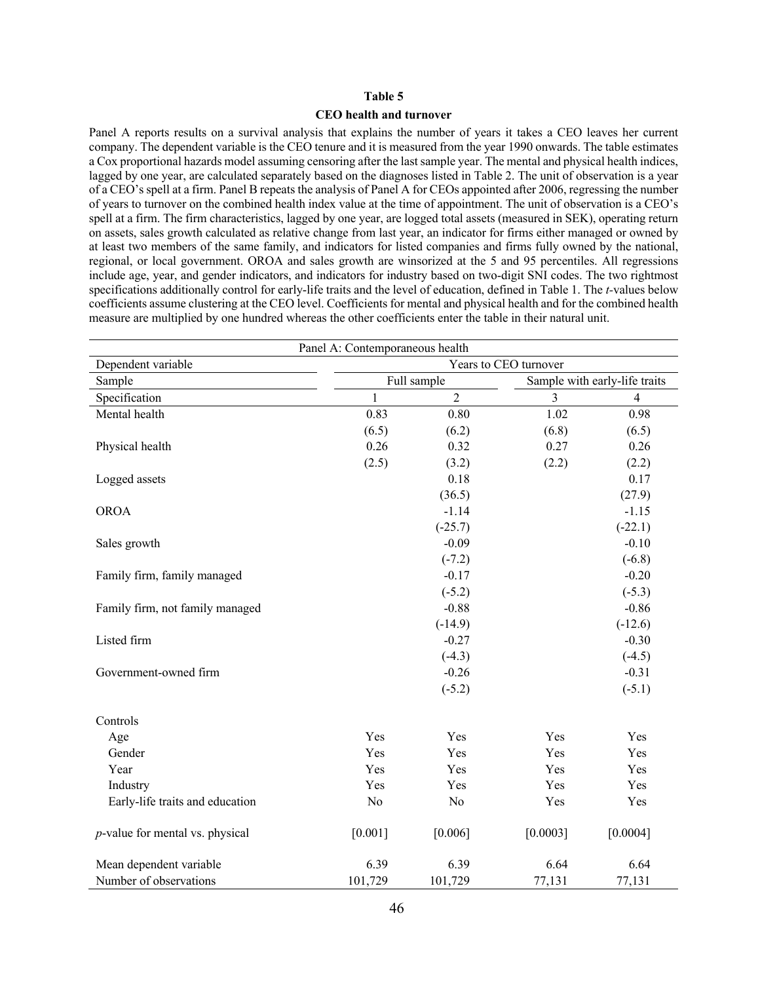#### **CEO health and turnover**

Panel A reports results on a survival analysis that explains the number of years it takes a CEO leaves her current company. The dependent variable is the CEO tenure and it is measured from the year 1990 onwards. The table estimates a Cox proportional hazards model assuming censoring after the last sample year. The mental and physical health indices, lagged by one year, are calculated separately based on the diagnoses listed in Table 2. The unit of observation is a year of a CEO's spell at a firm. Panel B repeats the analysis of Panel A for CEOs appointed after 2006, regressing the number of years to turnover on the combined health index value at the time of appointment. The unit of observation is a CEO's spell at a firm. The firm characteristics, lagged by one year, are logged total assets (measured in SEK), operating return on assets, sales growth calculated as relative change from last year, an indicator for firms either managed or owned by at least two members of the same family, and indicators for listed companies and firms fully owned by the national, regional, or local government. OROA and sales growth are winsorized at the 5 and 95 percentiles. All regressions include age, year, and gender indicators, and indicators for industry based on two-digit SNI codes. The two rightmost specifications additionally control for early-life traits and the level of education, defined in Table 1. The *t-*values below coefficients assume clustering at the CEO level. Coefficients for mental and physical health and for the combined health measure are multiplied by one hundred whereas the other coefficients enter the table in their natural unit.

| Panel A: Contemporaneous health    |                       |                |          |                               |  |  |  |  |
|------------------------------------|-----------------------|----------------|----------|-------------------------------|--|--|--|--|
| Dependent variable                 | Years to CEO turnover |                |          |                               |  |  |  |  |
| Sample                             |                       | Full sample    |          | Sample with early-life traits |  |  |  |  |
| Specification                      | $\mathbf{1}$          | $\overline{2}$ | 3        | $\overline{4}$                |  |  |  |  |
| Mental health                      | 0.83                  | 0.80           | 1.02     | 0.98                          |  |  |  |  |
|                                    | (6.5)                 | (6.2)          | (6.8)    | (6.5)                         |  |  |  |  |
| Physical health                    | 0.26                  | 0.32           | 0.27     | 0.26                          |  |  |  |  |
|                                    | (2.5)                 | (3.2)          | (2.2)    | (2.2)                         |  |  |  |  |
| Logged assets                      |                       | 0.18           |          | 0.17                          |  |  |  |  |
|                                    |                       | (36.5)         |          | (27.9)                        |  |  |  |  |
| <b>OROA</b>                        |                       | $-1.14$        |          | $-1.15$                       |  |  |  |  |
|                                    |                       | $(-25.7)$      |          | $(-22.1)$                     |  |  |  |  |
| Sales growth                       |                       | $-0.09$        |          | $-0.10$                       |  |  |  |  |
|                                    |                       | $(-7.2)$       |          | $(-6.8)$                      |  |  |  |  |
| Family firm, family managed        |                       | $-0.17$        |          | $-0.20$                       |  |  |  |  |
|                                    |                       | $(-5.2)$       |          | $(-5.3)$                      |  |  |  |  |
| Family firm, not family managed    |                       | $-0.88$        |          | $-0.86$                       |  |  |  |  |
|                                    |                       | $(-14.9)$      |          | $(-12.6)$                     |  |  |  |  |
| Listed firm                        |                       | $-0.27$        |          | $-0.30$                       |  |  |  |  |
|                                    |                       | $(-4.3)$       |          | $(-4.5)$                      |  |  |  |  |
| Government-owned firm              |                       | $-0.26$        |          | $-0.31$                       |  |  |  |  |
|                                    |                       | $(-5.2)$       |          | $(-5.1)$                      |  |  |  |  |
| Controls                           |                       |                |          |                               |  |  |  |  |
| Age                                | Yes                   | Yes            | Yes      | Yes                           |  |  |  |  |
| Gender                             | Yes                   | Yes            | Yes      | Yes                           |  |  |  |  |
| Year                               | Yes                   | Yes            | Yes      | Yes                           |  |  |  |  |
| Industry                           | Yes                   | Yes            | Yes      | Yes                           |  |  |  |  |
| Early-life traits and education    | $\rm No$              | $\rm No$       | Yes      | Yes                           |  |  |  |  |
| $p$ -value for mental vs. physical | [0.001]               | [0.006]        | [0.0003] | [0.0004]                      |  |  |  |  |
| Mean dependent variable            | 6.39                  | 6.39           | 6.64     | 6.64                          |  |  |  |  |
| Number of observations             | 101,729               | 101,729        | 77,131   | 77,131                        |  |  |  |  |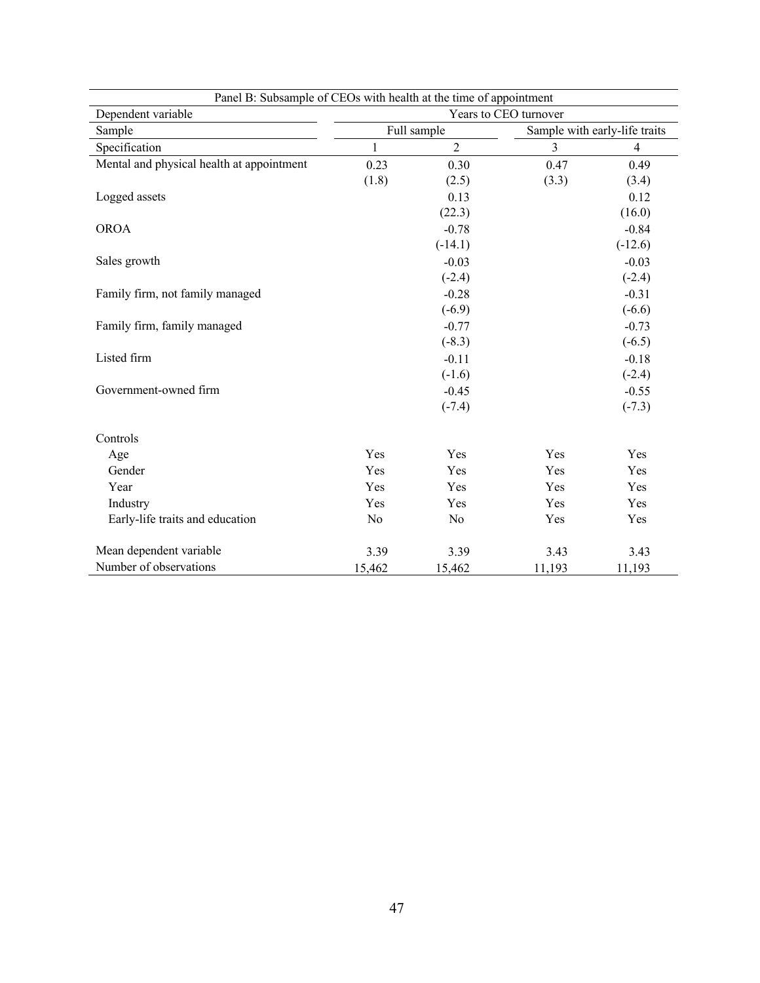| Panel B: Subsample of CEOs with health at the time of appointment |                       |                |        |                               |  |  |  |  |
|-------------------------------------------------------------------|-----------------------|----------------|--------|-------------------------------|--|--|--|--|
| Dependent variable                                                | Years to CEO turnover |                |        |                               |  |  |  |  |
| Sample                                                            |                       | Full sample    |        | Sample with early-life traits |  |  |  |  |
| Specification                                                     | 1                     | $\overline{2}$ | 3      | 4                             |  |  |  |  |
| Mental and physical health at appointment                         | 0.23                  | 0.30           | 0.47   | 0.49                          |  |  |  |  |
|                                                                   | (1.8)                 | (2.5)          | (3.3)  | (3.4)                         |  |  |  |  |
| Logged assets                                                     |                       | 0.13           |        | 0.12                          |  |  |  |  |
|                                                                   |                       | (22.3)         |        | (16.0)                        |  |  |  |  |
| <b>OROA</b>                                                       |                       | $-0.78$        |        | $-0.84$                       |  |  |  |  |
|                                                                   |                       | $(-14.1)$      |        | $(-12.6)$                     |  |  |  |  |
| Sales growth                                                      |                       | $-0.03$        |        | $-0.03$                       |  |  |  |  |
|                                                                   |                       | $(-2.4)$       |        | $(-2.4)$                      |  |  |  |  |
| Family firm, not family managed                                   |                       | $-0.28$        |        | $-0.31$                       |  |  |  |  |
|                                                                   |                       | $(-6.9)$       |        | $(-6.6)$                      |  |  |  |  |
| Family firm, family managed                                       |                       | $-0.77$        |        | $-0.73$                       |  |  |  |  |
|                                                                   |                       | $(-8.3)$       |        | $(-6.5)$                      |  |  |  |  |
| Listed firm                                                       |                       | $-0.11$        |        | $-0.18$                       |  |  |  |  |
|                                                                   |                       | $(-1.6)$       |        | $(-2.4)$                      |  |  |  |  |
| Government-owned firm                                             |                       | $-0.45$        |        | $-0.55$                       |  |  |  |  |
|                                                                   |                       | $(-7.4)$       |        | $(-7.3)$                      |  |  |  |  |
|                                                                   |                       |                |        |                               |  |  |  |  |
| Controls                                                          |                       |                |        |                               |  |  |  |  |
| Age                                                               | Yes                   | Yes            | Yes    | Yes                           |  |  |  |  |
| Gender                                                            | Yes                   | Yes            | Yes    | Yes                           |  |  |  |  |
| Year                                                              | Yes                   | Yes            | Yes    | Yes                           |  |  |  |  |
| Industry                                                          | Yes                   | Yes            | Yes    | Yes                           |  |  |  |  |
| Early-life traits and education                                   | N <sub>o</sub>        | No             | Yes    | Yes                           |  |  |  |  |
| Mean dependent variable                                           | 3.39                  | 3.39           | 3.43   | 3.43                          |  |  |  |  |
| Number of observations                                            | 15,462                | 15,462         | 11,193 | 11,193                        |  |  |  |  |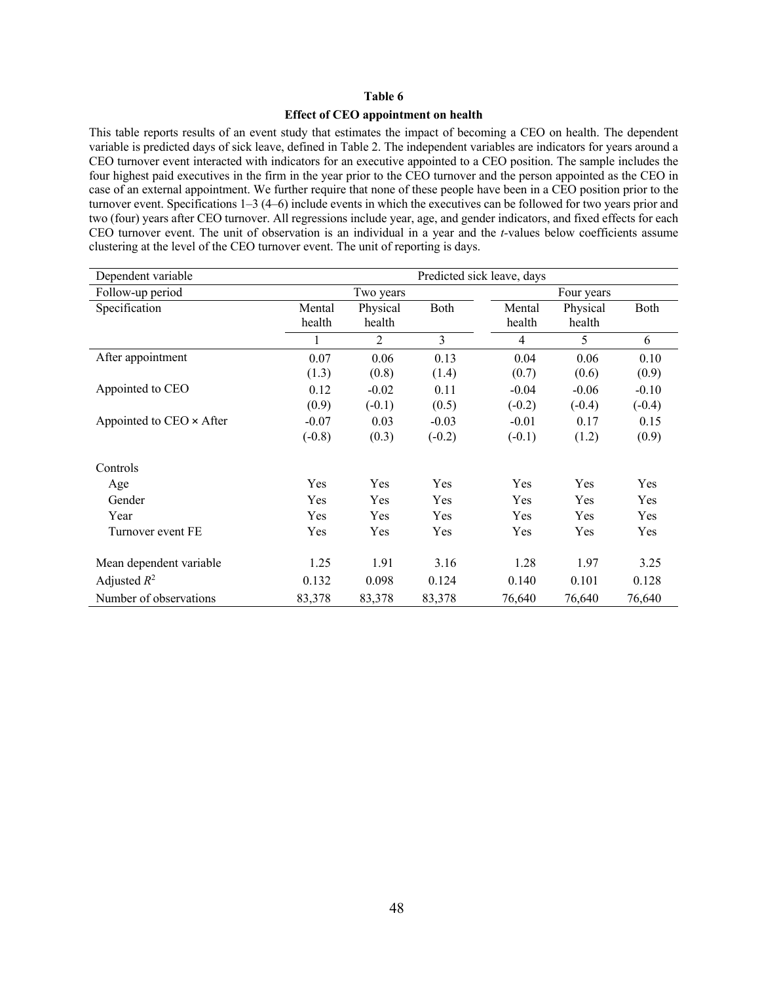## **Effect of CEO appointment on health**

This table reports results of an event study that estimates the impact of becoming a CEO on health. The dependent variable is predicted days of sick leave, defined in Table 2. The independent variables are indicators for years around a CEO turnover event interacted with indicators for an executive appointed to a CEO position. The sample includes the four highest paid executives in the firm in the year prior to the CEO turnover and the person appointed as the CEO in case of an external appointment. We further require that none of these people have been in a CEO position prior to the turnover event. Specifications 1–3 (4–6) include events in which the executives can be followed for two years prior and two (four) years after CEO turnover. All regressions include year, age, and gender indicators, and fixed effects for each CEO turnover event. The unit of observation is an individual in a year and the *t-*values below coefficients assume clustering at the level of the CEO turnover event. The unit of reporting is days.

| Dependent variable       | Predicted sick leave, days |                    |             |                  |                    |          |  |
|--------------------------|----------------------------|--------------------|-------------|------------------|--------------------|----------|--|
| Follow-up period         | Two years<br>Four years    |                    |             |                  |                    |          |  |
| Specification            | Mental<br>health           | Physical<br>health | <b>Both</b> | Mental<br>health | Physical<br>health | Both     |  |
|                          |                            | 2                  | 3           | 4                | 5                  | 6        |  |
| After appointment        | 0.07                       | 0.06               | 0.13        | 0.04             | 0.06               | 0.10     |  |
|                          | (1.3)                      | (0.8)              | (1.4)       | (0.7)            | (0.6)              | (0.9)    |  |
| Appointed to CEO         | 0.12                       | $-0.02$            | 0.11        | $-0.04$          | $-0.06$            | $-0.10$  |  |
|                          | (0.9)                      | $(-0.1)$           | (0.5)       | $(-0.2)$         | $(-0.4)$           | $(-0.4)$ |  |
| Appointed to CEO × After | $-0.07$                    | 0.03               | $-0.03$     | $-0.01$          | 0.17               | 0.15     |  |
|                          | $(-0.8)$                   | (0.3)              | $(-0.2)$    | $(-0.1)$         | (1.2)              | (0.9)    |  |
| Controls                 |                            |                    |             |                  |                    |          |  |
| Age                      | Yes                        | Yes                | Yes         | Yes              | Yes                | Yes      |  |
| Gender                   | Yes                        | Yes                | Yes         | Yes              | Yes                | Yes      |  |
| Year                     | Yes                        | Yes                | Yes         | Yes              | Yes                | Yes      |  |
| Turnover event FE        | Yes                        | Yes                | Yes         | Yes              | Yes                | Yes      |  |
| Mean dependent variable  | 1.25                       | 1.91               | 3.16        | 1.28             | 1.97               | 3.25     |  |
| Adjusted $R^2$           | 0.132                      | 0.098              | 0.124       | 0.140            | 0.101              | 0.128    |  |
| Number of observations   | 83,378                     | 83,378             | 83,378      | 76,640           | 76,640             | 76,640   |  |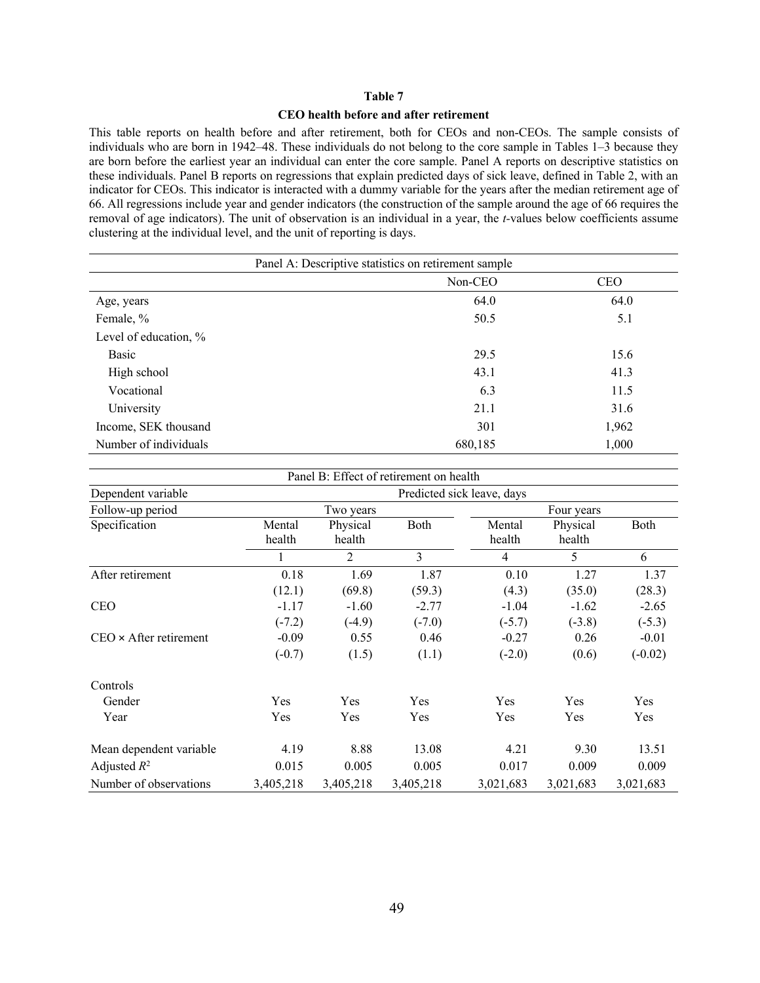#### **CEO health before and after retirement**

This table reports on health before and after retirement, both for CEOs and non-CEOs. The sample consists of individuals who are born in 1942–48. These individuals do not belong to the core sample in Tables 1–3 because they are born before the earliest year an individual can enter the core sample. Panel A reports on descriptive statistics on these individuals. Panel B reports on regressions that explain predicted days of sick leave, defined in Table 2, with an indicator for CEOs. This indicator is interacted with a dummy variable for the years after the median retirement age of 66. All regressions include year and gender indicators (the construction of the sample around the age of 66 requires the removal of age indicators). The unit of observation is an individual in a year, the *t-*values below coefficients assume clustering at the individual level, and the unit of reporting is days.

| Panel A: Descriptive statistics on retirement sample |         |       |  |  |  |  |  |  |
|------------------------------------------------------|---------|-------|--|--|--|--|--|--|
| Non-CEO<br><b>CEO</b>                                |         |       |  |  |  |  |  |  |
| Age, years                                           | 64.0    | 64.0  |  |  |  |  |  |  |
| Female, %                                            | 50.5    | 5.1   |  |  |  |  |  |  |
| Level of education, %                                |         |       |  |  |  |  |  |  |
| Basic                                                | 29.5    | 15.6  |  |  |  |  |  |  |
| High school                                          | 43.1    | 41.3  |  |  |  |  |  |  |
| Vocational                                           | 6.3     | 11.5  |  |  |  |  |  |  |
| University                                           | 21.1    | 31.6  |  |  |  |  |  |  |
| Income, SEK thousand                                 | 301     | 1,962 |  |  |  |  |  |  |
| Number of individuals                                | 680,185 | 1,000 |  |  |  |  |  |  |

|                                                  |                  |                    | Panel B: Effect of retirement on health |                  |                    |           |
|--------------------------------------------------|------------------|--------------------|-----------------------------------------|------------------|--------------------|-----------|
| Dependent variable<br>Predicted sick leave, days |                  |                    |                                         |                  |                    |           |
| Follow-up period                                 |                  | Two years          |                                         |                  | Four years         |           |
| Specification                                    | Mental<br>health | Physical<br>health | Both                                    | Mental<br>health | Physical<br>health | Both      |
|                                                  |                  | $\overline{2}$     | 3                                       | 4                | 5                  | 6         |
| After retirement                                 | 0.18             | 1.69               | 1.87                                    | 0.10             | 1.27               | 1.37      |
|                                                  | (12.1)           | (69.8)             | (59.3)                                  | (4.3)            | (35.0)             | (28.3)    |
| <b>CEO</b>                                       | $-1.17$          | $-1.60$            | $-2.77$                                 | $-1.04$          | $-1.62$            | $-2.65$   |
|                                                  | $(-7.2)$         | $(-4.9)$           | $(-7.0)$                                | $(-5.7)$         | $(-3.8)$           | $(-5.3)$  |
| $CEO \times$ After retirement                    | $-0.09$          | 0.55               | 0.46                                    | $-0.27$          | 0.26               | $-0.01$   |
|                                                  | $(-0.7)$         | (1.5)              | (1.1)                                   | $(-2.0)$         | (0.6)              | $(-0.02)$ |
| Controls                                         |                  |                    |                                         |                  |                    |           |
| Gender                                           | Yes              | Yes                | Yes                                     | Yes              | Yes                | Yes       |
| Year                                             | Yes              | Yes                | Yes                                     | Yes              | Yes                | Yes       |
| Mean dependent variable                          | 4.19             | 8.88               | 13.08                                   | 4.21             | 9.30               | 13.51     |
| Adjusted $R^2$                                   | 0.015            | 0.005              | 0.005                                   | 0.017            | 0.009              | 0.009     |
| Number of observations                           | 3,405,218        | 3,405,218          | 3,405,218                               | 3,021,683        | 3,021,683          | 3,021,683 |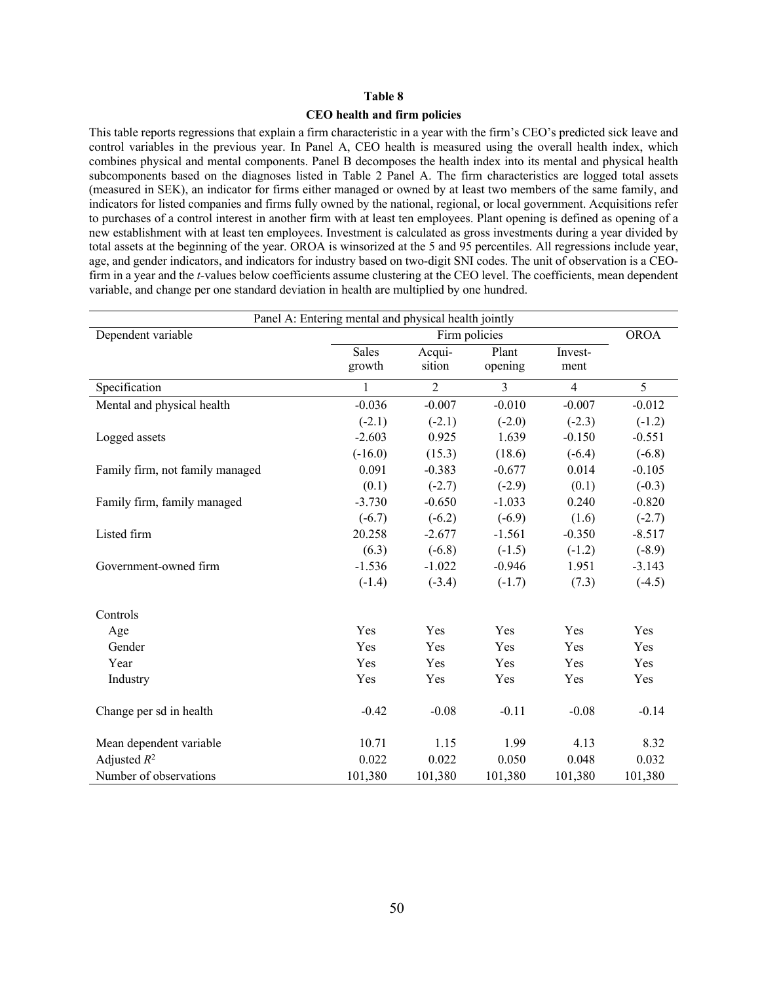#### **CEO health and firm policies**

This table reports regressions that explain a firm characteristic in a year with the firm's CEO's predicted sick leave and control variables in the previous year. In Panel A, CEO health is measured using the overall health index, which combines physical and mental components. Panel B decomposes the health index into its mental and physical health subcomponents based on the diagnoses listed in Table 2 Panel A. The firm characteristics are logged total assets (measured in SEK), an indicator for firms either managed or owned by at least two members of the same family, and indicators for listed companies and firms fully owned by the national, regional, or local government. Acquisitions refer to purchases of a control interest in another firm with at least ten employees. Plant opening is defined as opening of a new establishment with at least ten employees. Investment is calculated as gross investments during a year divided by total assets at the beginning of the year. OROA is winsorized at the 5 and 95 percentiles. All regressions include year, age, and gender indicators, and indicators for industry based on two-digit SNI codes. The unit of observation is a CEOfirm in a year and the *t-*values below coefficients assume clustering at the CEO level. The coefficients, mean dependent variable, and change per one standard deviation in health are multiplied by one hundred.

| Panel A: Entering mental and physical health jointly |              |                |                |                |             |  |  |  |
|------------------------------------------------------|--------------|----------------|----------------|----------------|-------------|--|--|--|
| Dependent variable                                   |              | Firm policies  |                |                | <b>OROA</b> |  |  |  |
|                                                      | Sales        | Acqui-         | Plant          | Invest-        |             |  |  |  |
|                                                      | growth       | sition         | opening        | ment           |             |  |  |  |
| Specification                                        | $\mathbf{1}$ | $\overline{2}$ | $\overline{3}$ | $\overline{4}$ | 5           |  |  |  |
| Mental and physical health                           | $-0.036$     | $-0.007$       | $-0.010$       | $-0.007$       | $-0.012$    |  |  |  |
|                                                      | $(-2.1)$     | $(-2.1)$       | $(-2.0)$       | $(-2.3)$       | $(-1.2)$    |  |  |  |
| Logged assets                                        | $-2.603$     | 0.925          | 1.639          | $-0.150$       | $-0.551$    |  |  |  |
|                                                      | $(-16.0)$    | (15.3)         | (18.6)         | $(-6.4)$       | $(-6.8)$    |  |  |  |
| Family firm, not family managed                      | 0.091        | $-0.383$       | $-0.677$       | 0.014          | $-0.105$    |  |  |  |
|                                                      | (0.1)        | $(-2.7)$       | $(-2.9)$       | (0.1)          | $(-0.3)$    |  |  |  |
| Family firm, family managed                          | $-3.730$     | $-0.650$       | $-1.033$       | 0.240          | $-0.820$    |  |  |  |
|                                                      | $(-6.7)$     | $(-6.2)$       | $(-6.9)$       | (1.6)          | $(-2.7)$    |  |  |  |
| Listed firm                                          | 20.258       | $-2.677$       | $-1.561$       | $-0.350$       | $-8.517$    |  |  |  |
|                                                      | (6.3)        | $(-6.8)$       | $(-1.5)$       | $(-1.2)$       | $(-8.9)$    |  |  |  |
| Government-owned firm                                | $-1.536$     | $-1.022$       | $-0.946$       | 1.951          | $-3.143$    |  |  |  |
|                                                      | $(-1.4)$     | $(-3.4)$       | $(-1.7)$       | (7.3)          | $(-4.5)$    |  |  |  |
| Controls                                             |              |                |                |                |             |  |  |  |
| Age                                                  | Yes          | Yes            | Yes            | Yes            | Yes         |  |  |  |
| Gender                                               | Yes          | Yes            | Yes            | Yes            | Yes         |  |  |  |
| Year                                                 | Yes          | Yes            | Yes            | Yes            | Yes         |  |  |  |
| Industry                                             | Yes          | Yes            | Yes            | Yes            | Yes         |  |  |  |
| Change per sd in health                              | $-0.42$      | $-0.08$        | $-0.11$        | $-0.08$        | $-0.14$     |  |  |  |
| Mean dependent variable                              | 10.71        | 1.15           | 1.99           | 4.13           | 8.32        |  |  |  |
| Adjusted $R^2$                                       | 0.022        | 0.022          | 0.050          | 0.048          | 0.032       |  |  |  |
| Number of observations                               | 101,380      | 101,380        | 101,380        | 101,380        | 101,380     |  |  |  |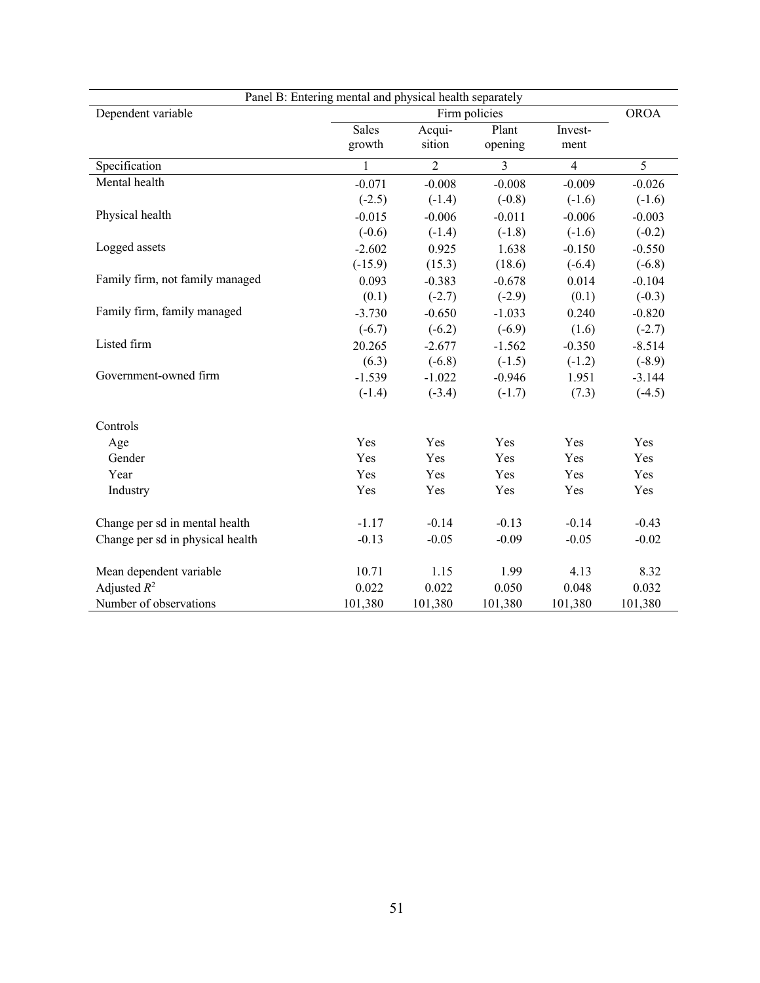| Panel B: Entering mental and physical health separately |              |                |               |                |                |
|---------------------------------------------------------|--------------|----------------|---------------|----------------|----------------|
| Dependent variable                                      |              |                | Firm policies |                | <b>OROA</b>    |
|                                                         | <b>Sales</b> | Acqui-         | Plant         | Invest-        |                |
|                                                         | growth       | sition         | opening       | ment           |                |
| Specification                                           | 1            | $\overline{2}$ | 3             | $\overline{4}$ | $\overline{5}$ |
| Mental health                                           | $-0.071$     | $-0.008$       | $-0.008$      | $-0.009$       | $-0.026$       |
|                                                         | $(-2.5)$     | $(-1.4)$       | $(-0.8)$      | $(-1.6)$       | $(-1.6)$       |
| Physical health                                         | $-0.015$     | $-0.006$       | $-0.011$      | $-0.006$       | $-0.003$       |
|                                                         | $(-0.6)$     | $(-1.4)$       | $(-1.8)$      | $(-1.6)$       | $(-0.2)$       |
| Logged assets                                           | $-2.602$     | 0.925          | 1.638         | $-0.150$       | $-0.550$       |
|                                                         | $(-15.9)$    | (15.3)         | (18.6)        | $(-6.4)$       | $(-6.8)$       |
| Family firm, not family managed                         | 0.093        | $-0.383$       | $-0.678$      | 0.014          | $-0.104$       |
|                                                         | (0.1)        | $(-2.7)$       | $(-2.9)$      | (0.1)          | $(-0.3)$       |
| Family firm, family managed                             | $-3.730$     | $-0.650$       | $-1.033$      | 0.240          | $-0.820$       |
|                                                         | $(-6.7)$     | $(-6.2)$       | $(-6.9)$      | (1.6)          | $(-2.7)$       |
| Listed firm                                             | 20.265       | $-2.677$       | $-1.562$      | $-0.350$       | $-8.514$       |
|                                                         | (6.3)        | $(-6.8)$       | $(-1.5)$      | $(-1.2)$       | $(-8.9)$       |
| Government-owned firm                                   | $-1.539$     | $-1.022$       | $-0.946$      | 1.951          | $-3.144$       |
|                                                         | $(-1.4)$     | $(-3.4)$       | $(-1.7)$      | (7.3)          | $(-4.5)$       |
| Controls                                                |              |                |               |                |                |
| Age                                                     | Yes          | Yes            | Yes           | Yes            | Yes            |
| Gender                                                  | Yes          | Yes            | Yes           | Yes            | Yes            |
| Year                                                    | Yes          | Yes            | Yes           | Yes            | Yes            |
| Industry                                                | Yes          | Yes            | Yes           | Yes            | Yes            |
| Change per sd in mental health                          | $-1.17$      | $-0.14$        | $-0.13$       | $-0.14$        | $-0.43$        |
| Change per sd in physical health                        | $-0.13$      | $-0.05$        | $-0.09$       | $-0.05$        | $-0.02$        |
| Mean dependent variable                                 | 10.71        | 1.15           | 1.99          | 4.13           | 8.32           |
| Adjusted $R^2$                                          | 0.022        | 0.022          | 0.050         | 0.048          | 0.032          |
| Number of observations                                  | 101,380      | 101,380        | 101,380       | 101,380        | 101,380        |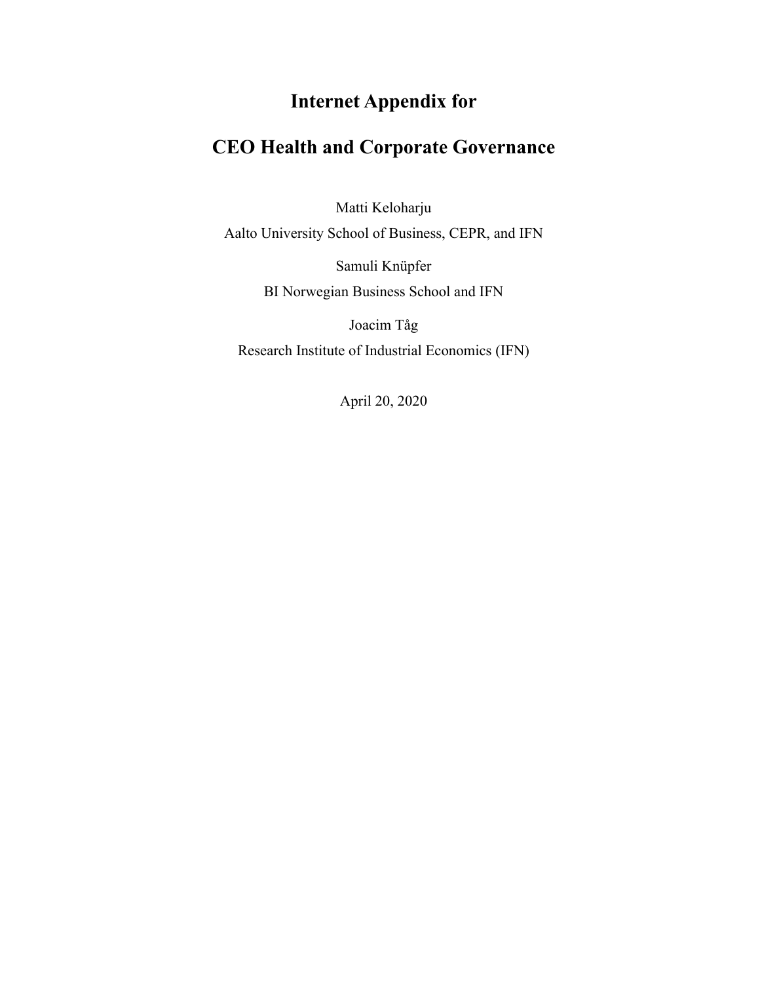# **Internet Appendix for**

## **CEO Health and Corporate Governance**

Matti Keloharju

Aalto University School of Business, CEPR, and IFN

Samuli Knüpfer BI Norwegian Business School and IFN

Joacim Tåg Research Institute of Industrial Economics (IFN)

April 20, 2020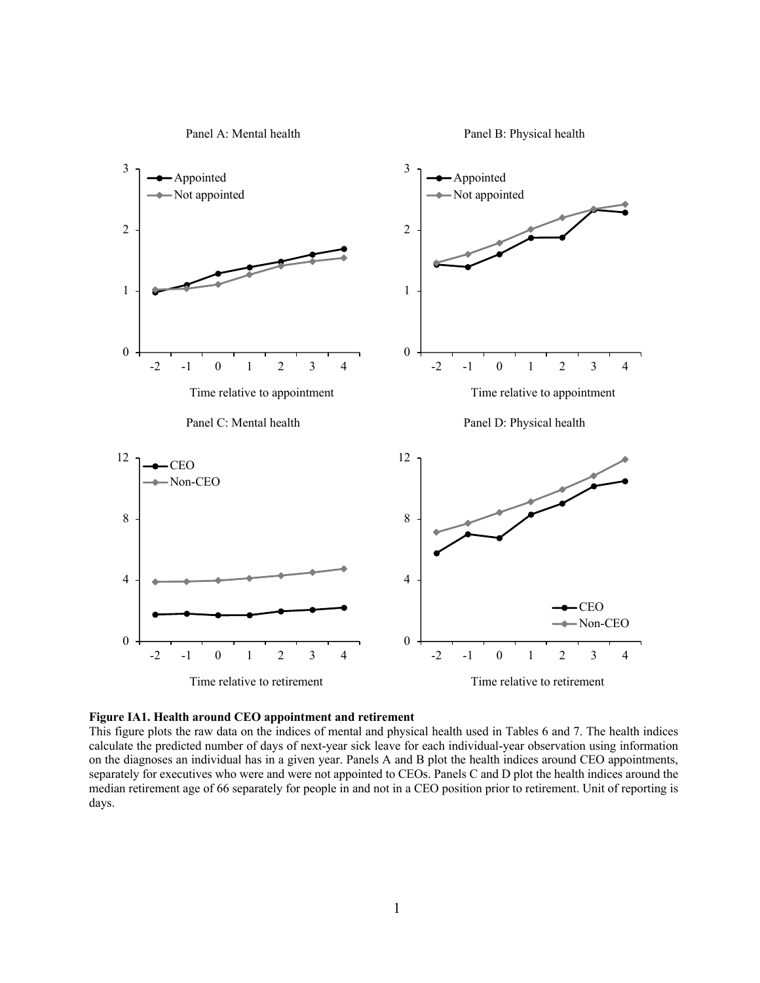



This figure plots the raw data on the indices of mental and physical health used in Tables 6 and 7. The health indices calculate the predicted number of days of next-year sick leave for each individual-year observation using information on the diagnoses an individual has in a given year. Panels A and B plot the health indices around CEO appointments, separately for executives who were and were not appointed to CEOs. Panels C and D plot the health indices around the median retirement age of 66 separately for people in and not in a CEO position prior to retirement. Unit of reporting is days.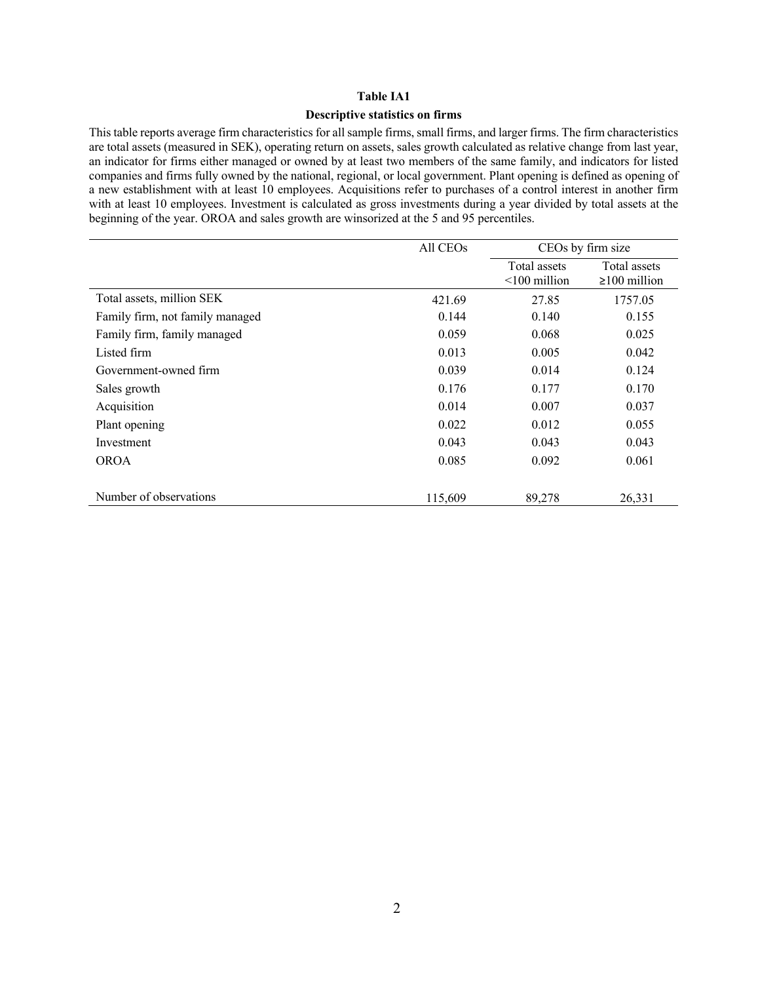#### **Descriptive statistics on firms**

This table reports average firm characteristics for all sample firms, small firms, and larger firms. The firm characteristics are total assets (measured in SEK), operating return on assets, sales growth calculated as relative change from last year, an indicator for firms either managed or owned by at least two members of the same family, and indicators for listed companies and firms fully owned by the national, regional, or local government. Plant opening is defined as opening of a new establishment with at least 10 employees. Acquisitions refer to purchases of a control interest in another firm with at least 10 employees. Investment is calculated as gross investments during a year divided by total assets at the beginning of the year. OROA and sales growth are winsorized at the 5 and 95 percentiles.

|                                 | All CEO <sub>s</sub> |                                 | CEOs by firm size                  |
|---------------------------------|----------------------|---------------------------------|------------------------------------|
|                                 |                      | Total assets<br>$<$ 100 million | Total assets<br>$\geq 100$ million |
| Total assets, million SEK       | 421.69               | 27.85                           | 1757.05                            |
| Family firm, not family managed | 0.144                | 0.140                           | 0.155                              |
| Family firm, family managed     | 0.059                | 0.068                           | 0.025                              |
| Listed firm                     | 0.013                | 0.005                           | 0.042                              |
| Government-owned firm           | 0.039                | 0.014                           | 0.124                              |
| Sales growth                    | 0.176                | 0.177                           | 0.170                              |
| Acquisition                     | 0.014                | 0.007                           | 0.037                              |
| Plant opening                   | 0.022                | 0.012                           | 0.055                              |
| Investment                      | 0.043                | 0.043                           | 0.043                              |
| <b>OROA</b>                     | 0.085                | 0.092                           | 0.061                              |
|                                 |                      |                                 |                                    |
| Number of observations          | 115,609              | 89,278                          | 26,331                             |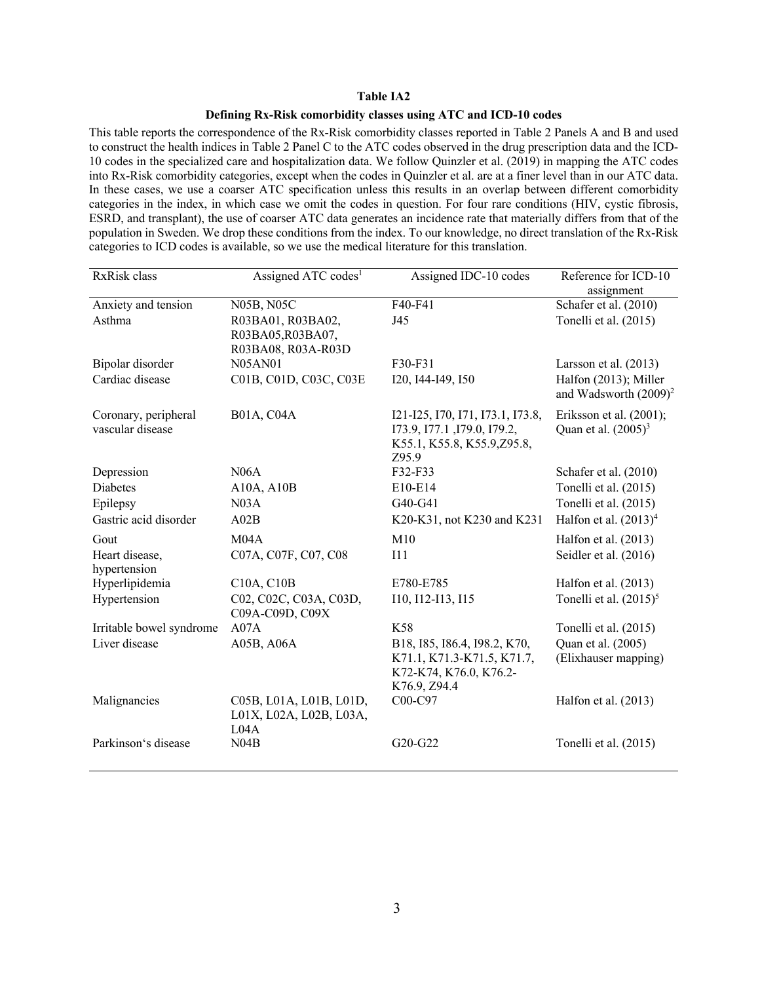## **Defining Rx-Risk comorbidity classes using ATC and ICD-10 codes**

This table reports the correspondence of the Rx-Risk comorbidity classes reported in Table 2 Panels A and B and used to construct the health indices in Table 2 Panel C to the ATC codes observed in the drug prescription data and the ICD-10 codes in the specialized care and hospitalization data. We follow Quinzler et al. (2019) in mapping the ATC codes into Rx-Risk comorbidity categories, except when the codes in Quinzler et al. are at a finer level than in our ATC data. In these cases, we use a coarser ATC specification unless this results in an overlap between different comorbidity categories in the index, in which case we omit the codes in question. For four rare conditions (HIV, cystic fibrosis, ESRD, and transplant), the use of coarser ATC data generates an incidence rate that materially differs from that of the population in Sweden. We drop these conditions from the index. To our knowledge, no direct translation of the Rx-Risk categories to ICD codes is available, so we use the medical literature for this translation.

| RxRisk class                             | Assigned ATC codes <sup>1</sup>                              | Assigned IDC-10 codes                                                                                   | Reference for ICD-10                              |
|------------------------------------------|--------------------------------------------------------------|---------------------------------------------------------------------------------------------------------|---------------------------------------------------|
|                                          |                                                              |                                                                                                         | assignment                                        |
| Anxiety and tension                      | N05B, N05C                                                   | F40-F41                                                                                                 | Schafer et al. (2010)                             |
| Asthma                                   | R03BA01, R03BA02,<br>R03BA05, R03BA07,<br>R03BA08, R03A-R03D | J45                                                                                                     | Tonelli et al. (2015)                             |
| Bipolar disorder                         | <b>N05AN01</b>                                               | F30-F31                                                                                                 | Larsson et al. $(2013)$                           |
| Cardiac disease                          | C01B, C01D, C03C, C03E                                       | I20, I44-I49, I50                                                                                       | Halfon (2013); Miller<br>and Wadsworth $(2009)^2$ |
| Coronary, peripheral<br>vascular disease | <b>B01A, C04A</b>                                            | 121-125, 170, 171, 173.1, 173.8,<br>I73.9, I77.1, I79.0, I79.2,<br>K55.1, K55.8, K55.9, Z95.8,<br>Z95.9 | Eriksson et al. (2001);<br>Quan et al. $(2005)^3$ |
| Depression                               | N06A                                                         | F32-F33                                                                                                 | Schafer et al. (2010)                             |
| <b>Diabetes</b>                          | A10A, A10B                                                   | E10-E14                                                                                                 | Tonelli et al. (2015)                             |
| Epilepsy                                 | N03A                                                         | G40-G41                                                                                                 | Tonelli et al. (2015)                             |
| Gastric acid disorder                    | A02B                                                         | K20-K31, not K230 and K231                                                                              | Halfon et al. $(2013)^4$                          |
| Gout                                     | M04A                                                         | M10                                                                                                     | Halfon et al. $(2013)$                            |
| Heart disease,<br>hypertension           | C07A, C07F, C07, C08                                         | 111                                                                                                     | Seidler et al. (2016)                             |
| Hyperlipidemia                           | C10A, C10B                                                   | E780-E785                                                                                               | Halfon et al. (2013)                              |
| Hypertension                             | C02, C02C, C03A, C03D,<br>C09A-C09D, C09X                    | I10, I12-I13, I15                                                                                       | Tonelli et al. $(2015)^5$                         |
| Irritable bowel syndrome                 | A07A                                                         | K58                                                                                                     | Tonelli et al. (2015)                             |
| Liver disease                            | A05B, A06A                                                   | B18, 185, 186.4, 198.2, K70,<br>K71.1, K71.3-K71.5, K71.7,<br>K72-K74, K76.0, K76.2-<br>K76.9, Z94.4    | Quan et al. (2005)<br>(Elixhauser mapping)        |
| Malignancies                             | C05B, L01A, L01B, L01D,<br>L01X, L02A, L02B, L03A,<br>L04A   | C00-C97                                                                                                 | Halfon et al. (2013)                              |
| Parkinson's disease                      | N04B                                                         | G20-G22                                                                                                 | Tonelli et al. (2015)                             |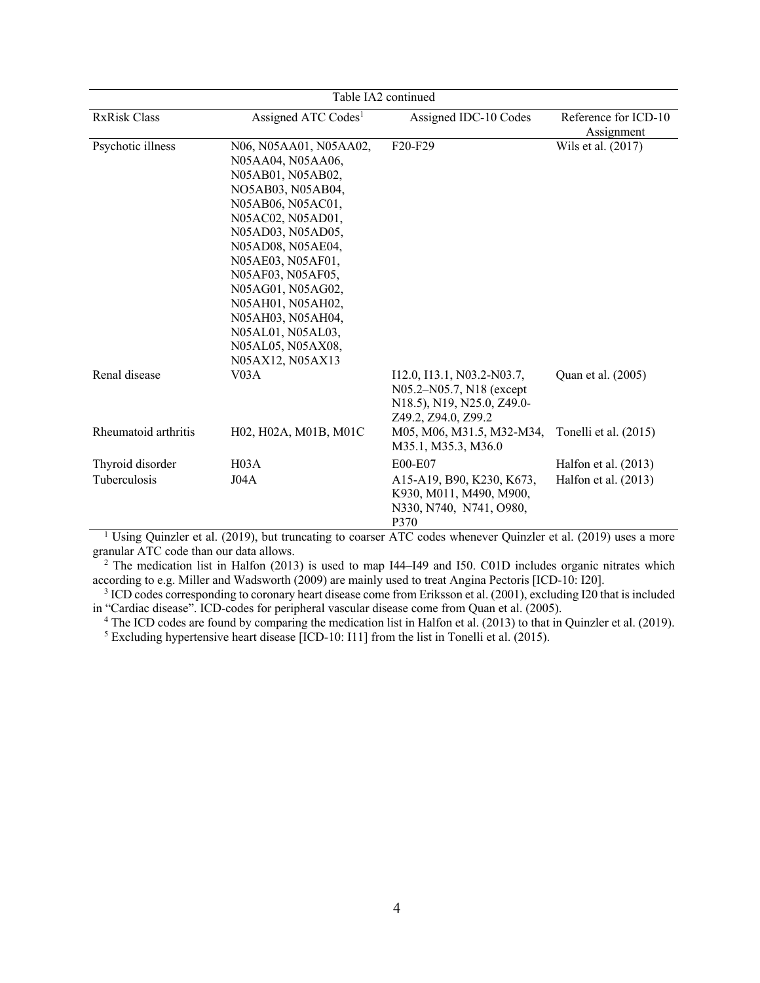| Table IA2 continued  |                                                                                                                                                                                                                                                                                                                                                  |                                                                                                             |                                    |  |
|----------------------|--------------------------------------------------------------------------------------------------------------------------------------------------------------------------------------------------------------------------------------------------------------------------------------------------------------------------------------------------|-------------------------------------------------------------------------------------------------------------|------------------------------------|--|
| <b>RxRisk Class</b>  | Assigned ATC Codes <sup>1</sup>                                                                                                                                                                                                                                                                                                                  | Assigned IDC-10 Codes                                                                                       | Reference for ICD-10<br>Assignment |  |
| Psychotic illness    | N06, N05AA01, N05AA02,<br>N05AA04, N05AA06,<br>N05AB01, N05AB02,<br>NO5AB03, N05AB04,<br>N05AB06, N05AC01,<br>N05AC02, N05AD01,<br>N05AD03, N05AD05,<br>N05AD08, N05AE04,<br>N05AE03, N05AF01,<br>N05AF03, N05AF05,<br>N05AG01, N05AG02,<br>N05AH01, N05AH02,<br>N05AH03, N05AH04,<br>N05AL01, N05AL03,<br>N05AL05, N05AX08,<br>N05AX12, N05AX13 | F20-F29                                                                                                     | Wils et al. (2017)                 |  |
| Renal disease        | V03A                                                                                                                                                                                                                                                                                                                                             | I12.0, I13.1, N03.2-N03.7,<br>N05.2-N05.7, N18 (except<br>N18.5), N19, N25.0, Z49.0-<br>Z49.2, Z94.0, Z99.2 | Quan et al. (2005)                 |  |
| Rheumatoid arthritis | H02, H02A, M01B, M01C                                                                                                                                                                                                                                                                                                                            | M05, M06, M31.5, M32-M34,<br>M35.1, M35.3, M36.0                                                            | Tonelli et al. (2015)              |  |
| Thyroid disorder     | H <sub>03A</sub>                                                                                                                                                                                                                                                                                                                                 | E00-E07                                                                                                     | Halfon et al. $(2013)$             |  |
| <b>Tuberculosis</b>  | J04A                                                                                                                                                                                                                                                                                                                                             | A15-A19, B90, K230, K673,<br>K930, M011, M490, M900,<br>N330, N740, N741, O980,<br>P370                     | Halfon et al. $(2013)$             |  |

<sup>1</sup> Using Quinzler et al. (2019), but truncating to coarser ATC codes whenever Quinzler et al. (2019) uses a more granular ATC code than our data allows.

 $2$  The medication list in Halfon (2013) is used to map I44–I49 and I50. C01D includes organic nitrates which according to e.g. Miller and Wadsworth (2009) are mainly used to treat Angina Pectoris [ICD-10: I20].

<sup>3</sup> ICD codes corresponding to coronary heart disease come from Eriksson et al. (2001), excluding I20 that is included in "Cardiac disease". ICD-codes for peripheral vascular disease come from Quan et al. (2005).

<sup>4</sup> The ICD codes are found by comparing the medication list in Halfon et al. (2013) to that in Quinzler et al. (2019).

<sup>5</sup> Excluding hypertensive heart disease [ICD-10: I11] from the list in Tonelli et al. (2015).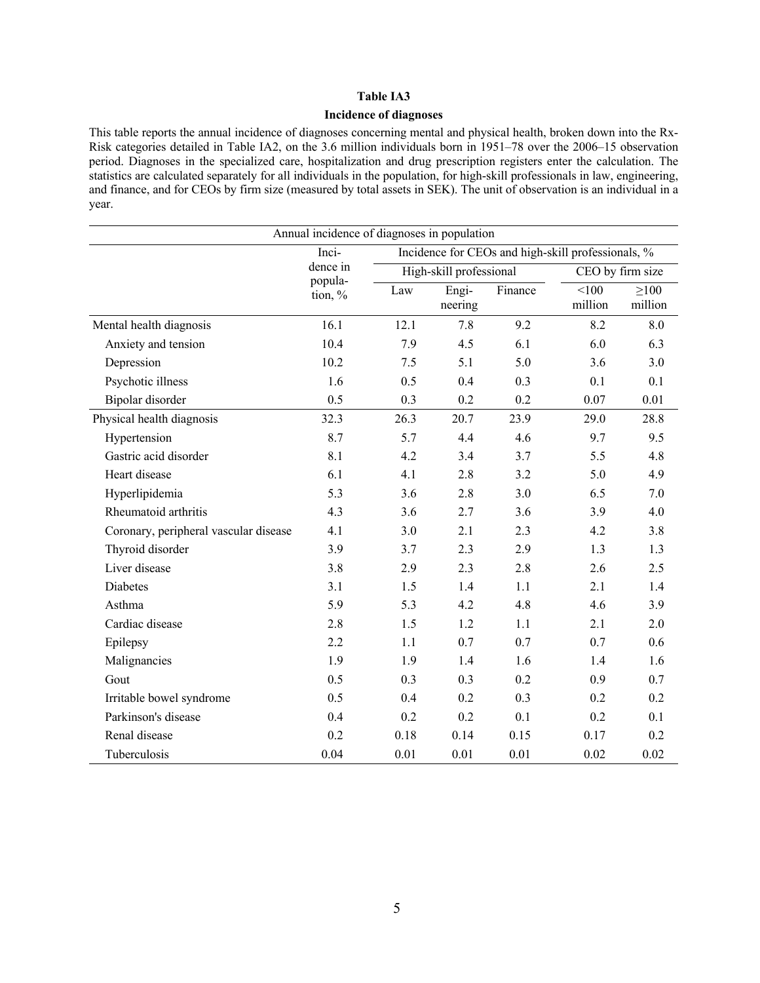## **Incidence of diagnoses**

This table reports the annual incidence of diagnoses concerning mental and physical health, broken down into the Rx-Risk categories detailed in Table IA2, on the 3.6 million individuals born in 1951–78 over the 2006–15 observation period. Diagnoses in the specialized care, hospitalization and drug prescription registers enter the calculation. The statistics are calculated separately for all individuals in the population, for high-skill professionals in law, engineering, and finance, and for CEOs by firm size (measured by total assets in SEK). The unit of observation is an individual in a year.

| Annual incidence of diagnoses in population |                    |      |                         |         |                                                    |                       |
|---------------------------------------------|--------------------|------|-------------------------|---------|----------------------------------------------------|-----------------------|
|                                             | Inci-              |      |                         |         | Incidence for CEOs and high-skill professionals, % |                       |
|                                             | dence in           |      | High-skill professional |         |                                                    | CEO by firm size      |
|                                             | popula-<br>tion, % | Law  | Engi-<br>neering        | Finance | < 100<br>million                                   | $\geq 100$<br>million |
| Mental health diagnosis                     | 16.1               | 12.1 | 7.8                     | 9.2     | 8.2                                                | 8.0                   |
| Anxiety and tension                         | 10.4               | 7.9  | 4.5                     | 6.1     | 6.0                                                | 6.3                   |
| Depression                                  | 10.2               | 7.5  | 5.1                     | 5.0     | 3.6                                                | 3.0                   |
| Psychotic illness                           | 1.6                | 0.5  | 0.4                     | 0.3     | 0.1                                                | 0.1                   |
| Bipolar disorder                            | 0.5                | 0.3  | 0.2                     | 0.2     | 0.07                                               | 0.01                  |
| Physical health diagnosis                   | 32.3               | 26.3 | 20.7                    | 23.9    | 29.0                                               | 28.8                  |
| Hypertension                                | 8.7                | 5.7  | 4.4                     | 4.6     | 9.7                                                | 9.5                   |
| Gastric acid disorder                       | 8.1                | 4.2  | 3.4                     | 3.7     | 5.5                                                | 4.8                   |
| Heart disease                               | 6.1                | 4.1  | 2.8                     | 3.2     | 5.0                                                | 4.9                   |
| Hyperlipidemia                              | 5.3                | 3.6  | 2.8                     | 3.0     | 6.5                                                | 7.0                   |
| Rheumatoid arthritis                        | 4.3                | 3.6  | 2.7                     | 3.6     | 3.9                                                | 4.0                   |
| Coronary, peripheral vascular disease       | 4.1                | 3.0  | 2.1                     | 2.3     | 4.2                                                | 3.8                   |
| Thyroid disorder                            | 3.9                | 3.7  | 2.3                     | 2.9     | 1.3                                                | 1.3                   |
| Liver disease                               | 3.8                | 2.9  | 2.3                     | 2.8     | 2.6                                                | 2.5                   |
| Diabetes                                    | 3.1                | 1.5  | 1.4                     | 1.1     | 2.1                                                | 1.4                   |
| Asthma                                      | 5.9                | 5.3  | 4.2                     | 4.8     | 4.6                                                | 3.9                   |
| Cardiac disease                             | 2.8                | 1.5  | 1.2                     | 1.1     | 2.1                                                | 2.0                   |
| Epilepsy                                    | 2.2                | 1.1  | 0.7                     | 0.7     | 0.7                                                | 0.6                   |
| Malignancies                                | 1.9                | 1.9  | 1.4                     | 1.6     | 1.4                                                | 1.6                   |
| Gout                                        | 0.5                | 0.3  | 0.3                     | 0.2     | 0.9                                                | 0.7                   |
| Irritable bowel syndrome                    | 0.5                | 0.4  | 0.2                     | 0.3     | 0.2                                                | 0.2                   |
| Parkinson's disease                         | 0.4                | 0.2  | 0.2                     | 0.1     | 0.2                                                | 0.1                   |
| Renal disease                               | 0.2                | 0.18 | 0.14                    | 0.15    | 0.17                                               | 0.2                   |
| Tuberculosis                                | 0.04               | 0.01 | 0.01                    | 0.01    | 0.02                                               | 0.02                  |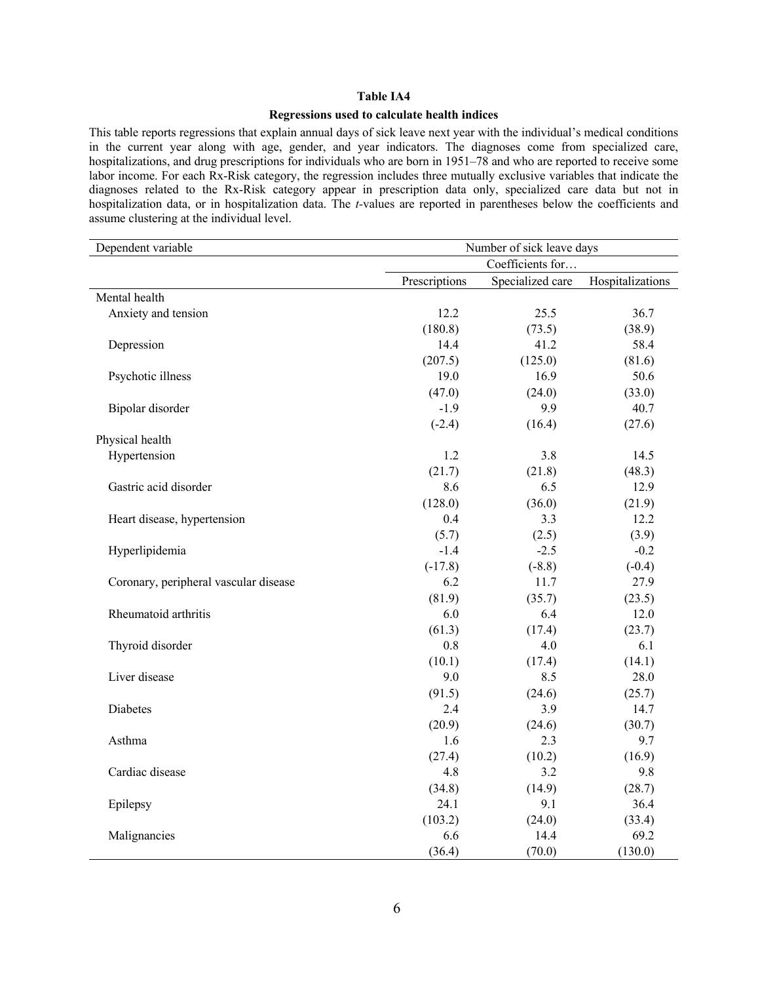#### **Regressions used to calculate health indices**

This table reports regressions that explain annual days of sick leave next year with the individual's medical conditions in the current year along with age, gender, and year indicators. The diagnoses come from specialized care, hospitalizations, and drug prescriptions for individuals who are born in 1951–78 and who are reported to receive some labor income. For each Rx-Risk category, the regression includes three mutually exclusive variables that indicate the diagnoses related to the Rx-Risk category appear in prescription data only, specialized care data but not in hospitalization data, or in hospitalization data. The *t-*values are reported in parentheses below the coefficients and assume clustering at the individual level.

| Dependent variable                    | Number of sick leave days |                  |                  |  |
|---------------------------------------|---------------------------|------------------|------------------|--|
|                                       | Coefficients for          |                  |                  |  |
|                                       | Prescriptions             | Specialized care | Hospitalizations |  |
| Mental health                         |                           |                  |                  |  |
| Anxiety and tension                   | 12.2                      | 25.5             | 36.7             |  |
|                                       | (180.8)                   | (73.5)           | (38.9)           |  |
| Depression                            | 14.4                      | 41.2             | 58.4             |  |
|                                       | (207.5)                   | (125.0)          | (81.6)           |  |
| Psychotic illness                     | 19.0                      | 16.9             | 50.6             |  |
|                                       | (47.0)                    | (24.0)           | (33.0)           |  |
| Bipolar disorder                      | $-1.9$                    | 9.9              | 40.7             |  |
|                                       | $(-2.4)$                  | (16.4)           | (27.6)           |  |
| Physical health                       |                           |                  |                  |  |
| Hypertension                          | 1.2                       | 3.8              | 14.5             |  |
|                                       | (21.7)                    | (21.8)           | (48.3)           |  |
| Gastric acid disorder                 | 8.6                       | 6.5              | 12.9             |  |
|                                       | (128.0)                   | (36.0)           | (21.9)           |  |
| Heart disease, hypertension           | 0.4                       | 3.3              | 12.2             |  |
|                                       | (5.7)                     | (2.5)            | (3.9)            |  |
| Hyperlipidemia                        | $-1.4$                    | $-2.5$           | $-0.2$           |  |
|                                       | $(-17.8)$                 | $(-8.8)$         | $(-0.4)$         |  |
| Coronary, peripheral vascular disease | 6.2                       | 11.7             | 27.9             |  |
|                                       | (81.9)                    | (35.7)           | (23.5)           |  |
| Rheumatoid arthritis                  | 6.0                       | 6.4              | 12.0             |  |
|                                       | (61.3)                    | (17.4)           | (23.7)           |  |
| Thyroid disorder                      | $0.8\,$                   | 4.0              | 6.1              |  |
|                                       | (10.1)                    | (17.4)           | (14.1)           |  |
| Liver disease                         | 9.0                       | 8.5              | 28.0             |  |
|                                       | (91.5)                    | (24.6)           | (25.7)           |  |
| Diabetes                              | 2.4                       | 3.9              | 14.7             |  |
|                                       | (20.9)                    | (24.6)           | (30.7)           |  |
| Asthma                                | 1.6                       | 2.3              | 9.7              |  |
|                                       | (27.4)                    | (10.2)           | (16.9)           |  |
| Cardiac disease                       | 4.8                       | 3.2              | 9.8              |  |
|                                       | (34.8)                    | (14.9)           | (28.7)           |  |
| Epilepsy                              | 24.1                      | 9.1              | 36.4             |  |
|                                       | (103.2)                   | (24.0)           | (33.4)           |  |
| Malignancies                          | 6.6                       | 14.4             | 69.2             |  |
|                                       | (36.4)                    | (70.0)           | (130.0)          |  |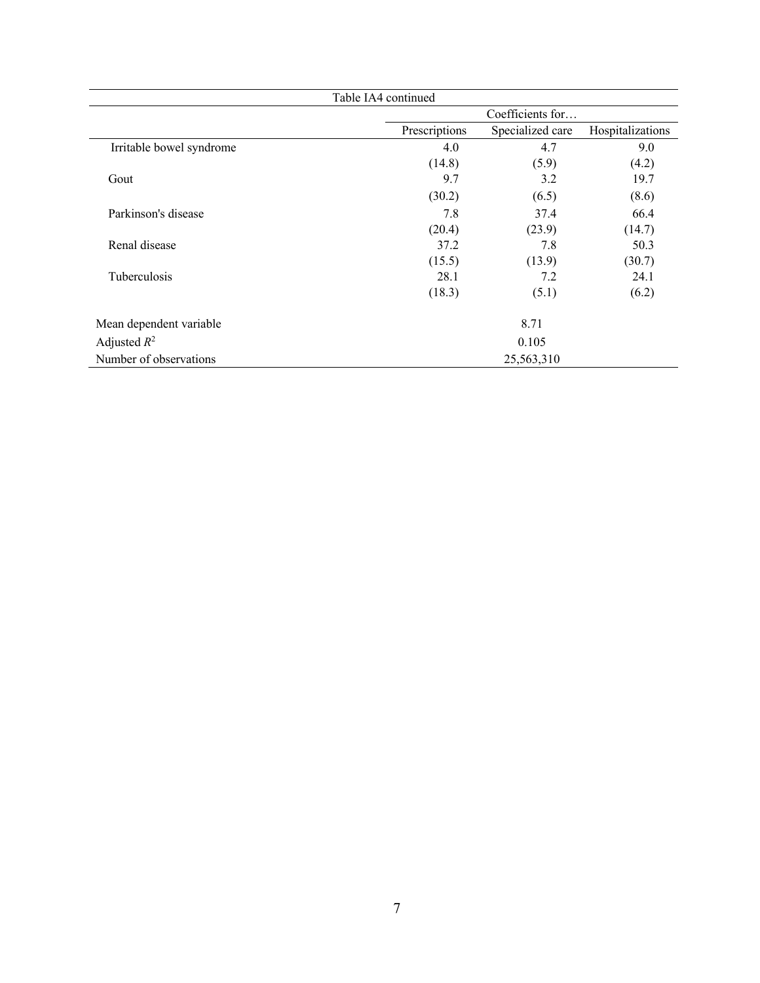| Table IA4 continued      |               |                  |                  |  |  |
|--------------------------|---------------|------------------|------------------|--|--|
|                          |               | Coefficients for |                  |  |  |
|                          | Prescriptions | Specialized care | Hospitalizations |  |  |
| Irritable bowel syndrome | 4.0           | 4.7              | 9.0              |  |  |
|                          | (14.8)        | (5.9)            | (4.2)            |  |  |
| Gout                     | 9.7           | 3.2              | 19.7             |  |  |
|                          | (30.2)        | (6.5)            | (8.6)            |  |  |
| Parkinson's disease      | 7.8           | 37.4             | 66.4             |  |  |
|                          | (20.4)        | (23.9)           | (14.7)           |  |  |
| Renal disease            | 37.2          | 7.8              | 50.3             |  |  |
|                          | (15.5)        | (13.9)           | (30.7)           |  |  |
| <b>Tuberculosis</b>      | 28.1          | 7.2              | 24.1             |  |  |
|                          | (18.3)        | (5.1)            | (6.2)            |  |  |
| Mean dependent variable  |               | 8.71             |                  |  |  |
| Adjusted $R^2$           |               | 0.105            |                  |  |  |
| Number of observations   |               | 25,563,310       |                  |  |  |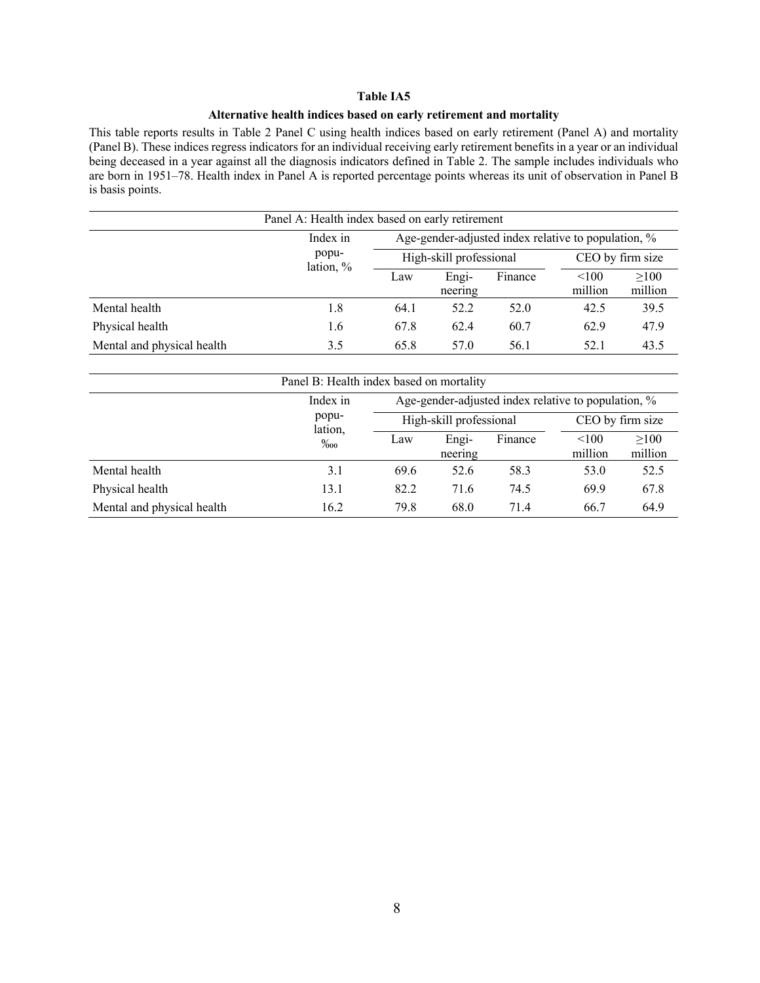## **Alternative health indices based on early retirement and mortality**

This table reports results in Table 2 Panel C using health indices based on early retirement (Panel A) and mortality (Panel B). These indices regress indicators for an individual receiving early retirement benefits in a year or an individual being deceased in a year against all the diagnosis indicators defined in Table 2. The sample includes individuals who are born in 1951–78. Health index in Panel A is reported percentage points whereas its unit of observation in Panel B is basis points.

| Panel A: Health index based on early retirement |                                                                 |                         |                  |         |                  |                 |
|-------------------------------------------------|-----------------------------------------------------------------|-------------------------|------------------|---------|------------------|-----------------|
|                                                 | Age-gender-adjusted index relative to population, %<br>Index in |                         |                  |         |                  |                 |
|                                                 | popu-<br>lation, %                                              | High-skill professional |                  |         | CEO by firm size |                 |
|                                                 |                                                                 | Law                     | Engi-<br>neering | Finance | < 100<br>million | >100<br>million |
| Mental health                                   | 1.8                                                             | 64.1                    | 52.2             | 52.0    | 42.5             | 39.5            |
| Physical health                                 | 1.6                                                             | 67.8                    | 62.4             | 60.7    | 62.9             | 47.9            |
| Mental and physical health                      | 3.5                                                             | 65.8                    | 57.0             | 56.1    | 52.1             | 43.5            |

| Panel B: Health index based on mortality |                                                                 |      |                         |         |                  |                  |  |
|------------------------------------------|-----------------------------------------------------------------|------|-------------------------|---------|------------------|------------------|--|
|                                          | Age-gender-adjusted index relative to population, %<br>Index in |      |                         |         |                  |                  |  |
|                                          | popu-<br>lation,                                                |      | High-skill professional |         |                  | CEO by firm size |  |
|                                          | $\%$ 00                                                         | Law  | Engi-<br>neering        | Finance | < 100<br>million | >100<br>million  |  |
| Mental health                            | 3.1                                                             | 69.6 | 52.6                    | 58.3    | 53.0             | 52.5             |  |
| Physical health                          | 13.1                                                            | 82.2 | 71.6                    | 74.5    | 69.9             | 67.8             |  |
| Mental and physical health               | 16.2                                                            | 79.8 | 68.0                    | 71.4    | 66.7             | 64.9             |  |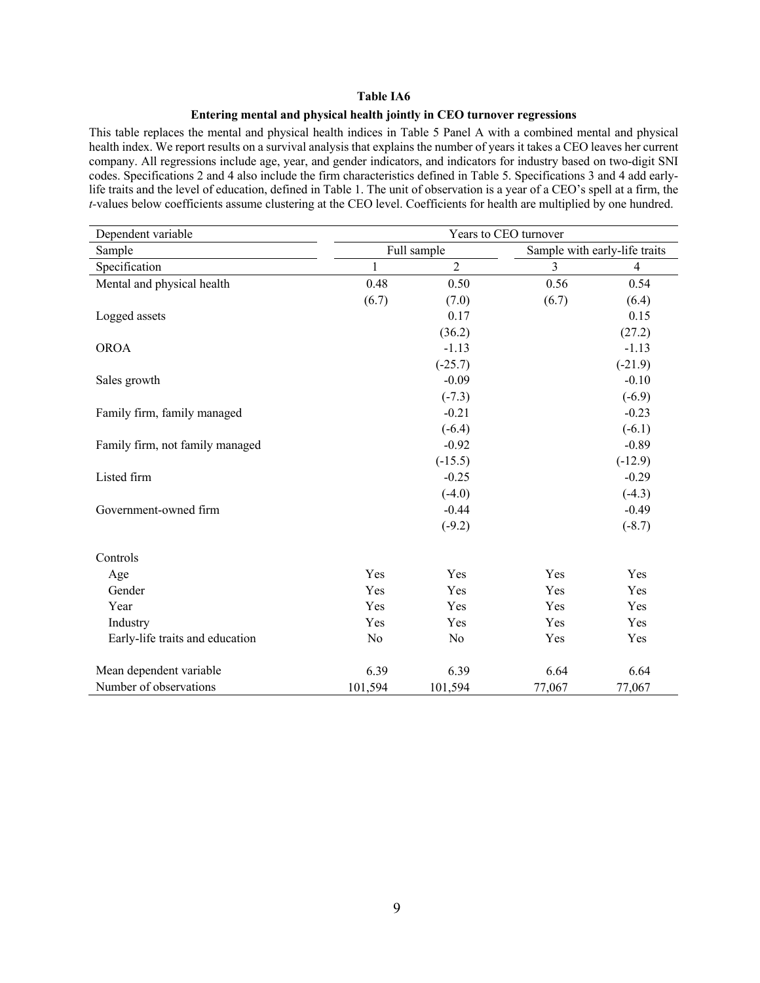## **Entering mental and physical health jointly in CEO turnover regressions**

This table replaces the mental and physical health indices in Table 5 Panel A with a combined mental and physical health index. We report results on a survival analysis that explains the number of years it takes a CEO leaves her current company. All regressions include age, year, and gender indicators, and indicators for industry based on two-digit SNI codes. Specifications 2 and 4 also include the firm characteristics defined in Table 5. Specifications 3 and 4 add earlylife traits and the level of education, defined in Table 1. The unit of observation is a year of a CEO's spell at a firm, the *t-*values below coefficients assume clustering at the CEO level. Coefficients for health are multiplied by one hundred.

| Dependent variable              | Years to CEO turnover |                |                |                               |  |
|---------------------------------|-----------------------|----------------|----------------|-------------------------------|--|
| Sample                          |                       | Full sample    |                | Sample with early-life traits |  |
| Specification                   | 1                     | $\overline{2}$ | $\overline{3}$ | $\overline{4}$                |  |
| Mental and physical health      | 0.48                  | 0.50           | 0.56           | 0.54                          |  |
|                                 | (6.7)                 | (7.0)          | (6.7)          | (6.4)                         |  |
| Logged assets                   |                       | 0.17           |                | 0.15                          |  |
|                                 |                       | (36.2)         |                | (27.2)                        |  |
| <b>OROA</b>                     |                       | $-1.13$        |                | $-1.13$                       |  |
|                                 |                       | $(-25.7)$      |                | $(-21.9)$                     |  |
| Sales growth                    |                       | $-0.09$        |                | $-0.10$                       |  |
|                                 |                       | $(-7.3)$       |                | $(-6.9)$                      |  |
| Family firm, family managed     |                       | $-0.21$        |                | $-0.23$                       |  |
|                                 |                       | $(-6.4)$       |                | $(-6.1)$                      |  |
| Family firm, not family managed |                       | $-0.92$        |                | $-0.89$                       |  |
|                                 |                       | $(-15.5)$      |                | $(-12.9)$                     |  |
| Listed firm                     |                       | $-0.25$        |                | $-0.29$                       |  |
|                                 |                       | $(-4.0)$       |                | $(-4.3)$                      |  |
| Government-owned firm           |                       | $-0.44$        |                | $-0.49$                       |  |
|                                 |                       | $(-9.2)$       |                | $(-8.7)$                      |  |
| Controls                        |                       |                |                |                               |  |
| Age                             | Yes                   | Yes            | Yes            | Yes                           |  |
| Gender                          | Yes                   | Yes            | Yes            | Yes                           |  |
| Year                            | Yes                   | Yes            | Yes            | Yes                           |  |
| Industry                        | Yes                   | Yes            | Yes            | Yes                           |  |
| Early-life traits and education | No                    | No             | Yes            | Yes                           |  |
| Mean dependent variable         | 6.39                  | 6.39           | 6.64           | 6.64                          |  |
| Number of observations          | 101,594               | 101,594        | 77,067         | 77,067                        |  |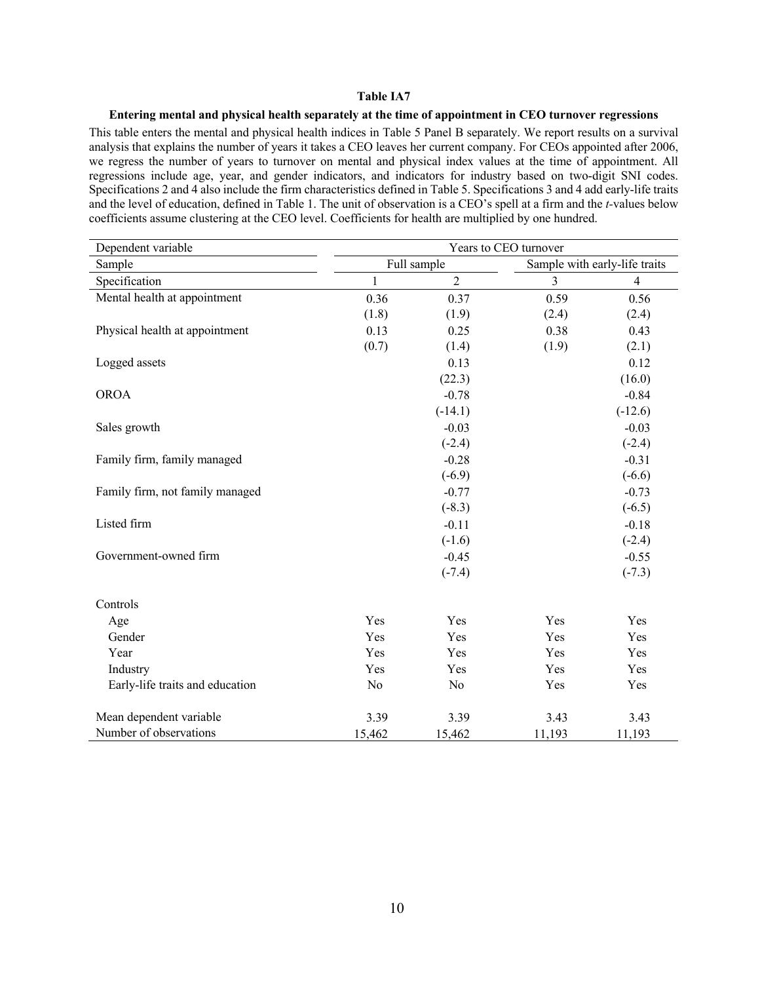## **Entering mental and physical health separately at the time of appointment in CEO turnover regressions**

This table enters the mental and physical health indices in Table 5 Panel B separately. We report results on a survival analysis that explains the number of years it takes a CEO leaves her current company. For CEOs appointed after 2006, we regress the number of years to turnover on mental and physical index values at the time of appointment. All regressions include age, year, and gender indicators, and indicators for industry based on two-digit SNI codes. Specifications 2 and 4 also include the firm characteristics defined in Table 5. Specifications 3 and 4 add early-life traits and the level of education, defined in Table 1. The unit of observation is a CEO's spell at a firm and the *t-*values below coefficients assume clustering at the CEO level. Coefficients for health are multiplied by one hundred.

| Dependent variable              | Years to CEO turnover |                |                |                               |
|---------------------------------|-----------------------|----------------|----------------|-------------------------------|
| Sample                          |                       | Full sample    |                | Sample with early-life traits |
| Specification                   | $\mathbf{1}$          | $\overline{2}$ | $\mathfrak{Z}$ | $\overline{4}$                |
| Mental health at appointment    | 0.36                  | 0.37           | 0.59           | 0.56                          |
|                                 | (1.8)                 | (1.9)          | (2.4)          | (2.4)                         |
| Physical health at appointment  | 0.13                  | 0.25           | 0.38           | 0.43                          |
|                                 | (0.7)                 | (1.4)          | (1.9)          | (2.1)                         |
| Logged assets                   |                       | 0.13           |                | 0.12                          |
|                                 |                       | (22.3)         |                | (16.0)                        |
| <b>OROA</b>                     |                       | $-0.78$        |                | $-0.84$                       |
|                                 |                       | $(-14.1)$      |                | $(-12.6)$                     |
| Sales growth                    |                       | $-0.03$        |                | $-0.03$                       |
|                                 |                       | $(-2.4)$       |                | $(-2.4)$                      |
| Family firm, family managed     |                       | $-0.28$        |                | $-0.31$                       |
|                                 |                       | $(-6.9)$       |                | $(-6.6)$                      |
| Family firm, not family managed |                       | $-0.77$        |                | $-0.73$                       |
|                                 |                       | $(-8.3)$       |                | $(-6.5)$                      |
| Listed firm                     |                       | $-0.11$        |                | $-0.18$                       |
|                                 |                       | $(-1.6)$       |                | $(-2.4)$                      |
| Government-owned firm           |                       | $-0.45$        |                | $-0.55$                       |
|                                 |                       | $(-7.4)$       |                | $(-7.3)$                      |
| Controls                        |                       |                |                |                               |
| Age                             | Yes                   | Yes            | Yes            | Yes                           |
| Gender                          | Yes                   | Yes            | Yes            | Yes                           |
| Year                            | Yes                   | Yes            | Yes            | Yes                           |
| Industry                        | Yes                   | Yes            | Yes            | Yes                           |
| Early-life traits and education | No                    | No             | Yes            | Yes                           |
| Mean dependent variable         | 3.39                  | 3.39           | 3.43           | 3.43                          |
| Number of observations          | 15,462                | 15,462         | 11,193         | 11,193                        |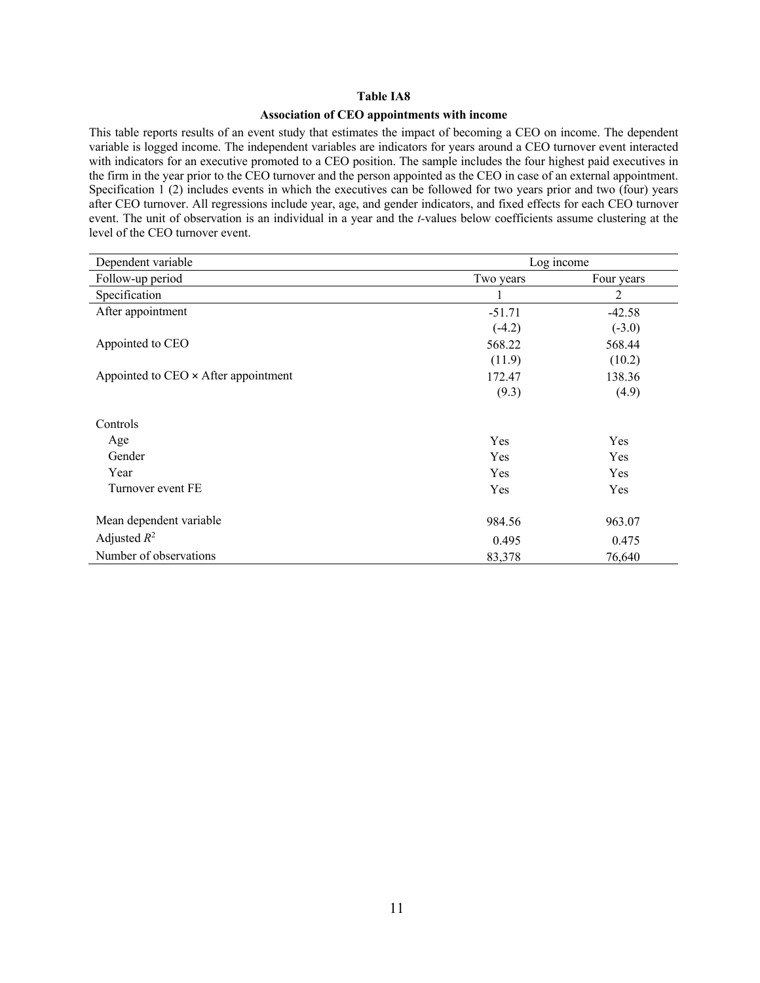## **Association of CEO appointments with income**

This table reports results of an event study that estimates the impact of becoming a CEO on income. The dependent variable is logged income. The independent variables are indicators for years around a CEO turnover event interacted with indicators for an executive promoted to a CEO position. The sample includes the four highest paid executives in the firm in the year prior to the CEO turnover and the person appointed as the CEO in case of an external appointment. Specification 1 (2) includes events in which the executives can be followed for two years prior and two (four) years after CEO turnover. All regressions include year, age, and gender indicators, and fixed effects for each CEO turnover event. The unit of observation is an individual in a year and the *t-*values below coefficients assume clustering at the level of the CEO turnover event.

| Dependent variable                   | Log income |            |  |
|--------------------------------------|------------|------------|--|
| Follow-up period                     | Two years  | Four years |  |
| Specification                        | 1          | 2          |  |
| After appointment                    | $-51.71$   | $-42.58$   |  |
|                                      | $(-4.2)$   | $(-3.0)$   |  |
| Appointed to CEO                     | 568.22     | 568.44     |  |
|                                      | (11.9)     | (10.2)     |  |
| Appointed to CEO × After appointment | 172.47     | 138.36     |  |
|                                      | (9.3)      | (4.9)      |  |
| Controls                             |            |            |  |
| Age                                  | Yes        | Yes        |  |
| Gender                               | Yes        | Yes        |  |
| Year                                 | Yes        | Yes        |  |
| Turnover event FE                    | Yes        | Yes        |  |
| Mean dependent variable              | 984.56     | 963.07     |  |
| Adjusted $R^2$                       | 0.495      | 0.475      |  |
| Number of observations               | 83,378     | 76,640     |  |